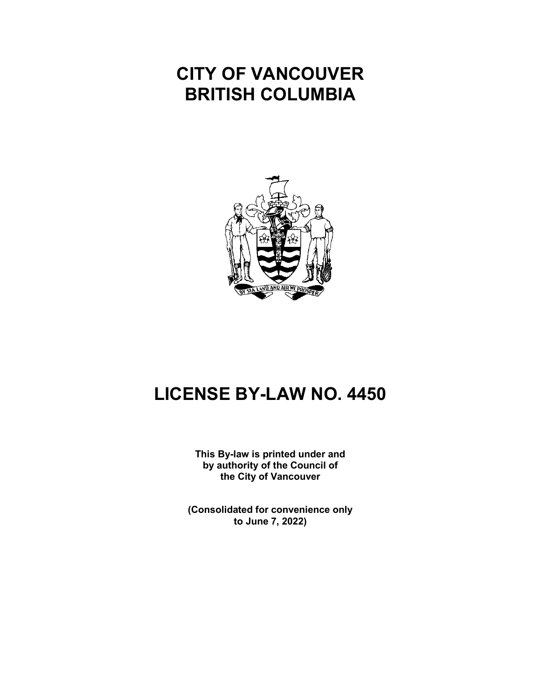## **CITY OF VANCOUVER BRITISH COLUMBIA**



# **LICENSE BY-LAW NO. 4450**

**This By-law is printed under and by authority of the Council of the City of Vancouver**

**(Consolidated for convenience only to June 7, 2022)**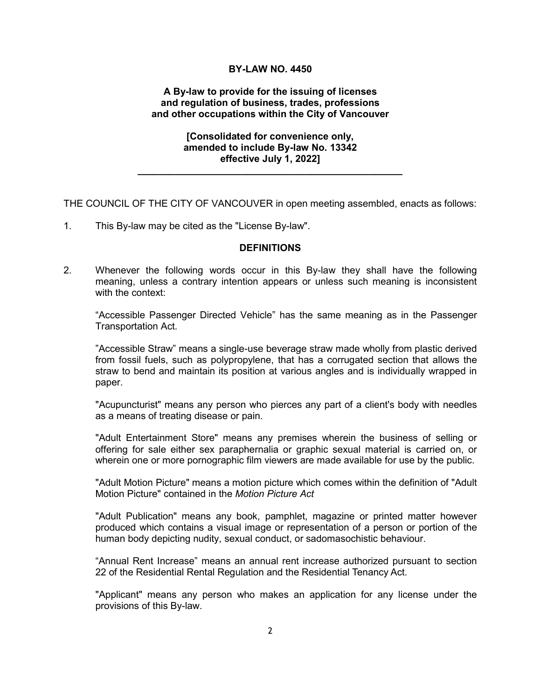#### **BY-LAW NO. 4450**

#### **A By-law to provide for the issuing of licenses and regulation of business, trades, professions and other occupations within the City of Vancouver**

#### **[Consolidated for convenience only, amended to include By-law No. 13342 effective July 1, 2022]**

**\_\_\_\_\_\_\_\_\_\_\_\_\_\_\_\_\_\_\_\_\_\_\_\_\_\_\_\_\_\_\_\_\_\_\_\_\_\_\_\_\_\_\_\_\_\_\_\_\_**

THE COUNCIL OF THE CITY OF VANCOUVER in open meeting assembled, enacts as follows:

1. This By-law may be cited as the "License By-law".

#### **DEFINITIONS**

2. Whenever the following words occur in this By-law they shall have the following meaning, unless a contrary intention appears or unless such meaning is inconsistent with the context:

"Accessible Passenger Directed Vehicle" has the same meaning as in the Passenger Transportation Act.

"Accessible Straw" means a single-use beverage straw made wholly from plastic derived from fossil fuels, such as polypropylene, that has a corrugated section that allows the straw to bend and maintain its position at various angles and is individually wrapped in paper.

"Acupuncturist" means any person who pierces any part of a client's body with needles as a means of treating disease or pain.

"Adult Entertainment Store" means any premises wherein the business of selling or offering for sale either sex paraphernalia or graphic sexual material is carried on, or wherein one or more pornographic film viewers are made available for use by the public.

"Adult Motion Picture" means a motion picture which comes within the definition of "Adult Motion Picture" contained in the *Motion Picture Act*

"Adult Publication" means any book, pamphlet, magazine or printed matter however produced which contains a visual image or representation of a person or portion of the human body depicting nudity, sexual conduct, or sadomasochistic behaviour.

"Annual Rent Increase" means an annual rent increase authorized pursuant to section 22 of the Residential Rental Regulation and the Residential Tenancy Act.

"Applicant" means any person who makes an application for any license under the provisions of this By-law.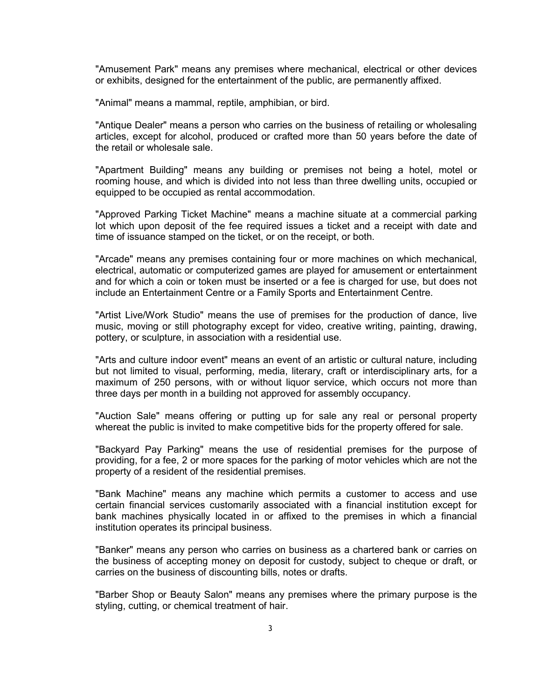"Amusement Park" means any premises where mechanical, electrical or other devices or exhibits, designed for the entertainment of the public, are permanently affixed.

"Animal" means a mammal, reptile, amphibian, or bird.

"Antique Dealer" means a person who carries on the business of retailing or wholesaling articles, except for alcohol, produced or crafted more than 50 years before the date of the retail or wholesale sale.

"Apartment Building" means any building or premises not being a hotel, motel or rooming house, and which is divided into not less than three dwelling units, occupied or equipped to be occupied as rental accommodation.

"Approved Parking Ticket Machine" means a machine situate at a commercial parking lot which upon deposit of the fee required issues a ticket and a receipt with date and time of issuance stamped on the ticket, or on the receipt, or both.

"Arcade" means any premises containing four or more machines on which mechanical, electrical, automatic or computerized games are played for amusement or entertainment and for which a coin or token must be inserted or a fee is charged for use, but does not include an Entertainment Centre or a Family Sports and Entertainment Centre.

"Artist Live/Work Studio" means the use of premises for the production of dance, live music, moving or still photography except for video, creative writing, painting, drawing, pottery, or sculpture, in association with a residential use.

"Arts and culture indoor event" means an event of an artistic or cultural nature, including but not limited to visual, performing, media, literary, craft or interdisciplinary arts, for a maximum of 250 persons, with or without liquor service, which occurs not more than three days per month in a building not approved for assembly occupancy.

"Auction Sale" means offering or putting up for sale any real or personal property whereat the public is invited to make competitive bids for the property offered for sale.

"Backyard Pay Parking" means the use of residential premises for the purpose of providing, for a fee, 2 or more spaces for the parking of motor vehicles which are not the property of a resident of the residential premises.

"Bank Machine" means any machine which permits a customer to access and use certain financial services customarily associated with a financial institution except for bank machines physically located in or affixed to the premises in which a financial institution operates its principal business.

"Banker" means any person who carries on business as a chartered bank or carries on the business of accepting money on deposit for custody, subject to cheque or draft, or carries on the business of discounting bills, notes or drafts.

"Barber Shop or Beauty Salon" means any premises where the primary purpose is the styling, cutting, or chemical treatment of hair.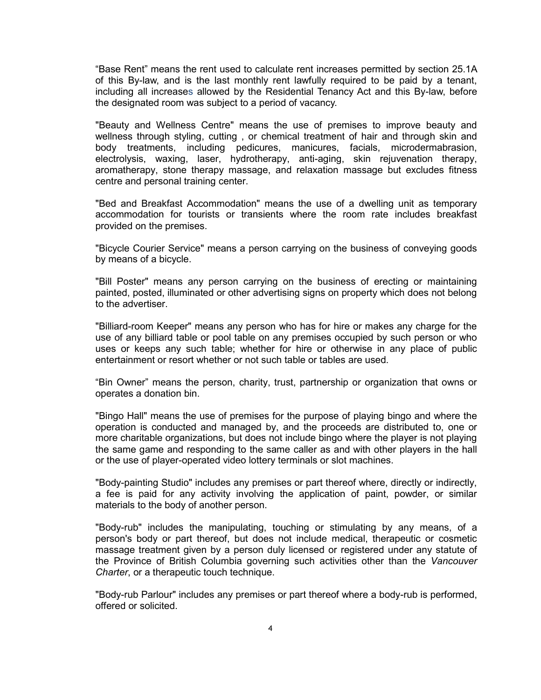"Base Rent" means the rent used to calculate rent increases permitted by section 25.1A of this By-law, and is the last monthly rent lawfully required to be paid by a tenant, including all increases allowed by the Residential Tenancy Act and this By-law, before the designated room was subject to a period of vacancy.

"Beauty and Wellness Centre" means the use of premises to improve beauty and wellness through styling, cutting , or chemical treatment of hair and through skin and body treatments, including pedicures, manicures, facials, microdermabrasion, electrolysis, waxing, laser, hydrotherapy, anti-aging, skin rejuvenation therapy, aromatherapy, stone therapy massage, and relaxation massage but excludes fitness centre and personal training center.

"Bed and Breakfast Accommodation" means the use of a dwelling unit as temporary accommodation for tourists or transients where the room rate includes breakfast provided on the premises.

"Bicycle Courier Service" means a person carrying on the business of conveying goods by means of a bicycle.

"Bill Poster" means any person carrying on the business of erecting or maintaining painted, posted, illuminated or other advertising signs on property which does not belong to the advertiser.

"Billiard-room Keeper" means any person who has for hire or makes any charge for the use of any billiard table or pool table on any premises occupied by such person or who uses or keeps any such table; whether for hire or otherwise in any place of public entertainment or resort whether or not such table or tables are used.

"Bin Owner" means the person, charity, trust, partnership or organization that owns or operates a donation bin.

"Bingo Hall" means the use of premises for the purpose of playing bingo and where the operation is conducted and managed by, and the proceeds are distributed to, one or more charitable organizations, but does not include bingo where the player is not playing the same game and responding to the same caller as and with other players in the hall or the use of player-operated video lottery terminals or slot machines.

"Body-painting Studio" includes any premises or part thereof where, directly or indirectly, a fee is paid for any activity involving the application of paint, powder, or similar materials to the body of another person.

"Body-rub" includes the manipulating, touching or stimulating by any means, of a person's body or part thereof, but does not include medical, therapeutic or cosmetic massage treatment given by a person duly licensed or registered under any statute of the Province of British Columbia governing such activities other than the *Vancouver Charter*, or a therapeutic touch technique.

"Body-rub Parlour" includes any premises or part thereof where a body-rub is performed, offered or solicited.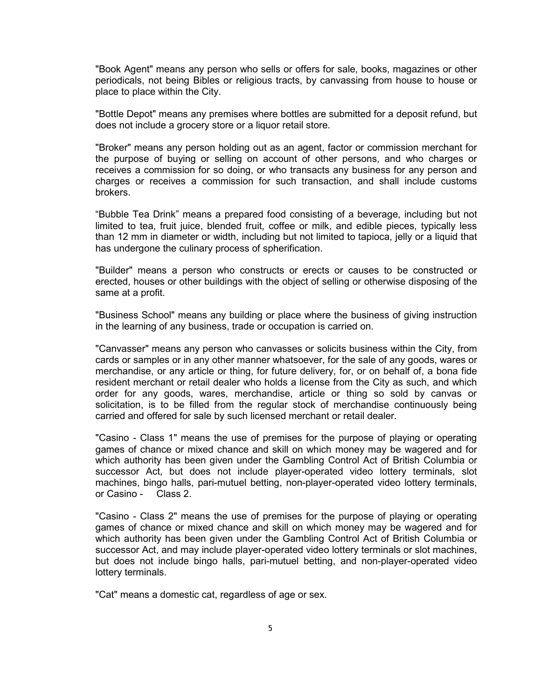"Book Agent" means any person who sells or offers for sale, books, magazines or other periodicals, not being Bibles or religious tracts, by canvassing from house to house or place to place within the City.

"Bottle Depot" means any premises where bottles are submitted for a deposit refund, but does not include a grocery store or a liquor retail store.

"Broker" means any person holding out as an agent, factor or commission merchant for the purpose of buying or selling on account of other persons, and who charges or receives a commission for so doing, or who transacts any business for any person and charges or receives a commission for such transaction, and shall include customs brokers.

"Bubble Tea Drink" means a prepared food consisting of a beverage, including but not limited to tea, fruit juice, blended fruit, coffee or milk, and edible pieces, typically less than 12 mm in diameter or width, including but not limited to tapioca, jelly or a liquid that has undergone the culinary process of spherification.

"Builder" means a person who constructs or erects or causes to be constructed or erected, houses or other buildings with the object of selling or otherwise disposing of the same at a profit.

"Business School" means any building or place where the business of giving instruction in the learning of any business, trade or occupation is carried on.

"Canvasser" means any person who canvasses or solicits business within the City, from cards or samples or in any other manner whatsoever, for the sale of any goods, wares or merchandise, or any article or thing, for future delivery, for, or on behalf of, a bona fide resident merchant or retail dealer who holds a license from the City as such, and which order for any goods, wares, merchandise, article or thing so sold by canvas or solicitation, is to be filled from the regular stock of merchandise continuously being carried and offered for sale by such licensed merchant or retail dealer.

"Casino - Class 1" means the use of premises for the purpose of playing or operating games of chance or mixed chance and skill on which money may be wagered and for which authority has been given under the Gambling Control Act of British Columbia or successor Act, but does not include player-operated video lottery terminals, slot machines, bingo halls, pari-mutuel betting, non-player-operated video lottery terminals, or Casino - Class 2.

"Casino - Class 2" means the use of premises for the purpose of playing or operating games of chance or mixed chance and skill on which money may be wagered and for which authority has been given under the Gambling Control Act of British Columbia or successor Act, and may include player-operated video lottery terminals or slot machines, but does not include bingo halls, pari-mutuel betting, and non-player-operated video lottery terminals.

"Cat" means a domestic cat, regardless of age or sex.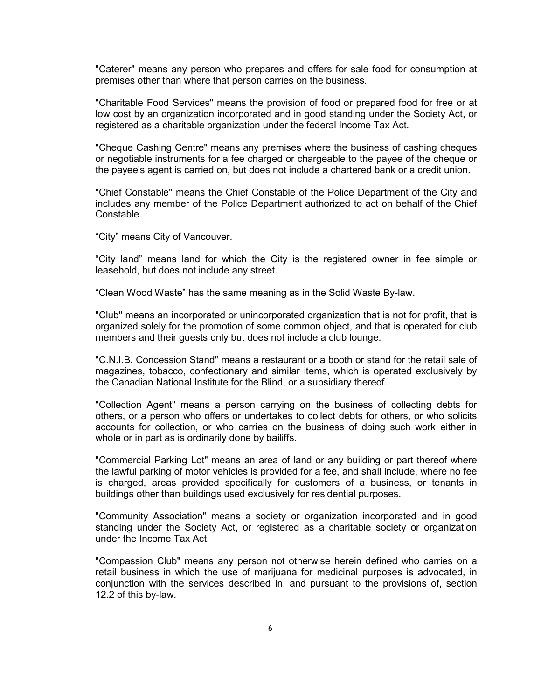"Caterer" means any person who prepares and offers for sale food for consumption at premises other than where that person carries on the business.

"Charitable Food Services" means the provision of food or prepared food for free or at low cost by an organization incorporated and in good standing under the Society Act, or registered as a charitable organization under the federal Income Tax Act.

"Cheque Cashing Centre" means any premises where the business of cashing cheques or negotiable instruments for a fee charged or chargeable to the payee of the cheque or the payee's agent is carried on, but does not include a chartered bank or a credit union.

"Chief Constable" means the Chief Constable of the Police Department of the City and includes any member of the Police Department authorized to act on behalf of the Chief Constable.

"City" means City of Vancouver.

"City land" means land for which the City is the registered owner in fee simple or leasehold, but does not include any street.

"Clean Wood Waste" has the same meaning as in the Solid Waste By-law.

"Club" means an incorporated or unincorporated organization that is not for profit, that is organized solely for the promotion of some common object, and that is operated for club members and their guests only but does not include a club lounge.

"C.N.I.B. Concession Stand" means a restaurant or a booth or stand for the retail sale of magazines, tobacco, confectionary and similar items, which is operated exclusively by the Canadian National Institute for the Blind, or a subsidiary thereof.

"Collection Agent" means a person carrying on the business of collecting debts for others, or a person who offers or undertakes to collect debts for others, or who solicits accounts for collection, or who carries on the business of doing such work either in whole or in part as is ordinarily done by bailiffs.

"Commercial Parking Lot" means an area of land or any building or part thereof where the lawful parking of motor vehicles is provided for a fee, and shall include, where no fee is charged, areas provided specifically for customers of a business, or tenants in buildings other than buildings used exclusively for residential purposes.

"Community Association" means a society or organization incorporated and in good standing under the Society Act, or registered as a charitable society or organization under the Income Tax Act.

"Compassion Club" means any person not otherwise herein defined who carries on a retail business in which the use of marijuana for medicinal purposes is advocated, in conjunction with the services described in, and pursuant to the provisions of, section 12.2 of this by-law.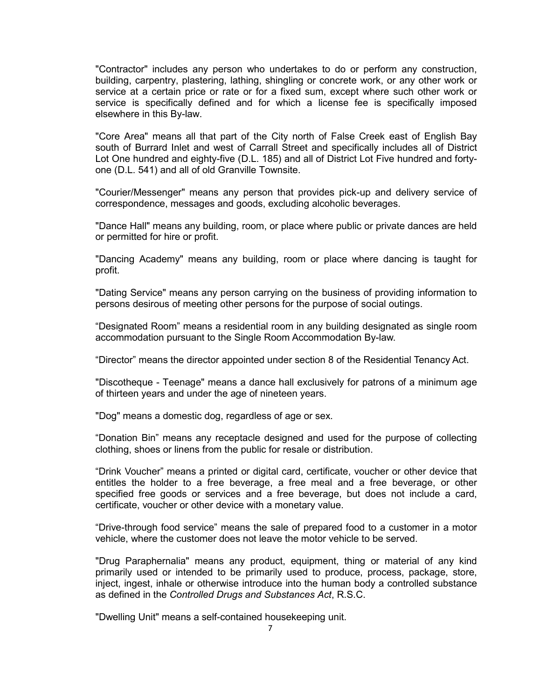"Contractor" includes any person who undertakes to do or perform any construction, building, carpentry, plastering, lathing, shingling or concrete work, or any other work or service at a certain price or rate or for a fixed sum, except where such other work or service is specifically defined and for which a license fee is specifically imposed elsewhere in this By-law.

"Core Area" means all that part of the City north of False Creek east of English Bay south of Burrard Inlet and west of Carrall Street and specifically includes all of District Lot One hundred and eighty-five (D.L. 185) and all of District Lot Five hundred and fortyone (D.L. 541) and all of old Granville Townsite.

"Courier/Messenger" means any person that provides pick-up and delivery service of correspondence, messages and goods, excluding alcoholic beverages.

"Dance Hall" means any building, room, or place where public or private dances are held or permitted for hire or profit.

"Dancing Academy" means any building, room or place where dancing is taught for profit.

"Dating Service" means any person carrying on the business of providing information to persons desirous of meeting other persons for the purpose of social outings.

"Designated Room" means a residential room in any building designated as single room accommodation pursuant to the Single Room Accommodation By-law.

"Director" means the director appointed under section 8 of the Residential Tenancy Act.

"Discotheque - Teenage" means a dance hall exclusively for patrons of a minimum age of thirteen years and under the age of nineteen years.

"Dog" means a domestic dog, regardless of age or sex.

"Donation Bin" means any receptacle designed and used for the purpose of collecting clothing, shoes or linens from the public for resale or distribution.

"Drink Voucher" means a printed or digital card, certificate, voucher or other device that entitles the holder to a free beverage, a free meal and a free beverage, or other specified free goods or services and a free beverage, but does not include a card, certificate, voucher or other device with a monetary value.

"Drive-through food service" means the sale of prepared food to a customer in a motor vehicle, where the customer does not leave the motor vehicle to be served.

"Drug Paraphernalia" means any product, equipment, thing or material of any kind primarily used or intended to be primarily used to produce, process, package, store, inject, ingest, inhale or otherwise introduce into the human body a controlled substance as defined in the *Controlled Drugs and Substances Act*, R.S.C.

"Dwelling Unit" means a self-contained housekeeping unit.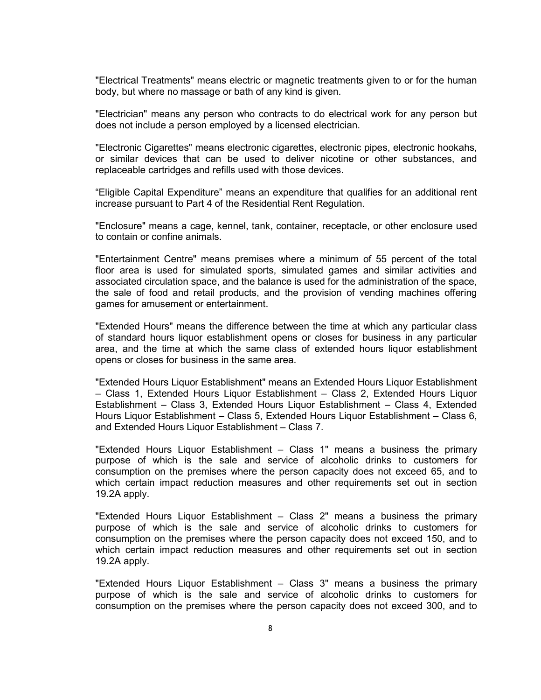"Electrical Treatments" means electric or magnetic treatments given to or for the human body, but where no massage or bath of any kind is given.

"Electrician" means any person who contracts to do electrical work for any person but does not include a person employed by a licensed electrician.

"Electronic Cigarettes" means electronic cigarettes, electronic pipes, electronic hookahs, or similar devices that can be used to deliver nicotine or other substances, and replaceable cartridges and refills used with those devices.

"Eligible Capital Expenditure" means an expenditure that qualifies for an additional rent increase pursuant to Part 4 of the Residential Rent Regulation.

"Enclosure" means a cage, kennel, tank, container, receptacle, or other enclosure used to contain or confine animals.

"Entertainment Centre" means premises where a minimum of 55 percent of the total floor area is used for simulated sports, simulated games and similar activities and associated circulation space, and the balance is used for the administration of the space, the sale of food and retail products, and the provision of vending machines offering games for amusement or entertainment.

"Extended Hours" means the difference between the time at which any particular class of standard hours liquor establishment opens or closes for business in any particular area, and the time at which the same class of extended hours liquor establishment opens or closes for business in the same area.

"Extended Hours Liquor Establishment" means an Extended Hours Liquor Establishment – Class 1, Extended Hours Liquor Establishment – Class 2, Extended Hours Liquor Establishment – Class 3, Extended Hours Liquor Establishment – Class 4, Extended Hours Liquor Establishment – Class 5, Extended Hours Liquor Establishment – Class 6, and Extended Hours Liquor Establishment – Class 7.

"Extended Hours Liquor Establishment – Class 1" means a business the primary purpose of which is the sale and service of alcoholic drinks to customers for consumption on the premises where the person capacity does not exceed 65, and to which certain impact reduction measures and other requirements set out in section 19.2A apply.

"Extended Hours Liquor Establishment – Class 2" means a business the primary purpose of which is the sale and service of alcoholic drinks to customers for consumption on the premises where the person capacity does not exceed 150, and to which certain impact reduction measures and other requirements set out in section 19.2A apply.

"Extended Hours Liquor Establishment – Class 3" means a business the primary purpose of which is the sale and service of alcoholic drinks to customers for consumption on the premises where the person capacity does not exceed 300, and to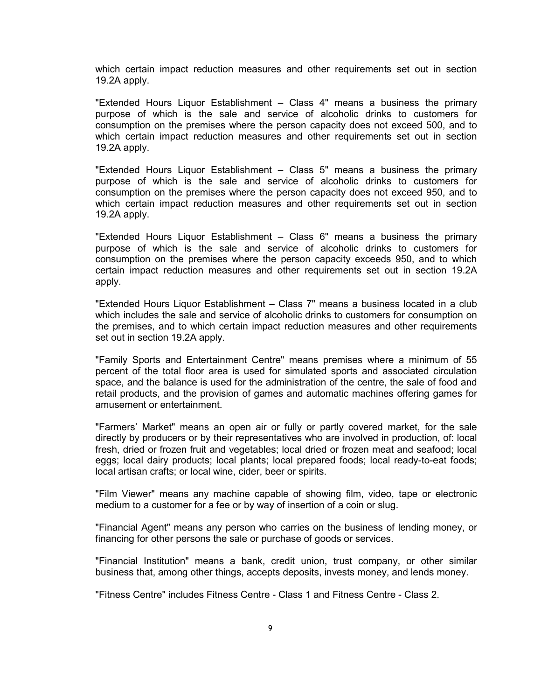which certain impact reduction measures and other requirements set out in section 19.2A apply.

"Extended Hours Liquor Establishment – Class 4" means a business the primary purpose of which is the sale and service of alcoholic drinks to customers for consumption on the premises where the person capacity does not exceed 500, and to which certain impact reduction measures and other requirements set out in section 19.2A apply.

"Extended Hours Liquor Establishment – Class 5" means a business the primary purpose of which is the sale and service of alcoholic drinks to customers for consumption on the premises where the person capacity does not exceed 950, and to which certain impact reduction measures and other requirements set out in section 19.2A apply.

"Extended Hours Liquor Establishment – Class 6" means a business the primary purpose of which is the sale and service of alcoholic drinks to customers for consumption on the premises where the person capacity exceeds 950, and to which certain impact reduction measures and other requirements set out in section 19.2A apply.

"Extended Hours Liquor Establishment – Class 7" means a business located in a club which includes the sale and service of alcoholic drinks to customers for consumption on the premises, and to which certain impact reduction measures and other requirements set out in section 19.2A apply.

"Family Sports and Entertainment Centre" means premises where a minimum of 55 percent of the total floor area is used for simulated sports and associated circulation space, and the balance is used for the administration of the centre, the sale of food and retail products, and the provision of games and automatic machines offering games for amusement or entertainment.

"Farmers' Market" means an open air or fully or partly covered market, for the sale directly by producers or by their representatives who are involved in production, of: local fresh, dried or frozen fruit and vegetables; local dried or frozen meat and seafood; local eggs; local dairy products; local plants; local prepared foods; local ready-to-eat foods; local artisan crafts; or local wine, cider, beer or spirits.

"Film Viewer" means any machine capable of showing film, video, tape or electronic medium to a customer for a fee or by way of insertion of a coin or slug.

"Financial Agent" means any person who carries on the business of lending money, or financing for other persons the sale or purchase of goods or services.

"Financial Institution" means a bank, credit union, trust company, or other similar business that, among other things, accepts deposits, invests money, and lends money.

"Fitness Centre" includes Fitness Centre - Class 1 and Fitness Centre - Class 2.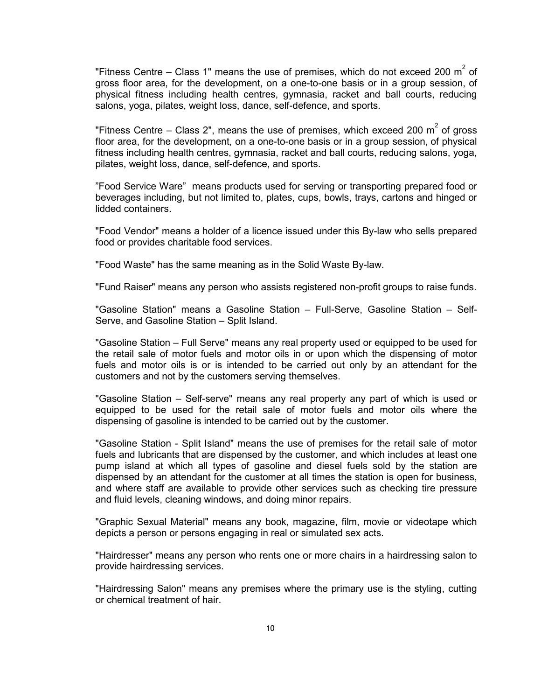"Fitness Centre – Class 1" means the use of premises, which do not exceed 200  $m^2$  of gross floor area, for the development, on a one-to-one basis or in a group session, of physical fitness including health centres, gymnasia, racket and ball courts, reducing salons, yoga, pilates, weight loss, dance, self-defence, and sports.

"Fitness Centre – Class 2", means the use of premises, which exceed 200  $m^2$  of gross floor area, for the development, on a one-to-one basis or in a group session, of physical fitness including health centres, gymnasia, racket and ball courts, reducing salons, yoga, pilates, weight loss, dance, self-defence, and sports.

"Food Service Ware" means products used for serving or transporting prepared food or beverages including, but not limited to, plates, cups, bowls, trays, cartons and hinged or lidded containers.

"Food Vendor" means a holder of a licence issued under this By-law who sells prepared food or provides charitable food services.

"Food Waste" has the same meaning as in the Solid Waste By-law.

"Fund Raiser" means any person who assists registered non-profit groups to raise funds.

"Gasoline Station" means a Gasoline Station – Full-Serve, Gasoline Station – Self-Serve, and Gasoline Station – Split Island.

"Gasoline Station – Full Serve" means any real property used or equipped to be used for the retail sale of motor fuels and motor oils in or upon which the dispensing of motor fuels and motor oils is or is intended to be carried out only by an attendant for the customers and not by the customers serving themselves.

"Gasoline Station – Self-serve" means any real property any part of which is used or equipped to be used for the retail sale of motor fuels and motor oils where the dispensing of gasoline is intended to be carried out by the customer.

"Gasoline Station - Split Island" means the use of premises for the retail sale of motor fuels and lubricants that are dispensed by the customer, and which includes at least one pump island at which all types of gasoline and diesel fuels sold by the station are dispensed by an attendant for the customer at all times the station is open for business, and where staff are available to provide other services such as checking tire pressure and fluid levels, cleaning windows, and doing minor repairs.

"Graphic Sexual Material" means any book, magazine, film, movie or videotape which depicts a person or persons engaging in real or simulated sex acts.

"Hairdresser" means any person who rents one or more chairs in a hairdressing salon to provide hairdressing services.

"Hairdressing Salon" means any premises where the primary use is the styling, cutting or chemical treatment of hair.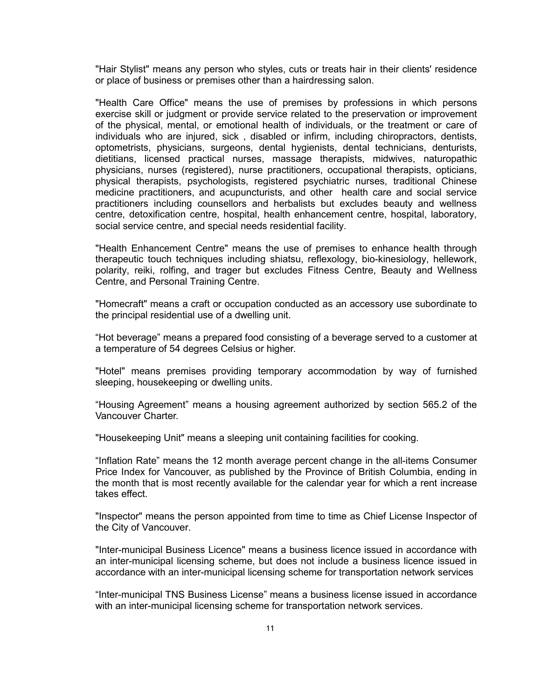"Hair Stylist" means any person who styles, cuts or treats hair in their clients' residence or place of business or premises other than a hairdressing salon.

"Health Care Office" means the use of premises by professions in which persons exercise skill or judgment or provide service related to the preservation or improvement of the physical, mental, or emotional health of individuals, or the treatment or care of individuals who are injured, sick , disabled or infirm, including chiropractors, dentists, optometrists, physicians, surgeons, dental hygienists, dental technicians, denturists, dietitians, licensed practical nurses, massage therapists, midwives, naturopathic physicians, nurses (registered), nurse practitioners, occupational therapists, opticians, physical therapists, psychologists, registered psychiatric nurses, traditional Chinese medicine practitioners, and acupuncturists, and other health care and social service practitioners including counsellors and herbalists but excludes beauty and wellness centre, detoxification centre, hospital, health enhancement centre, hospital, laboratory, social service centre, and special needs residential facility.

"Health Enhancement Centre" means the use of premises to enhance health through therapeutic touch techniques including shiatsu, reflexology, bio-kinesiology, hellework, polarity, reiki, rolfing, and trager but excludes Fitness Centre, Beauty and Wellness Centre, and Personal Training Centre.

"Homecraft" means a craft or occupation conducted as an accessory use subordinate to the principal residential use of a dwelling unit.

"Hot beverage" means a prepared food consisting of a beverage served to a customer at a temperature of 54 degrees Celsius or higher.

"Hotel" means premises providing temporary accommodation by way of furnished sleeping, housekeeping or dwelling units.

"Housing Agreement" means a housing agreement authorized by section 565.2 of the Vancouver Charter.

"Housekeeping Unit" means a sleeping unit containing facilities for cooking.

"Inflation Rate" means the 12 month average percent change in the all-items Consumer Price Index for Vancouver, as published by the Province of British Columbia, ending in the month that is most recently available for the calendar year for which a rent increase takes effect.

"Inspector" means the person appointed from time to time as Chief License Inspector of the City of Vancouver.

"Inter-municipal Business Licence" means a business licence issued in accordance with an inter-municipal licensing scheme, but does not include a business licence issued in accordance with an inter-municipal licensing scheme for transportation network services

"Inter-municipal TNS Business License" means a business license issued in accordance with an inter-municipal licensing scheme for transportation network services.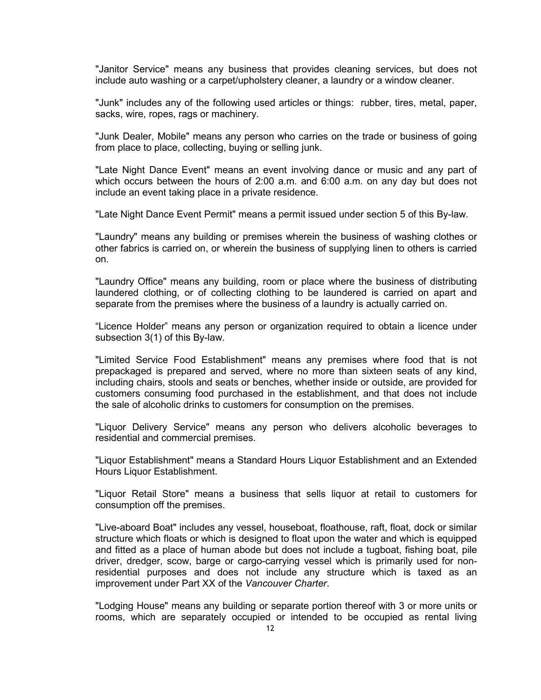"Janitor Service" means any business that provides cleaning services, but does not include auto washing or a carpet/upholstery cleaner, a laundry or a window cleaner.

"Junk" includes any of the following used articles or things: rubber, tires, metal, paper, sacks, wire, ropes, rags or machinery.

"Junk Dealer, Mobile" means any person who carries on the trade or business of going from place to place, collecting, buying or selling junk.

"Late Night Dance Event" means an event involving dance or music and any part of which occurs between the hours of 2:00 a.m. and 6:00 a.m. on any day but does not include an event taking place in a private residence.

"Late Night Dance Event Permit" means a permit issued under section 5 of this By-law.

"Laundry" means any building or premises wherein the business of washing clothes or other fabrics is carried on, or wherein the business of supplying linen to others is carried on.

"Laundry Office" means any building, room or place where the business of distributing laundered clothing, or of collecting clothing to be laundered is carried on apart and separate from the premises where the business of a laundry is actually carried on.

"Licence Holder" means any person or organization required to obtain a licence under subsection 3(1) of this By-law.

"Limited Service Food Establishment" means any premises where food that is not prepackaged is prepared and served, where no more than sixteen seats of any kind, including chairs, stools and seats or benches, whether inside or outside, are provided for customers consuming food purchased in the establishment, and that does not include the sale of alcoholic drinks to customers for consumption on the premises.

"Liquor Delivery Service" means any person who delivers alcoholic beverages to residential and commercial premises.

"Liquor Establishment" means a Standard Hours Liquor Establishment and an Extended Hours Liquor Establishment.

"Liquor Retail Store" means a business that sells liquor at retail to customers for consumption off the premises.

"Live-aboard Boat" includes any vessel, houseboat, floathouse, raft, float, dock or similar structure which floats or which is designed to float upon the water and which is equipped and fitted as a place of human abode but does not include a tugboat, fishing boat, pile driver, dredger, scow, barge or cargo-carrying vessel which is primarily used for nonresidential purposes and does not include any structure which is taxed as an improvement under Part XX of the *Vancouver Charter*.

"Lodging House" means any building or separate portion thereof with 3 or more units or rooms, which are separately occupied or intended to be occupied as rental living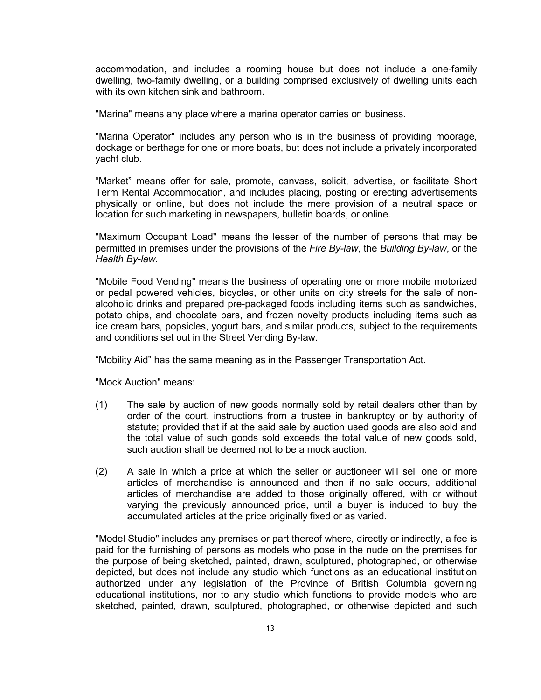accommodation, and includes a rooming house but does not include a one-family dwelling, two-family dwelling, or a building comprised exclusively of dwelling units each with its own kitchen sink and bathroom

"Marina" means any place where a marina operator carries on business.

"Marina Operator" includes any person who is in the business of providing moorage, dockage or berthage for one or more boats, but does not include a privately incorporated yacht club.

"Market" means offer for sale, promote, canvass, solicit, advertise, or facilitate Short Term Rental Accommodation, and includes placing, posting or erecting advertisements physically or online, but does not include the mere provision of a neutral space or location for such marketing in newspapers, bulletin boards, or online.

"Maximum Occupant Load" means the lesser of the number of persons that may be permitted in premises under the provisions of the *Fire By-law*, the *Building By-law*, or the *Health By-law*.

"Mobile Food Vending" means the business of operating one or more mobile motorized or pedal powered vehicles, bicycles, or other units on city streets for the sale of nonalcoholic drinks and prepared pre-packaged foods including items such as sandwiches, potato chips, and chocolate bars, and frozen novelty products including items such as ice cream bars, popsicles, yogurt bars, and similar products, subject to the requirements and conditions set out in the Street Vending By-law.

"Mobility Aid" has the same meaning as in the Passenger Transportation Act.

"Mock Auction" means:

- (1) The sale by auction of new goods normally sold by retail dealers other than by order of the court, instructions from a trustee in bankruptcy or by authority of statute; provided that if at the said sale by auction used goods are also sold and the total value of such goods sold exceeds the total value of new goods sold, such auction shall be deemed not to be a mock auction.
- (2) A sale in which a price at which the seller or auctioneer will sell one or more articles of merchandise is announced and then if no sale occurs, additional articles of merchandise are added to those originally offered, with or without varying the previously announced price, until a buyer is induced to buy the accumulated articles at the price originally fixed or as varied.

"Model Studio" includes any premises or part thereof where, directly or indirectly, a fee is paid for the furnishing of persons as models who pose in the nude on the premises for the purpose of being sketched, painted, drawn, sculptured, photographed, or otherwise depicted, but does not include any studio which functions as an educational institution authorized under any legislation of the Province of British Columbia governing educational institutions, nor to any studio which functions to provide models who are sketched, painted, drawn, sculptured, photographed, or otherwise depicted and such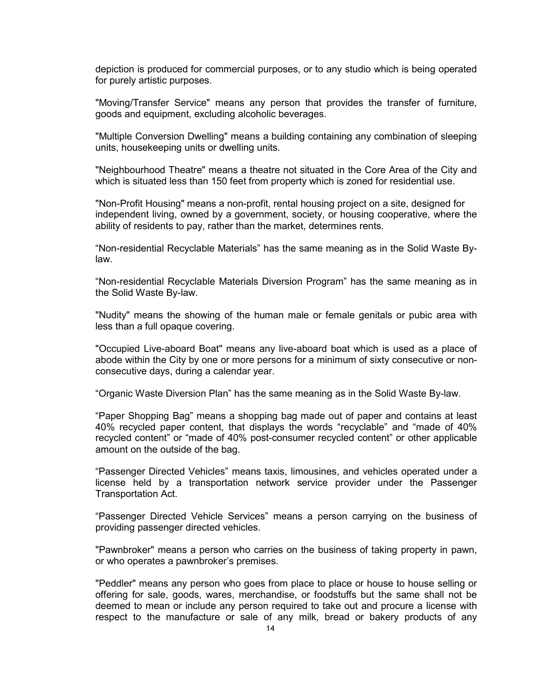depiction is produced for commercial purposes, or to any studio which is being operated for purely artistic purposes.

"Moving/Transfer Service" means any person that provides the transfer of furniture, goods and equipment, excluding alcoholic beverages.

"Multiple Conversion Dwelling" means a building containing any combination of sleeping units, housekeeping units or dwelling units.

"Neighbourhood Theatre" means a theatre not situated in the Core Area of the City and which is situated less than 150 feet from property which is zoned for residential use.

"Non-Profit Housing" means a non-profit, rental housing project on a site, designed for independent living, owned by a government, society, or housing cooperative, where the ability of residents to pay, rather than the market, determines rents.

"Non-residential Recyclable Materials" has the same meaning as in the Solid Waste Bylaw.

"Non-residential Recyclable Materials Diversion Program" has the same meaning as in the Solid Waste By-law.

"Nudity" means the showing of the human male or female genitals or pubic area with less than a full opaque covering.

"Occupied Live-aboard Boat" means any live-aboard boat which is used as a place of abode within the City by one or more persons for a minimum of sixty consecutive or nonconsecutive days, during a calendar year.

"Organic Waste Diversion Plan" has the same meaning as in the Solid Waste By-law.

"Paper Shopping Bag" means a shopping bag made out of paper and contains at least 40% recycled paper content, that displays the words "recyclable" and "made of 40% recycled content" or "made of 40% post-consumer recycled content" or other applicable amount on the outside of the bag.

"Passenger Directed Vehicles" means taxis, limousines, and vehicles operated under a license held by a transportation network service provider under the Passenger Transportation Act.

"Passenger Directed Vehicle Services" means a person carrying on the business of providing passenger directed vehicles.

"Pawnbroker" means a person who carries on the business of taking property in pawn, or who operates a pawnbroker's premises.

"Peddler" means any person who goes from place to place or house to house selling or offering for sale, goods, wares, merchandise, or foodstuffs but the same shall not be deemed to mean or include any person required to take out and procure a license with respect to the manufacture or sale of any milk, bread or bakery products of any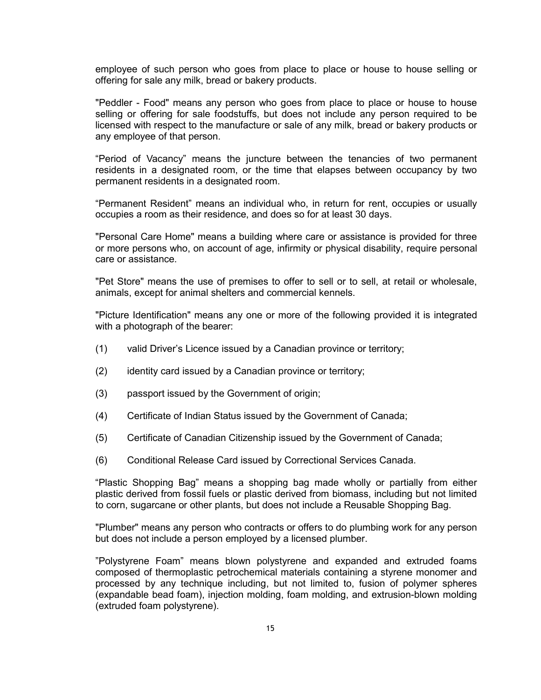employee of such person who goes from place to place or house to house selling or offering for sale any milk, bread or bakery products.

"Peddler - Food" means any person who goes from place to place or house to house selling or offering for sale foodstuffs, but does not include any person required to be licensed with respect to the manufacture or sale of any milk, bread or bakery products or any employee of that person.

"Period of Vacancy" means the juncture between the tenancies of two permanent residents in a designated room, or the time that elapses between occupancy by two permanent residents in a designated room.

"Permanent Resident" means an individual who, in return for rent, occupies or usually occupies a room as their residence, and does so for at least 30 days.

"Personal Care Home" means a building where care or assistance is provided for three or more persons who, on account of age, infirmity or physical disability, require personal care or assistance.

"Pet Store" means the use of premises to offer to sell or to sell, at retail or wholesale, animals, except for animal shelters and commercial kennels.

"Picture Identification" means any one or more of the following provided it is integrated with a photograph of the bearer:

- (1) valid Driver's Licence issued by a Canadian province or territory;
- (2) identity card issued by a Canadian province or territory;
- (3) passport issued by the Government of origin;
- (4) Certificate of Indian Status issued by the Government of Canada;
- (5) Certificate of Canadian Citizenship issued by the Government of Canada;
- (6) Conditional Release Card issued by Correctional Services Canada.

"Plastic Shopping Bag" means a shopping bag made wholly or partially from either plastic derived from fossil fuels or plastic derived from biomass, including but not limited to corn, sugarcane or other plants, but does not include a Reusable Shopping Bag.

"Plumber" means any person who contracts or offers to do plumbing work for any person but does not include a person employed by a licensed plumber.

"Polystyrene Foam" means blown polystyrene and expanded and extruded foams composed of thermoplastic petrochemical materials containing a styrene monomer and processed by any technique including, but not limited to, fusion of polymer spheres (expandable bead foam), injection molding, foam molding, and extrusion-blown molding (extruded foam polystyrene).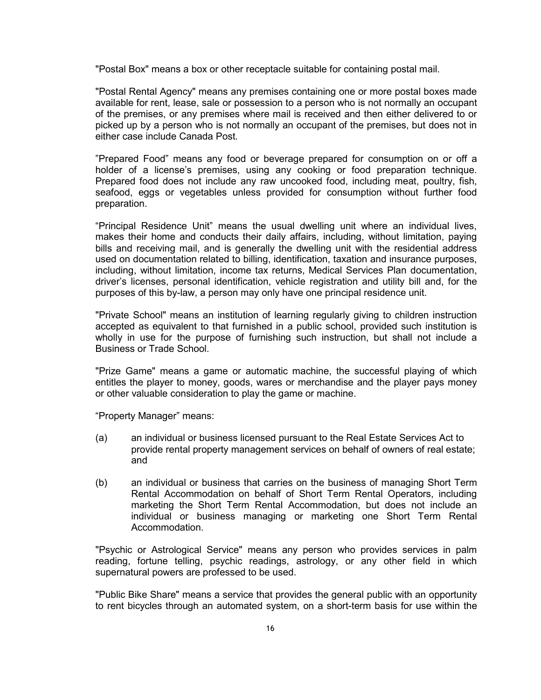"Postal Box" means a box or other receptacle suitable for containing postal mail.

"Postal Rental Agency" means any premises containing one or more postal boxes made available for rent, lease, sale or possession to a person who is not normally an occupant of the premises, or any premises where mail is received and then either delivered to or picked up by a person who is not normally an occupant of the premises, but does not in either case include Canada Post.

"Prepared Food" means any food or beverage prepared for consumption on or off a holder of a license's premises, using any cooking or food preparation technique. Prepared food does not include any raw uncooked food, including meat, poultry, fish, seafood, eggs or vegetables unless provided for consumption without further food preparation.

"Principal Residence Unit" means the usual dwelling unit where an individual lives, makes their home and conducts their daily affairs, including, without limitation, paying bills and receiving mail, and is generally the dwelling unit with the residential address used on documentation related to billing, identification, taxation and insurance purposes, including, without limitation, income tax returns, Medical Services Plan documentation, driver's licenses, personal identification, vehicle registration and utility bill and, for the purposes of this by-law, a person may only have one principal residence unit.

"Private School" means an institution of learning regularly giving to children instruction accepted as equivalent to that furnished in a public school, provided such institution is wholly in use for the purpose of furnishing such instruction, but shall not include a Business or Trade School.

"Prize Game" means a game or automatic machine, the successful playing of which entitles the player to money, goods, wares or merchandise and the player pays money or other valuable consideration to play the game or machine.

"Property Manager" means:

- (a) an individual or business licensed pursuant to the Real Estate Services Act to provide rental property management services on behalf of owners of real estate; and
- (b) an individual or business that carries on the business of managing Short Term Rental Accommodation on behalf of Short Term Rental Operators, including marketing the Short Term Rental Accommodation, but does not include an individual or business managing or marketing one Short Term Rental Accommodation.

"Psychic or Astrological Service" means any person who provides services in palm reading, fortune telling, psychic readings, astrology, or any other field in which supernatural powers are professed to be used.

"Public Bike Share" means a service that provides the general public with an opportunity to rent bicycles through an automated system, on a short-term basis for use within the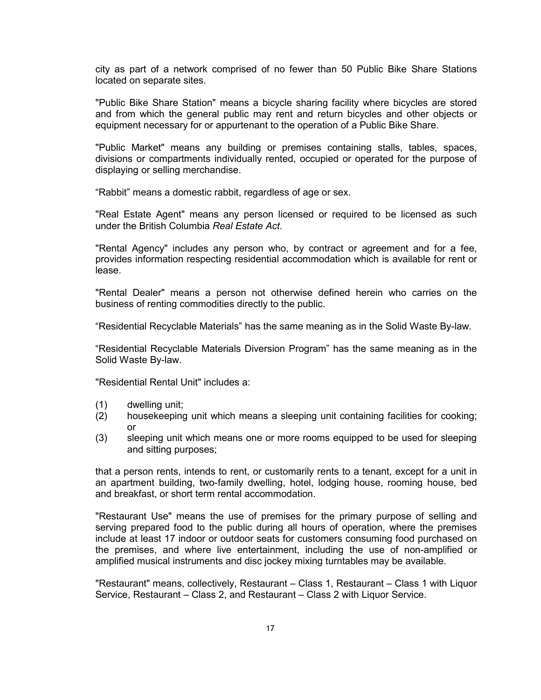city as part of a network comprised of no fewer than 50 Public Bike Share Stations located on separate sites.

"Public Bike Share Station" means a bicycle sharing facility where bicycles are stored and from which the general public may rent and return bicycles and other objects or equipment necessary for or appurtenant to the operation of a Public Bike Share.

"Public Market" means any building or premises containing stalls, tables, spaces, divisions or compartments individually rented, occupied or operated for the purpose of displaying or selling merchandise.

"Rabbit" means a domestic rabbit, regardless of age or sex.

"Real Estate Agent" means any person licensed or required to be licensed as such under the British Columbia *Real Estate Act*.

"Rental Agency" includes any person who, by contract or agreement and for a fee, provides information respecting residential accommodation which is available for rent or lease.

"Rental Dealer" means a person not otherwise defined herein who carries on the business of renting commodities directly to the public.

"Residential Recyclable Materials" has the same meaning as in the Solid Waste By-law.

"Residential Recyclable Materials Diversion Program" has the same meaning as in the Solid Waste By-law.

"Residential Rental Unit" includes a:

- (1) dwelling unit;
- (2) housekeeping unit which means a sleeping unit containing facilities for cooking; or
- (3) sleeping unit which means one or more rooms equipped to be used for sleeping and sitting purposes;

that a person rents, intends to rent, or customarily rents to a tenant, except for a unit in an apartment building, two-family dwelling, hotel, lodging house, rooming house, bed and breakfast, or short term rental accommodation.

"Restaurant Use" means the use of premises for the primary purpose of selling and serving prepared food to the public during all hours of operation, where the premises include at least 17 indoor or outdoor seats for customers consuming food purchased on the premises, and where live entertainment, including the use of non-amplified or amplified musical instruments and disc jockey mixing turntables may be available.

"Restaurant" means, collectively, Restaurant – Class 1, Restaurant – Class 1 with Liquor Service, Restaurant – Class 2, and Restaurant – Class 2 with Liquor Service.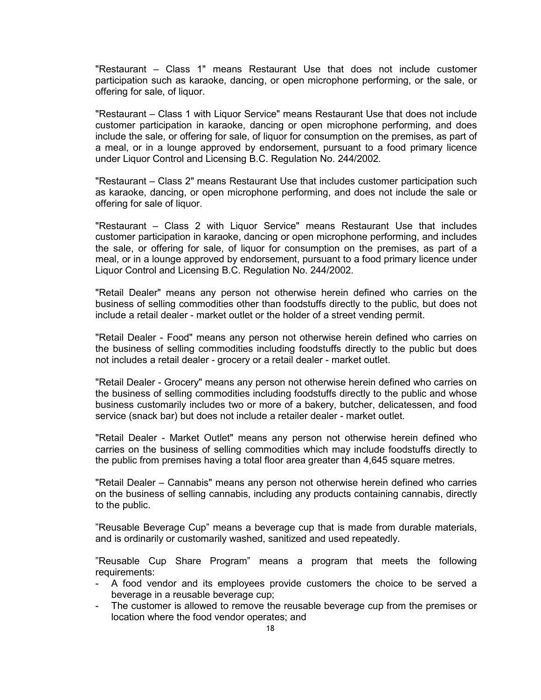"Restaurant – Class 1" means Restaurant Use that does not include customer participation such as karaoke, dancing, or open microphone performing, or the sale, or offering for sale, of liquor.

"Restaurant – Class 1 with Liquor Service" means Restaurant Use that does not include customer participation in karaoke, dancing or open microphone performing, and does include the sale, or offering for sale, of liquor for consumption on the premises, as part of a meal, or in a lounge approved by endorsement, pursuant to a food primary licence under Liquor Control and Licensing B.C. Regulation No. 244/2002.

"Restaurant – Class 2" means Restaurant Use that includes customer participation such as karaoke, dancing, or open microphone performing, and does not include the sale or offering for sale of liquor.

"Restaurant – Class 2 with Liquor Service" means Restaurant Use that includes customer participation in karaoke, dancing or open microphone performing, and includes the sale, or offering for sale, of liquor for consumption on the premises, as part of a meal, or in a lounge approved by endorsement, pursuant to a food primary licence under Liquor Control and Licensing B.C. Regulation No. 244/2002.

"Retail Dealer" means any person not otherwise herein defined who carries on the business of selling commodities other than foodstuffs directly to the public, but does not include a retail dealer - market outlet or the holder of a street vending permit.

"Retail Dealer - Food" means any person not otherwise herein defined who carries on the business of selling commodities including foodstuffs directly to the public but does not includes a retail dealer - grocery or a retail dealer - market outlet.

"Retail Dealer - Grocery" means any person not otherwise herein defined who carries on the business of selling commodities including foodstuffs directly to the public and whose business customarily includes two or more of a bakery, butcher, delicatessen, and food service (snack bar) but does not include a retailer dealer - market outlet.

"Retail Dealer - Market Outlet" means any person not otherwise herein defined who carries on the business of selling commodities which may include foodstuffs directly to the public from premises having a total floor area greater than 4,645 square metres.

"Retail Dealer – Cannabis" means any person not otherwise herein defined who carries on the business of selling cannabis, including any products containing cannabis, directly to the public.

"Reusable Beverage Cup" means a beverage cup that is made from durable materials, and is ordinarily or customarily washed, sanitized and used repeatedly.

"Reusable Cup Share Program" means a program that meets the following requirements:

- A food vendor and its employees provide customers the choice to be served a beverage in a reusable beverage cup;
- The customer is allowed to remove the reusable beverage cup from the premises or location where the food vendor operates; and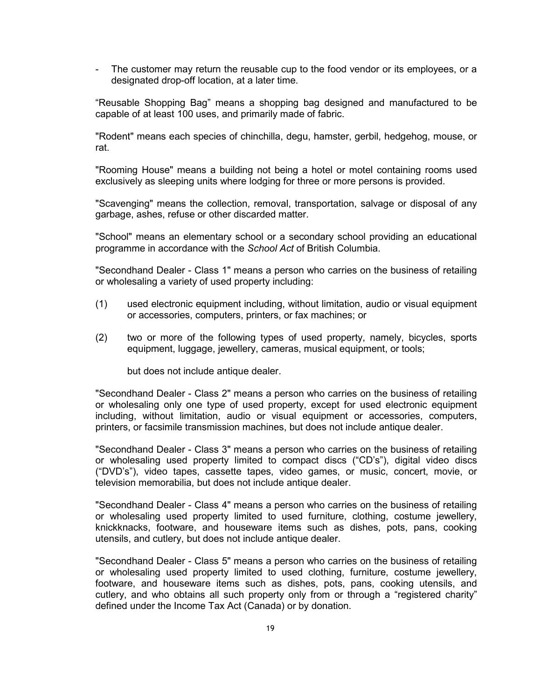- The customer may return the reusable cup to the food vendor or its employees, or a designated drop-off location, at a later time.

"Reusable Shopping Bag" means a shopping bag designed and manufactured to be capable of at least 100 uses, and primarily made of fabric.

"Rodent" means each species of chinchilla, degu, hamster, gerbil, hedgehog, mouse, or rat.

"Rooming House" means a building not being a hotel or motel containing rooms used exclusively as sleeping units where lodging for three or more persons is provided.

"Scavenging" means the collection, removal, transportation, salvage or disposal of any garbage, ashes, refuse or other discarded matter.

"School" means an elementary school or a secondary school providing an educational programme in accordance with the *School Act* of British Columbia.

"Secondhand Dealer - Class 1" means a person who carries on the business of retailing or wholesaling a variety of used property including:

- (1) used electronic equipment including, without limitation, audio or visual equipment or accessories, computers, printers, or fax machines; or
- (2) two or more of the following types of used property, namely, bicycles, sports equipment, luggage, jewellery, cameras, musical equipment, or tools;

but does not include antique dealer.

"Secondhand Dealer - Class 2" means a person who carries on the business of retailing or wholesaling only one type of used property, except for used electronic equipment including, without limitation, audio or visual equipment or accessories, computers, printers, or facsimile transmission machines, but does not include antique dealer.

"Secondhand Dealer - Class 3" means a person who carries on the business of retailing or wholesaling used property limited to compact discs ("CD's"), digital video discs ("DVD's"), video tapes, cassette tapes, video games, or music, concert, movie, or television memorabilia, but does not include antique dealer.

"Secondhand Dealer - Class 4" means a person who carries on the business of retailing or wholesaling used property limited to used furniture, clothing, costume jewellery, knickknacks, footware, and houseware items such as dishes, pots, pans, cooking utensils, and cutlery, but does not include antique dealer.

"Secondhand Dealer - Class 5" means a person who carries on the business of retailing or wholesaling used property limited to used clothing, furniture, costume jewellery, footware, and houseware items such as dishes, pots, pans, cooking utensils, and cutlery, and who obtains all such property only from or through a "registered charity" defined under the Income Tax Act (Canada) or by donation.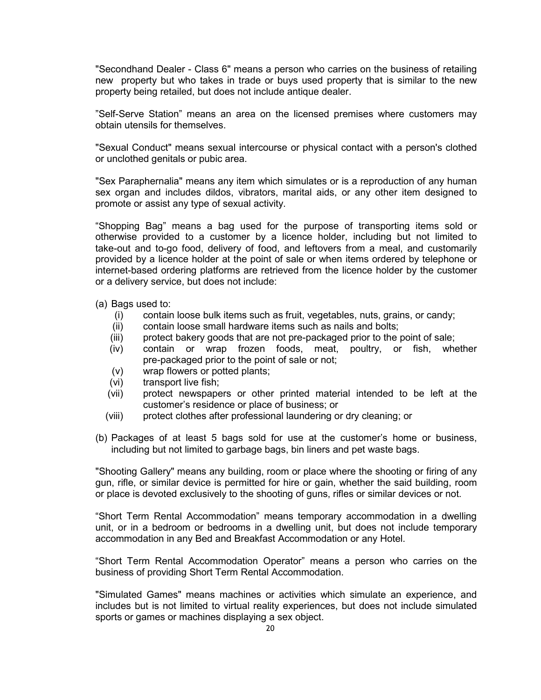"Secondhand Dealer - Class 6" means a person who carries on the business of retailing new property but who takes in trade or buys used property that is similar to the new property being retailed, but does not include antique dealer.

"Self-Serve Station" means an area on the licensed premises where customers may obtain utensils for themselves.

"Sexual Conduct" means sexual intercourse or physical contact with a person's clothed or unclothed genitals or pubic area.

"Sex Paraphernalia" means any item which simulates or is a reproduction of any human sex organ and includes dildos, vibrators, marital aids, or any other item designed to promote or assist any type of sexual activity.

"Shopping Bag" means a bag used for the purpose of transporting items sold or otherwise provided to a customer by a licence holder, including but not limited to take-out and to-go food, delivery of food, and leftovers from a meal, and customarily provided by a licence holder at the point of sale or when items ordered by telephone or internet-based ordering platforms are retrieved from the licence holder by the customer or a delivery service, but does not include:

- (a) Bags used to:
	- (i) contain loose bulk items such as fruit, vegetables, nuts, grains, or candy;
	- contain loose small hardware items such as nails and bolts;
	- (iii) protect bakery goods that are not pre-packaged prior to the point of sale;
	- (iv) contain or wrap frozen foods, meat, poultry, or fish, whether pre-packaged prior to the point of sale or not;
	- (v) wrap flowers or potted plants;
	- (vi) transport live fish;
	- (vii) protect newspapers or other printed material intended to be left at the customer's residence or place of business; or
	- (viii) protect clothes after professional laundering or dry cleaning; or
- (b) Packages of at least 5 bags sold for use at the customer's home or business, including but not limited to garbage bags, bin liners and pet waste bags.

"Shooting Gallery" means any building, room or place where the shooting or firing of any gun, rifle, or similar device is permitted for hire or gain, whether the said building, room or place is devoted exclusively to the shooting of guns, rifles or similar devices or not.

"Short Term Rental Accommodation" means temporary accommodation in a dwelling unit, or in a bedroom or bedrooms in a dwelling unit, but does not include temporary accommodation in any Bed and Breakfast Accommodation or any Hotel.

"Short Term Rental Accommodation Operator" means a person who carries on the business of providing Short Term Rental Accommodation.

"Simulated Games" means machines or activities which simulate an experience, and includes but is not limited to virtual reality experiences, but does not include simulated sports or games or machines displaying a sex object.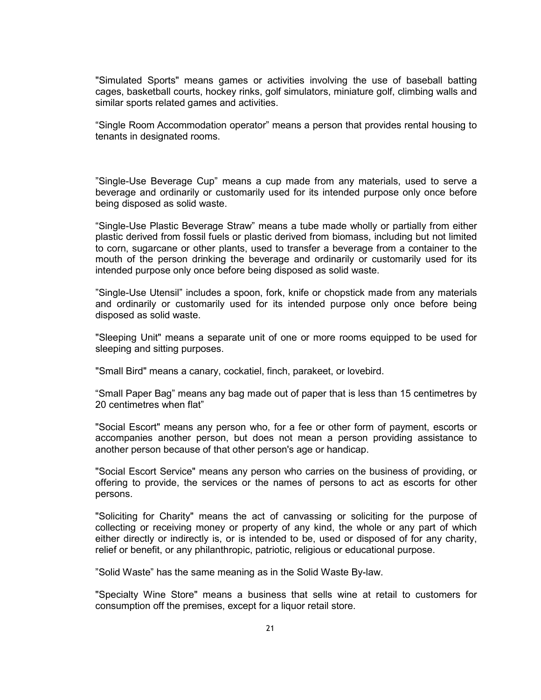"Simulated Sports" means games or activities involving the use of baseball batting cages, basketball courts, hockey rinks, golf simulators, miniature golf, climbing walls and similar sports related games and activities.

"Single Room Accommodation operator" means a person that provides rental housing to tenants in designated rooms.

"Single-Use Beverage Cup" means a cup made from any materials, used to serve a beverage and ordinarily or customarily used for its intended purpose only once before being disposed as solid waste.

"Single-Use Plastic Beverage Straw" means a tube made wholly or partially from either plastic derived from fossil fuels or plastic derived from biomass, including but not limited to corn, sugarcane or other plants, used to transfer a beverage from a container to the mouth of the person drinking the beverage and ordinarily or customarily used for its intended purpose only once before being disposed as solid waste.

"Single-Use Utensil" includes a spoon, fork, knife or chopstick made from any materials and ordinarily or customarily used for its intended purpose only once before being disposed as solid waste.

"Sleeping Unit" means a separate unit of one or more rooms equipped to be used for sleeping and sitting purposes.

"Small Bird" means a canary, cockatiel, finch, parakeet, or lovebird.

"Small Paper Bag" means any bag made out of paper that is less than 15 centimetres by 20 centimetres when flat"

"Social Escort" means any person who, for a fee or other form of payment, escorts or accompanies another person, but does not mean a person providing assistance to another person because of that other person's age or handicap.

"Social Escort Service" means any person who carries on the business of providing, or offering to provide, the services or the names of persons to act as escorts for other persons.

"Soliciting for Charity" means the act of canvassing or soliciting for the purpose of collecting or receiving money or property of any kind, the whole or any part of which either directly or indirectly is, or is intended to be, used or disposed of for any charity, relief or benefit, or any philanthropic, patriotic, religious or educational purpose.

"Solid Waste" has the same meaning as in the Solid Waste By-law.

"Specialty Wine Store" means a business that sells wine at retail to customers for consumption off the premises, except for a liquor retail store.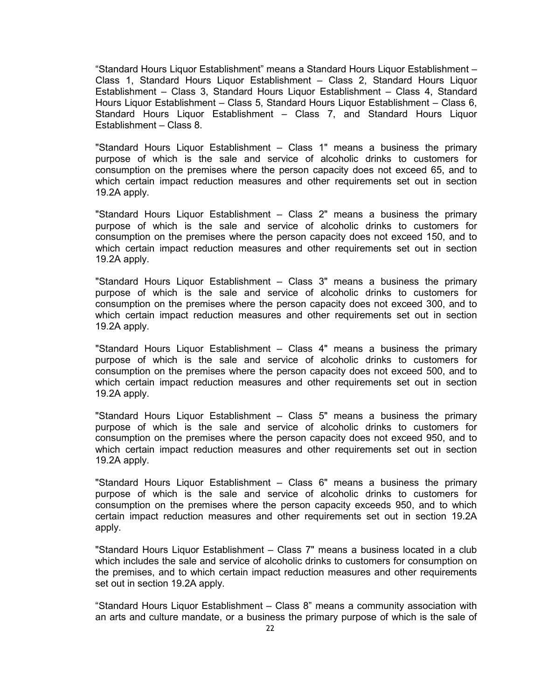"Standard Hours Liquor Establishment" means a Standard Hours Liquor Establishment – Class 1, Standard Hours Liquor Establishment – Class 2, Standard Hours Liquor Establishment – Class 3, Standard Hours Liquor Establishment – Class 4, Standard Hours Liquor Establishment – Class 5, Standard Hours Liquor Establishment – Class 6, Standard Hours Liquor Establishment – Class 7, and Standard Hours Liquor Establishment – Class 8.

"Standard Hours Liquor Establishment – Class 1" means a business the primary purpose of which is the sale and service of alcoholic drinks to customers for consumption on the premises where the person capacity does not exceed 65, and to which certain impact reduction measures and other requirements set out in section 19.2A apply.

"Standard Hours Liquor Establishment – Class 2" means a business the primary purpose of which is the sale and service of alcoholic drinks to customers for consumption on the premises where the person capacity does not exceed 150, and to which certain impact reduction measures and other requirements set out in section 19.2A apply.

"Standard Hours Liquor Establishment – Class 3" means a business the primary purpose of which is the sale and service of alcoholic drinks to customers for consumption on the premises where the person capacity does not exceed 300, and to which certain impact reduction measures and other requirements set out in section 19.2A apply.

"Standard Hours Liquor Establishment – Class 4" means a business the primary purpose of which is the sale and service of alcoholic drinks to customers for consumption on the premises where the person capacity does not exceed 500, and to which certain impact reduction measures and other requirements set out in section 19.2A apply.

"Standard Hours Liquor Establishment – Class 5" means a business the primary purpose of which is the sale and service of alcoholic drinks to customers for consumption on the premises where the person capacity does not exceed 950, and to which certain impact reduction measures and other requirements set out in section 19.2A apply.

"Standard Hours Liquor Establishment – Class 6" means a business the primary purpose of which is the sale and service of alcoholic drinks to customers for consumption on the premises where the person capacity exceeds 950, and to which certain impact reduction measures and other requirements set out in section 19.2A apply.

"Standard Hours Liquor Establishment – Class 7" means a business located in a club which includes the sale and service of alcoholic drinks to customers for consumption on the premises, and to which certain impact reduction measures and other requirements set out in section 19.2A apply.

"Standard Hours Liquor Establishment – Class 8" means a community association with an arts and culture mandate, or a business the primary purpose of which is the sale of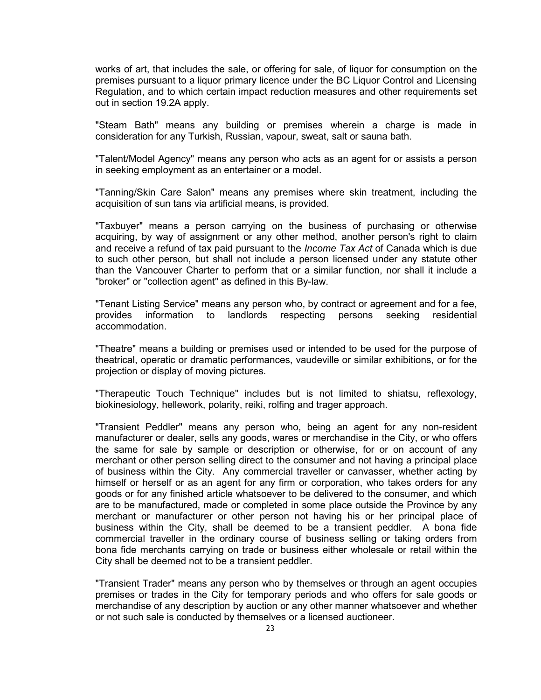works of art, that includes the sale, or offering for sale, of liquor for consumption on the premises pursuant to a liquor primary licence under the BC Liquor Control and Licensing Regulation, and to which certain impact reduction measures and other requirements set out in section 19.2A apply.

"Steam Bath" means any building or premises wherein a charge is made in consideration for any Turkish, Russian, vapour, sweat, salt or sauna bath.

"Talent/Model Agency" means any person who acts as an agent for or assists a person in seeking employment as an entertainer or a model.

"Tanning/Skin Care Salon" means any premises where skin treatment, including the acquisition of sun tans via artificial means, is provided.

"Taxbuyer" means a person carrying on the business of purchasing or otherwise acquiring, by way of assignment or any other method, another person's right to claim and receive a refund of tax paid pursuant to the *Income Tax Act* of Canada which is due to such other person, but shall not include a person licensed under any statute other than the Vancouver Charter to perform that or a similar function, nor shall it include a "broker" or "collection agent" as defined in this By-law.

"Tenant Listing Service" means any person who, by contract or agreement and for a fee, provides information to landlords respecting persons seeking residential accommodation.

"Theatre" means a building or premises used or intended to be used for the purpose of theatrical, operatic or dramatic performances, vaudeville or similar exhibitions, or for the projection or display of moving pictures.

"Therapeutic Touch Technique" includes but is not limited to shiatsu, reflexology, biokinesiology, hellework, polarity, reiki, rolfing and trager approach.

"Transient Peddler" means any person who, being an agent for any non-resident manufacturer or dealer, sells any goods, wares or merchandise in the City, or who offers the same for sale by sample or description or otherwise, for or on account of any merchant or other person selling direct to the consumer and not having a principal place of business within the City. Any commercial traveller or canvasser, whether acting by himself or herself or as an agent for any firm or corporation, who takes orders for any goods or for any finished article whatsoever to be delivered to the consumer, and which are to be manufactured, made or completed in some place outside the Province by any merchant or manufacturer or other person not having his or her principal place of business within the City, shall be deemed to be a transient peddler. A bona fide commercial traveller in the ordinary course of business selling or taking orders from bona fide merchants carrying on trade or business either wholesale or retail within the City shall be deemed not to be a transient peddler.

"Transient Trader" means any person who by themselves or through an agent occupies premises or trades in the City for temporary periods and who offers for sale goods or merchandise of any description by auction or any other manner whatsoever and whether or not such sale is conducted by themselves or a licensed auctioneer.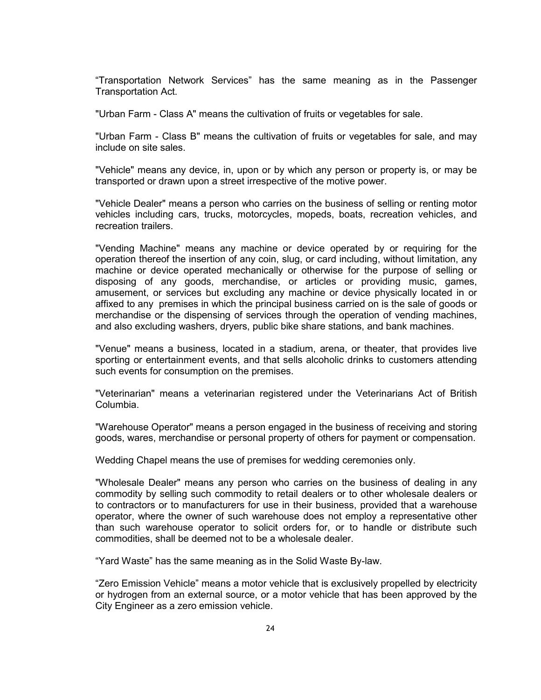"Transportation Network Services" has the same meaning as in the Passenger Transportation Act.

"Urban Farm - Class A" means the cultivation of fruits or vegetables for sale.

"Urban Farm - Class B" means the cultivation of fruits or vegetables for sale, and may include on site sales.

"Vehicle" means any device, in, upon or by which any person or property is, or may be transported or drawn upon a street irrespective of the motive power.

"Vehicle Dealer" means a person who carries on the business of selling or renting motor vehicles including cars, trucks, motorcycles, mopeds, boats, recreation vehicles, and recreation trailers.

"Vending Machine" means any machine or device operated by or requiring for the operation thereof the insertion of any coin, slug, or card including, without limitation, any machine or device operated mechanically or otherwise for the purpose of selling or disposing of any goods, merchandise, or articles or providing music, games, amusement, or services but excluding any machine or device physically located in or affixed to any premises in which the principal business carried on is the sale of goods or merchandise or the dispensing of services through the operation of vending machines, and also excluding washers, dryers, public bike share stations, and bank machines.

"Venue" means a business, located in a stadium, arena, or theater, that provides live sporting or entertainment events, and that sells alcoholic drinks to customers attending such events for consumption on the premises.

"Veterinarian" means a veterinarian registered under the Veterinarians Act of British Columbia.

"Warehouse Operator" means a person engaged in the business of receiving and storing goods, wares, merchandise or personal property of others for payment or compensation.

Wedding Chapel means the use of premises for wedding ceremonies only.

"Wholesale Dealer" means any person who carries on the business of dealing in any commodity by selling such commodity to retail dealers or to other wholesale dealers or to contractors or to manufacturers for use in their business, provided that a warehouse operator, where the owner of such warehouse does not employ a representative other than such warehouse operator to solicit orders for, or to handle or distribute such commodities, shall be deemed not to be a wholesale dealer.

"Yard Waste" has the same meaning as in the Solid Waste By-law.

"Zero Emission Vehicle" means a motor vehicle that is exclusively propelled by electricity or hydrogen from an external source, or a motor vehicle that has been approved by the City Engineer as a zero emission vehicle.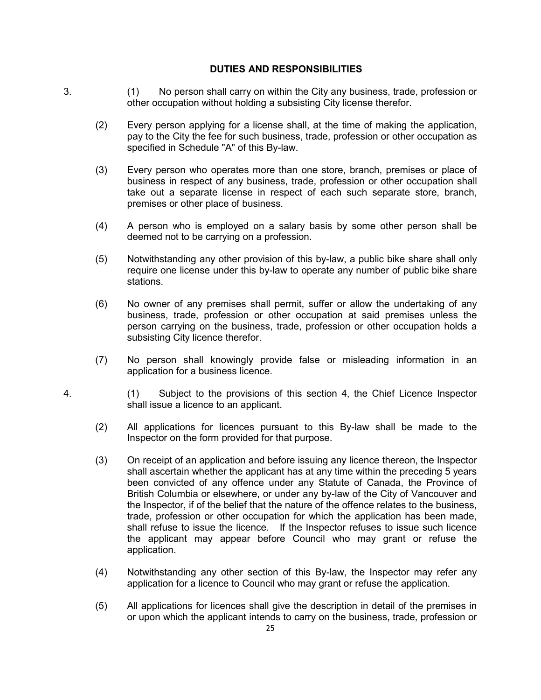#### **DUTIES AND RESPONSIBILITIES**

- 3. (1) No person shall carry on within the City any business, trade, profession or other occupation without holding a subsisting City license therefor.
	- (2) Every person applying for a license shall, at the time of making the application, pay to the City the fee for such business, trade, profession or other occupation as specified in Schedule "A" of this By-law.
	- (3) Every person who operates more than one store, branch, premises or place of business in respect of any business, trade, profession or other occupation shall take out a separate license in respect of each such separate store, branch, premises or other place of business.
	- (4) A person who is employed on a salary basis by some other person shall be deemed not to be carrying on a profession.
	- (5) Notwithstanding any other provision of this by-law, a public bike share shall only require one license under this by-law to operate any number of public bike share stations.
	- (6) No owner of any premises shall permit, suffer or allow the undertaking of any business, trade, profession or other occupation at said premises unless the person carrying on the business, trade, profession or other occupation holds a subsisting City licence therefor.
	- (7) No person shall knowingly provide false or misleading information in an application for a business licence.
- 4. (1) Subject to the provisions of this section 4, the Chief Licence Inspector shall issue a licence to an applicant.
	- (2) All applications for licences pursuant to this By-law shall be made to the Inspector on the form provided for that purpose.
	- (3) On receipt of an application and before issuing any licence thereon, the Inspector shall ascertain whether the applicant has at any time within the preceding 5 years been convicted of any offence under any Statute of Canada, the Province of British Columbia or elsewhere, or under any by-law of the City of Vancouver and the Inspector, if of the belief that the nature of the offence relates to the business, trade, profession or other occupation for which the application has been made, shall refuse to issue the licence. If the Inspector refuses to issue such licence the applicant may appear before Council who may grant or refuse the application.
	- (4) Notwithstanding any other section of this By-law, the Inspector may refer any application for a licence to Council who may grant or refuse the application.
	- (5) All applications for licences shall give the description in detail of the premises in or upon which the applicant intends to carry on the business, trade, profession or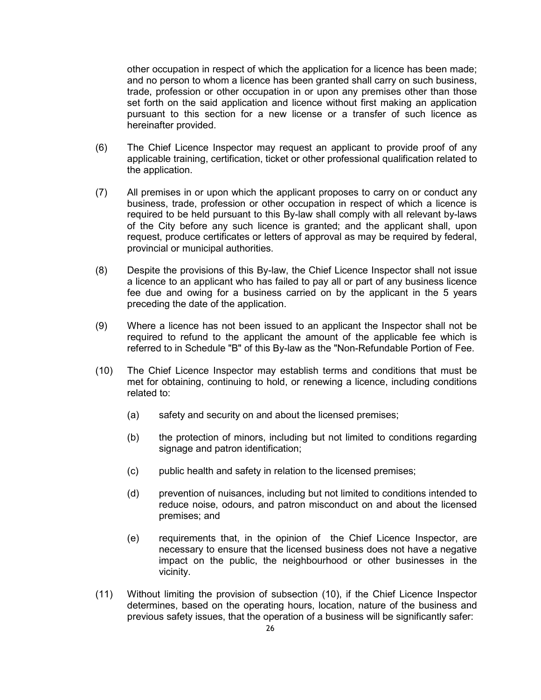other occupation in respect of which the application for a licence has been made; and no person to whom a licence has been granted shall carry on such business, trade, profession or other occupation in or upon any premises other than those set forth on the said application and licence without first making an application pursuant to this section for a new license or a transfer of such licence as hereinafter provided.

- (6) The Chief Licence Inspector may request an applicant to provide proof of any applicable training, certification, ticket or other professional qualification related to the application.
- (7) All premises in or upon which the applicant proposes to carry on or conduct any business, trade, profession or other occupation in respect of which a licence is required to be held pursuant to this By-law shall comply with all relevant by-laws of the City before any such licence is granted; and the applicant shall, upon request, produce certificates or letters of approval as may be required by federal, provincial or municipal authorities.
- (8) Despite the provisions of this By-law, the Chief Licence Inspector shall not issue a licence to an applicant who has failed to pay all or part of any business licence fee due and owing for a business carried on by the applicant in the 5 years preceding the date of the application.
- (9) Where a licence has not been issued to an applicant the Inspector shall not be required to refund to the applicant the amount of the applicable fee which is referred to in Schedule "B" of this By-law as the "Non-Refundable Portion of Fee.
- (10) The Chief Licence Inspector may establish terms and conditions that must be met for obtaining, continuing to hold, or renewing a licence, including conditions related to:
	- (a) safety and security on and about the licensed premises;
	- (b) the protection of minors, including but not limited to conditions regarding signage and patron identification;
	- (c) public health and safety in relation to the licensed premises;
	- (d) prevention of nuisances, including but not limited to conditions intended to reduce noise, odours, and patron misconduct on and about the licensed premises; and
	- (e) requirements that, in the opinion of the Chief Licence Inspector, are necessary to ensure that the licensed business does not have a negative impact on the public, the neighbourhood or other businesses in the vicinity.
- (11) Without limiting the provision of subsection (10), if the Chief Licence Inspector determines, based on the operating hours, location, nature of the business and previous safety issues, that the operation of a business will be significantly safer: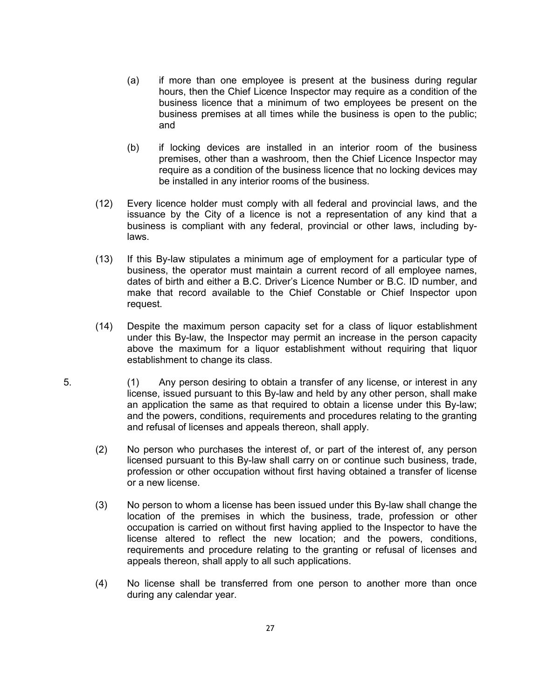- (a) if more than one employee is present at the business during regular hours, then the Chief Licence Inspector may require as a condition of the business licence that a minimum of two employees be present on the business premises at all times while the business is open to the public; and
- (b) if locking devices are installed in an interior room of the business premises, other than a washroom, then the Chief Licence Inspector may require as a condition of the business licence that no locking devices may be installed in any interior rooms of the business.
- (12) Every licence holder must comply with all federal and provincial laws, and the issuance by the City of a licence is not a representation of any kind that a business is compliant with any federal, provincial or other laws, including bylaws.
- (13) If this By-law stipulates a minimum age of employment for a particular type of business, the operator must maintain a current record of all employee names, dates of birth and either a B.C. Driver's Licence Number or B.C. ID number, and make that record available to the Chief Constable or Chief Inspector upon request.
- (14) Despite the maximum person capacity set for a class of liquor establishment under this By-law, the Inspector may permit an increase in the person capacity above the maximum for a liquor establishment without requiring that liquor establishment to change its class.
- 5. (1) Any person desiring to obtain a transfer of any license, or interest in any license, issued pursuant to this By-law and held by any other person, shall make an application the same as that required to obtain a license under this By-law; and the powers, conditions, requirements and procedures relating to the granting and refusal of licenses and appeals thereon, shall apply.
	- (2) No person who purchases the interest of, or part of the interest of, any person licensed pursuant to this By-law shall carry on or continue such business, trade, profession or other occupation without first having obtained a transfer of license or a new license.
	- (3) No person to whom a license has been issued under this By-law shall change the location of the premises in which the business, trade, profession or other occupation is carried on without first having applied to the Inspector to have the license altered to reflect the new location; and the powers, conditions, requirements and procedure relating to the granting or refusal of licenses and appeals thereon, shall apply to all such applications.
	- (4) No license shall be transferred from one person to another more than once during any calendar year.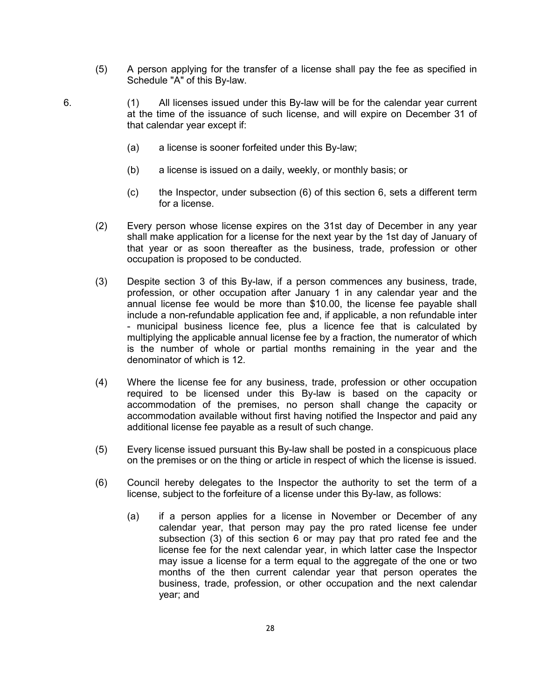- (5) A person applying for the transfer of a license shall pay the fee as specified in Schedule "A" of this By-law.
- 6. (1) All licenses issued under this By-law will be for the calendar year current at the time of the issuance of such license, and will expire on December 31 of that calendar year except if:
	- (a) a license is sooner forfeited under this By-law;
	- (b) a license is issued on a daily, weekly, or monthly basis; or
	- (c) the Inspector, under subsection (6) of this section 6, sets a different term for a license.
	- (2) Every person whose license expires on the 31st day of December in any year shall make application for a license for the next year by the 1st day of January of that year or as soon thereafter as the business, trade, profession or other occupation is proposed to be conducted.
	- (3) Despite section 3 of this By-law, if a person commences any business, trade, profession, or other occupation after January 1 in any calendar year and the annual license fee would be more than \$10.00, the license fee payable shall include a non-refundable application fee and, if applicable, a non refundable inter - municipal business licence fee, plus a licence fee that is calculated by multiplying the applicable annual license fee by a fraction, the numerator of which is the number of whole or partial months remaining in the year and the denominator of which is 12.
	- (4) Where the license fee for any business, trade, profession or other occupation required to be licensed under this By-law is based on the capacity or accommodation of the premises, no person shall change the capacity or accommodation available without first having notified the Inspector and paid any additional license fee payable as a result of such change.
	- (5) Every license issued pursuant this By-law shall be posted in a conspicuous place on the premises or on the thing or article in respect of which the license is issued.
	- (6) Council hereby delegates to the Inspector the authority to set the term of a license, subject to the forfeiture of a license under this By-law, as follows:
		- (a) if a person applies for a license in November or December of any calendar year, that person may pay the pro rated license fee under subsection (3) of this section 6 or may pay that pro rated fee and the license fee for the next calendar year, in which latter case the Inspector may issue a license for a term equal to the aggregate of the one or two months of the then current calendar year that person operates the business, trade, profession, or other occupation and the next calendar year; and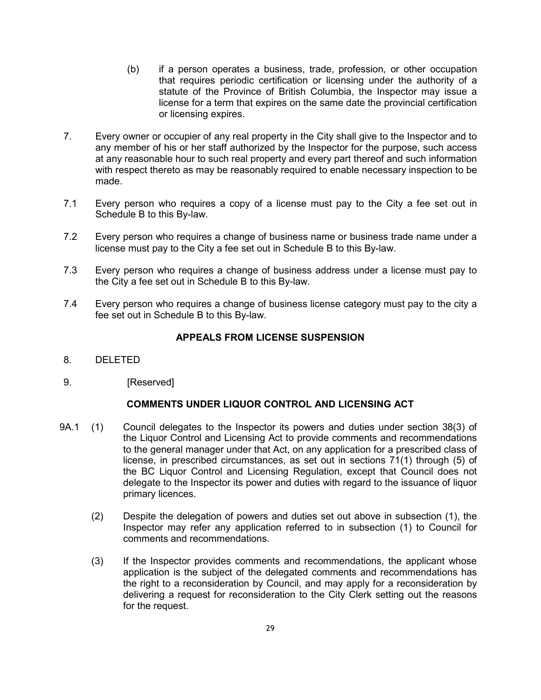- (b) if a person operates a business, trade, profession, or other occupation that requires periodic certification or licensing under the authority of a statute of the Province of British Columbia, the Inspector may issue a license for a term that expires on the same date the provincial certification or licensing expires.
- 7. Every owner or occupier of any real property in the City shall give to the Inspector and to any member of his or her staff authorized by the Inspector for the purpose, such access at any reasonable hour to such real property and every part thereof and such information with respect thereto as may be reasonably required to enable necessary inspection to be made.
- 7.1 Every person who requires a copy of a license must pay to the City a fee set out in Schedule B to this By-law.
- 7.2 Every person who requires a change of business name or business trade name under a license must pay to the City a fee set out in Schedule B to this By-law.
- 7.3 Every person who requires a change of business address under a license must pay to the City a fee set out in Schedule B to this By-law.
- 7.4 Every person who requires a change of business license category must pay to the city a fee set out in Schedule B to this By-law.

### **APPEALS FROM LICENSE SUSPENSION**

- 8. DELETED
- 9. [Reserved]

## **COMMENTS UNDER LIQUOR CONTROL AND LICENSING ACT**

- 9A.1 (1) Council delegates to the Inspector its powers and duties under section 38(3) of the Liquor Control and Licensing Act to provide comments and recommendations to the general manager under that Act, on any application for a prescribed class of license, in prescribed circumstances, as set out in sections 71(1) through (5) of the BC Liquor Control and Licensing Regulation, except that Council does not delegate to the Inspector its power and duties with regard to the issuance of liquor primary licences.
	- (2) Despite the delegation of powers and duties set out above in subsection (1), the Inspector may refer any application referred to in subsection (1) to Council for comments and recommendations.
	- (3) If the Inspector provides comments and recommendations, the applicant whose application is the subject of the delegated comments and recommendations has the right to a reconsideration by Council, and may apply for a reconsideration by delivering a request for reconsideration to the City Clerk setting out the reasons for the request.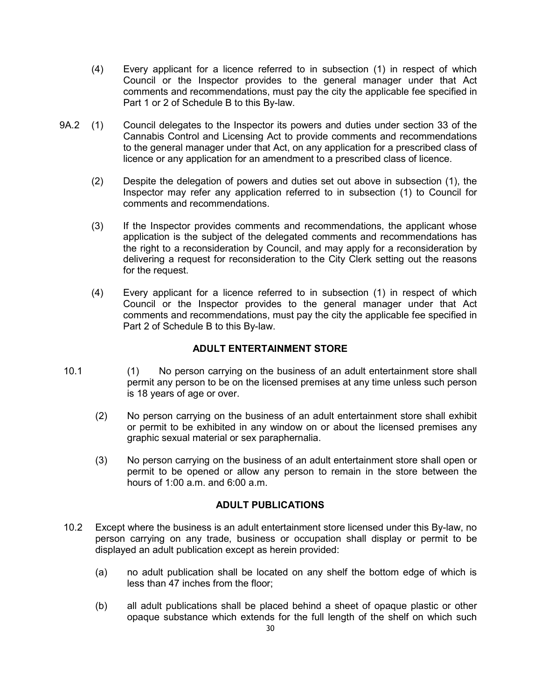- (4) Every applicant for a licence referred to in subsection (1) in respect of which Council or the Inspector provides to the general manager under that Act comments and recommendations, must pay the city the applicable fee specified in Part 1 or 2 of Schedule B to this By-law.
- 9A.2 (1) Council delegates to the Inspector its powers and duties under section 33 of the Cannabis Control and Licensing Act to provide comments and recommendations to the general manager under that Act, on any application for a prescribed class of licence or any application for an amendment to a prescribed class of licence.
	- (2) Despite the delegation of powers and duties set out above in subsection (1), the Inspector may refer any application referred to in subsection (1) to Council for comments and recommendations.
	- (3) If the Inspector provides comments and recommendations, the applicant whose application is the subject of the delegated comments and recommendations has the right to a reconsideration by Council, and may apply for a reconsideration by delivering a request for reconsideration to the City Clerk setting out the reasons for the request.
	- (4) Every applicant for a licence referred to in subsection (1) in respect of which Council or the Inspector provides to the general manager under that Act comments and recommendations, must pay the city the applicable fee specified in Part 2 of Schedule B to this By-law.

## **ADULT ENTERTAINMENT STORE**

- 10.1 (1) No person carrying on the business of an adult entertainment store shall permit any person to be on the licensed premises at any time unless such person is 18 years of age or over.
	- (2) No person carrying on the business of an adult entertainment store shall exhibit or permit to be exhibited in any window on or about the licensed premises any graphic sexual material or sex paraphernalia.
	- (3) No person carrying on the business of an adult entertainment store shall open or permit to be opened or allow any person to remain in the store between the hours of 1:00 a.m. and 6:00 a.m.

#### **ADULT PUBLICATIONS**

- 10.2 Except where the business is an adult entertainment store licensed under this By-law, no person carrying on any trade, business or occupation shall display or permit to be displayed an adult publication except as herein provided:
	- (a) no adult publication shall be located on any shelf the bottom edge of which is less than 47 inches from the floor;
	- (b) all adult publications shall be placed behind a sheet of opaque plastic or other opaque substance which extends for the full length of the shelf on which such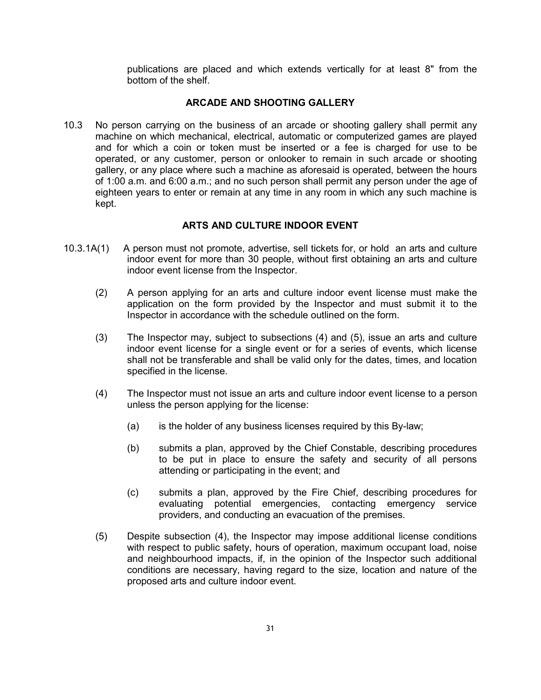publications are placed and which extends vertically for at least 8" from the bottom of the shelf.

### **ARCADE AND SHOOTING GALLERY**

10.3 No person carrying on the business of an arcade or shooting gallery shall permit any machine on which mechanical, electrical, automatic or computerized games are played and for which a coin or token must be inserted or a fee is charged for use to be operated, or any customer, person or onlooker to remain in such arcade or shooting gallery, or any place where such a machine as aforesaid is operated, between the hours of 1:00 a.m. and 6:00 a.m.; and no such person shall permit any person under the age of eighteen years to enter or remain at any time in any room in which any such machine is kept.

### **ARTS AND CULTURE INDOOR EVENT**

- 10.3.1A(1) A person must not promote, advertise, sell tickets for, or hold an arts and culture indoor event for more than 30 people, without first obtaining an arts and culture indoor event license from the Inspector.
	- (2) A person applying for an arts and culture indoor event license must make the application on the form provided by the Inspector and must submit it to the Inspector in accordance with the schedule outlined on the form.
	- (3) The Inspector may, subject to subsections (4) and (5), issue an arts and culture indoor event license for a single event or for a series of events, which license shall not be transferable and shall be valid only for the dates, times, and location specified in the license.
	- (4) The Inspector must not issue an arts and culture indoor event license to a person unless the person applying for the license:
		- (a) is the holder of any business licenses required by this By-law;
		- (b) submits a plan, approved by the Chief Constable, describing procedures to be put in place to ensure the safety and security of all persons attending or participating in the event; and
		- (c) submits a plan, approved by the Fire Chief, describing procedures for evaluating potential emergencies, contacting emergency service providers, and conducting an evacuation of the premises.
	- (5) Despite subsection (4), the Inspector may impose additional license conditions with respect to public safety, hours of operation, maximum occupant load, noise and neighbourhood impacts, if, in the opinion of the Inspector such additional conditions are necessary, having regard to the size, location and nature of the proposed arts and culture indoor event.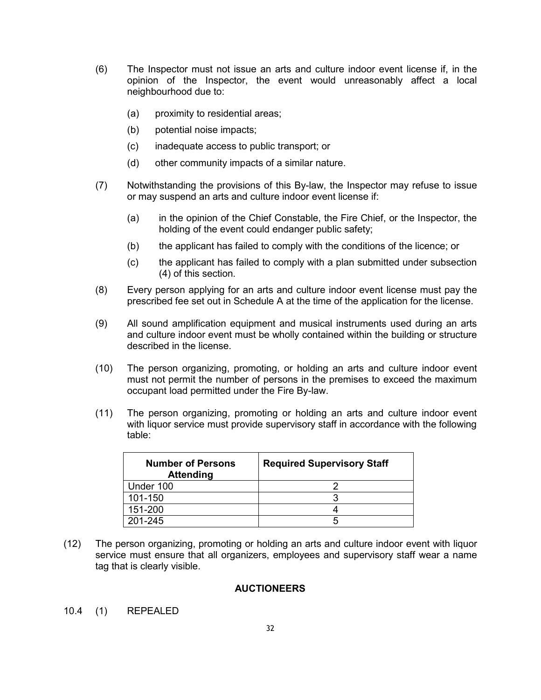- (6) The Inspector must not issue an arts and culture indoor event license if, in the opinion of the Inspector, the event would unreasonably affect a local neighbourhood due to:
	- (a) proximity to residential areas;
	- (b) potential noise impacts;
	- (c) inadequate access to public transport; or
	- (d) other community impacts of a similar nature.
- (7) Notwithstanding the provisions of this By-law, the Inspector may refuse to issue or may suspend an arts and culture indoor event license if:
	- (a) in the opinion of the Chief Constable, the Fire Chief, or the Inspector, the holding of the event could endanger public safety;
	- (b) the applicant has failed to comply with the conditions of the licence; or
	- (c) the applicant has failed to comply with a plan submitted under subsection (4) of this section.
- (8) Every person applying for an arts and culture indoor event license must pay the prescribed fee set out in Schedule A at the time of the application for the license.
- (9) All sound amplification equipment and musical instruments used during an arts and culture indoor event must be wholly contained within the building or structure described in the license.
- (10) The person organizing, promoting, or holding an arts and culture indoor event must not permit the number of persons in the premises to exceed the maximum occupant load permitted under the Fire By-law.
- (11) The person organizing, promoting or holding an arts and culture indoor event with liquor service must provide supervisory staff in accordance with the following table:

| <b>Number of Persons</b><br><b>Attending</b> | <b>Required Supervisory Staff</b> |
|----------------------------------------------|-----------------------------------|
| Under 100                                    |                                   |
| 101-150                                      |                                   |
| 151-200                                      |                                   |
| 201-245                                      |                                   |

(12) The person organizing, promoting or holding an arts and culture indoor event with liquor service must ensure that all organizers, employees and supervisory staff wear a name tag that is clearly visible.

## **AUCTIONEERS**

10.4 (1) REPEALED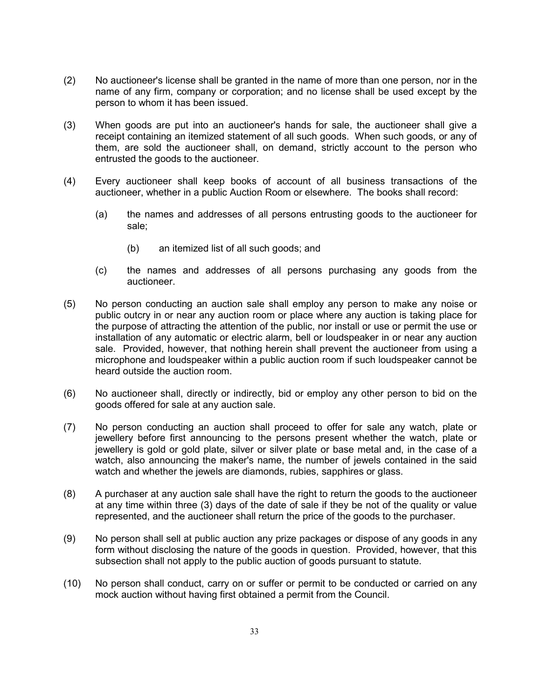- (2) No auctioneer's license shall be granted in the name of more than one person, nor in the name of any firm, company or corporation; and no license shall be used except by the person to whom it has been issued.
- (3) When goods are put into an auctioneer's hands for sale, the auctioneer shall give a receipt containing an itemized statement of all such goods. When such goods, or any of them, are sold the auctioneer shall, on demand, strictly account to the person who entrusted the goods to the auctioneer.
- (4) Every auctioneer shall keep books of account of all business transactions of the auctioneer, whether in a public Auction Room or elsewhere. The books shall record:
	- (a) the names and addresses of all persons entrusting goods to the auctioneer for sale;
		- (b) an itemized list of all such goods; and
	- (c) the names and addresses of all persons purchasing any goods from the auctioneer.
- (5) No person conducting an auction sale shall employ any person to make any noise or public outcry in or near any auction room or place where any auction is taking place for the purpose of attracting the attention of the public, nor install or use or permit the use or installation of any automatic or electric alarm, bell or loudspeaker in or near any auction sale. Provided, however, that nothing herein shall prevent the auctioneer from using a microphone and loudspeaker within a public auction room if such loudspeaker cannot be heard outside the auction room.
- (6) No auctioneer shall, directly or indirectly, bid or employ any other person to bid on the goods offered for sale at any auction sale.
- (7) No person conducting an auction shall proceed to offer for sale any watch, plate or jewellery before first announcing to the persons present whether the watch, plate or jewellery is gold or gold plate, silver or silver plate or base metal and, in the case of a watch, also announcing the maker's name, the number of jewels contained in the said watch and whether the jewels are diamonds, rubies, sapphires or glass.
- (8) A purchaser at any auction sale shall have the right to return the goods to the auctioneer at any time within three (3) days of the date of sale if they be not of the quality or value represented, and the auctioneer shall return the price of the goods to the purchaser.
- (9) No person shall sell at public auction any prize packages or dispose of any goods in any form without disclosing the nature of the goods in question. Provided, however, that this subsection shall not apply to the public auction of goods pursuant to statute.
- (10) No person shall conduct, carry on or suffer or permit to be conducted or carried on any mock auction without having first obtained a permit from the Council.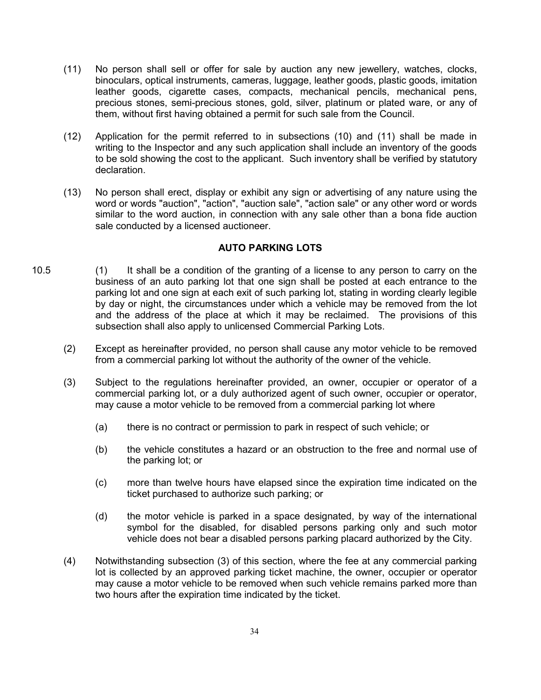- (11) No person shall sell or offer for sale by auction any new jewellery, watches, clocks, binoculars, optical instruments, cameras, luggage, leather goods, plastic goods, imitation leather goods, cigarette cases, compacts, mechanical pencils, mechanical pens, precious stones, semi-precious stones, gold, silver, platinum or plated ware, or any of them, without first having obtained a permit for such sale from the Council.
- (12) Application for the permit referred to in subsections (10) and (11) shall be made in writing to the Inspector and any such application shall include an inventory of the goods to be sold showing the cost to the applicant. Such inventory shall be verified by statutory declaration.
- (13) No person shall erect, display or exhibit any sign or advertising of any nature using the word or words "auction", "action", "auction sale", "action sale" or any other word or words similar to the word auction, in connection with any sale other than a bona fide auction sale conducted by a licensed auctioneer.

## **AUTO PARKING LOTS**

- 10.5 (1) It shall be a condition of the granting of a license to any person to carry on the business of an auto parking lot that one sign shall be posted at each entrance to the parking lot and one sign at each exit of such parking lot, stating in wording clearly legible by day or night, the circumstances under which a vehicle may be removed from the lot and the address of the place at which it may be reclaimed. The provisions of this subsection shall also apply to unlicensed Commercial Parking Lots.
	- (2) Except as hereinafter provided, no person shall cause any motor vehicle to be removed from a commercial parking lot without the authority of the owner of the vehicle.
	- (3) Subject to the regulations hereinafter provided, an owner, occupier or operator of a commercial parking lot, or a duly authorized agent of such owner, occupier or operator, may cause a motor vehicle to be removed from a commercial parking lot where
		- (a) there is no contract or permission to park in respect of such vehicle; or
		- (b) the vehicle constitutes a hazard or an obstruction to the free and normal use of the parking lot; or
		- (c) more than twelve hours have elapsed since the expiration time indicated on the ticket purchased to authorize such parking; or
		- (d) the motor vehicle is parked in a space designated, by way of the international symbol for the disabled, for disabled persons parking only and such motor vehicle does not bear a disabled persons parking placard authorized by the City.
	- (4) Notwithstanding subsection (3) of this section, where the fee at any commercial parking lot is collected by an approved parking ticket machine, the owner, occupier or operator may cause a motor vehicle to be removed when such vehicle remains parked more than two hours after the expiration time indicated by the ticket.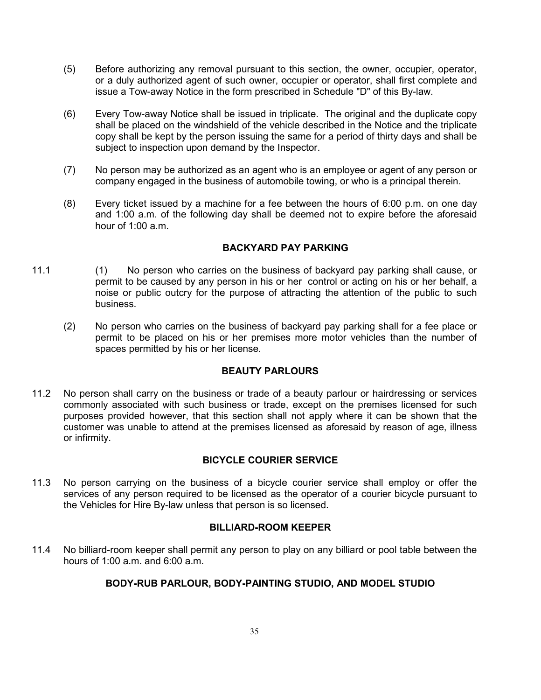- (5) Before authorizing any removal pursuant to this section, the owner, occupier, operator, or a duly authorized agent of such owner, occupier or operator, shall first complete and issue a Tow-away Notice in the form prescribed in Schedule "D" of this By-law.
- (6) Every Tow-away Notice shall be issued in triplicate. The original and the duplicate copy shall be placed on the windshield of the vehicle described in the Notice and the triplicate copy shall be kept by the person issuing the same for a period of thirty days and shall be subject to inspection upon demand by the Inspector.
- (7) No person may be authorized as an agent who is an employee or agent of any person or company engaged in the business of automobile towing, or who is a principal therein.
- (8) Every ticket issued by a machine for a fee between the hours of 6:00 p.m. on one day and 1:00 a.m. of the following day shall be deemed not to expire before the aforesaid hour of 1:00 a.m.

## **BACKYARD PAY PARKING**

- 11.1 (1) No person who carries on the business of backyard pay parking shall cause, or permit to be caused by any person in his or her control or acting on his or her behalf, a noise or public outcry for the purpose of attracting the attention of the public to such business.
	- (2) No person who carries on the business of backyard pay parking shall for a fee place or permit to be placed on his or her premises more motor vehicles than the number of spaces permitted by his or her license.

#### **BEAUTY PARLOURS**

11.2 No person shall carry on the business or trade of a beauty parlour or hairdressing or services commonly associated with such business or trade, except on the premises licensed for such purposes provided however, that this section shall not apply where it can be shown that the customer was unable to attend at the premises licensed as aforesaid by reason of age, illness or infirmity.

#### **BICYCLE COURIER SERVICE**

11.3 No person carrying on the business of a bicycle courier service shall employ or offer the services of any person required to be licensed as the operator of a courier bicycle pursuant to the Vehicles for Hire By-law unless that person is so licensed.

#### **BILLIARD-ROOM KEEPER**

11.4 No billiard-room keeper shall permit any person to play on any billiard or pool table between the hours of 1:00 a.m. and 6:00 a.m.

## **BODY-RUB PARLOUR, BODY-PAINTING STUDIO, AND MODEL STUDIO**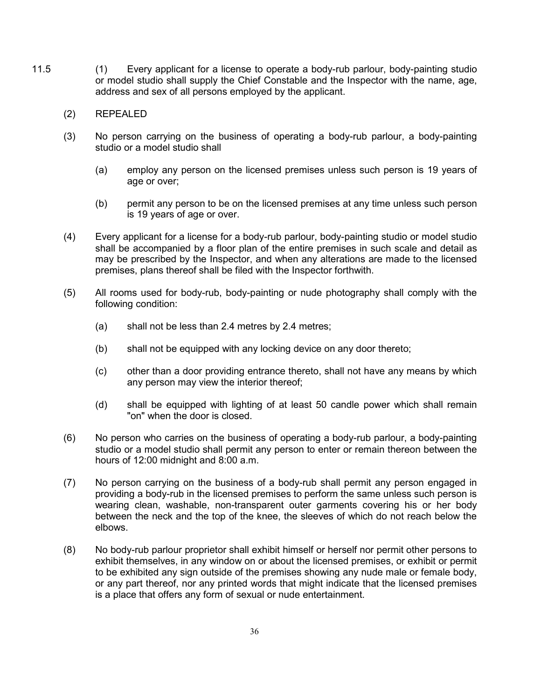- 11.5 (1) Every applicant for a license to operate a body-rub parlour, body-painting studio or model studio shall supply the Chief Constable and the Inspector with the name, age, address and sex of all persons employed by the applicant.
	- (2) REPEALED
	- (3) No person carrying on the business of operating a body-rub parlour, a body-painting studio or a model studio shall
		- (a) employ any person on the licensed premises unless such person is 19 years of age or over;
		- (b) permit any person to be on the licensed premises at any time unless such person is 19 years of age or over.
	- (4) Every applicant for a license for a body-rub parlour, body-painting studio or model studio shall be accompanied by a floor plan of the entire premises in such scale and detail as may be prescribed by the Inspector, and when any alterations are made to the licensed premises, plans thereof shall be filed with the Inspector forthwith.
	- (5) All rooms used for body-rub, body-painting or nude photography shall comply with the following condition:
		- (a) shall not be less than 2.4 metres by 2.4 metres;
		- (b) shall not be equipped with any locking device on any door thereto;
		- (c) other than a door providing entrance thereto, shall not have any means by which any person may view the interior thereof;
		- (d) shall be equipped with lighting of at least 50 candle power which shall remain "on" when the door is closed.
	- (6) No person who carries on the business of operating a body-rub parlour, a body-painting studio or a model studio shall permit any person to enter or remain thereon between the hours of 12:00 midnight and 8:00 a.m.
	- (7) No person carrying on the business of a body-rub shall permit any person engaged in providing a body-rub in the licensed premises to perform the same unless such person is wearing clean, washable, non-transparent outer garments covering his or her body between the neck and the top of the knee, the sleeves of which do not reach below the elbows.
	- (8) No body-rub parlour proprietor shall exhibit himself or herself nor permit other persons to exhibit themselves, in any window on or about the licensed premises, or exhibit or permit to be exhibited any sign outside of the premises showing any nude male or female body, or any part thereof, nor any printed words that might indicate that the licensed premises is a place that offers any form of sexual or nude entertainment.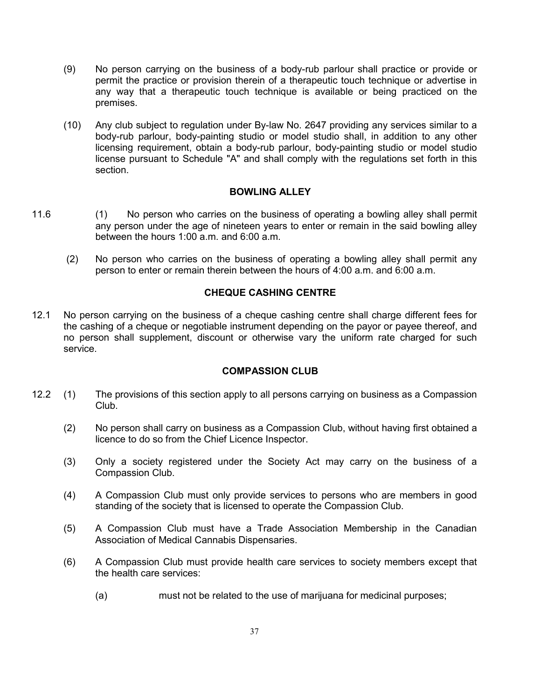- (9) No person carrying on the business of a body-rub parlour shall practice or provide or permit the practice or provision therein of a therapeutic touch technique or advertise in any way that a therapeutic touch technique is available or being practiced on the premises.
- (10) Any club subject to regulation under By-law No. 2647 providing any services similar to a body-rub parlour, body-painting studio or model studio shall, in addition to any other licensing requirement, obtain a body-rub parlour, body-painting studio or model studio license pursuant to Schedule "A" and shall comply with the regulations set forth in this section.

### **BOWLING ALLEY**

- 11.6 (1) No person who carries on the business of operating a bowling alley shall permit any person under the age of nineteen years to enter or remain in the said bowling alley between the hours 1:00 a.m. and 6:00 a.m.
	- (2) No person who carries on the business of operating a bowling alley shall permit any person to enter or remain therein between the hours of 4:00 a.m. and 6:00 a.m.

## **CHEQUE CASHING CENTRE**

12.1 No person carrying on the business of a cheque cashing centre shall charge different fees for the cashing of a cheque or negotiable instrument depending on the payor or payee thereof, and no person shall supplement, discount or otherwise vary the uniform rate charged for such service.

### **COMPASSION CLUB**

- 12.2 (1) The provisions of this section apply to all persons carrying on business as a Compassion Club.
	- (2) No person shall carry on business as a Compassion Club, without having first obtained a licence to do so from the Chief Licence Inspector.
	- (3) Only a society registered under the Society Act may carry on the business of a Compassion Club.
	- (4) A Compassion Club must only provide services to persons who are members in good standing of the society that is licensed to operate the Compassion Club.
	- (5) A Compassion Club must have a Trade Association Membership in the Canadian Association of Medical Cannabis Dispensaries.
	- (6) A Compassion Club must provide health care services to society members except that the health care services:
		- (a) must not be related to the use of marijuana for medicinal purposes;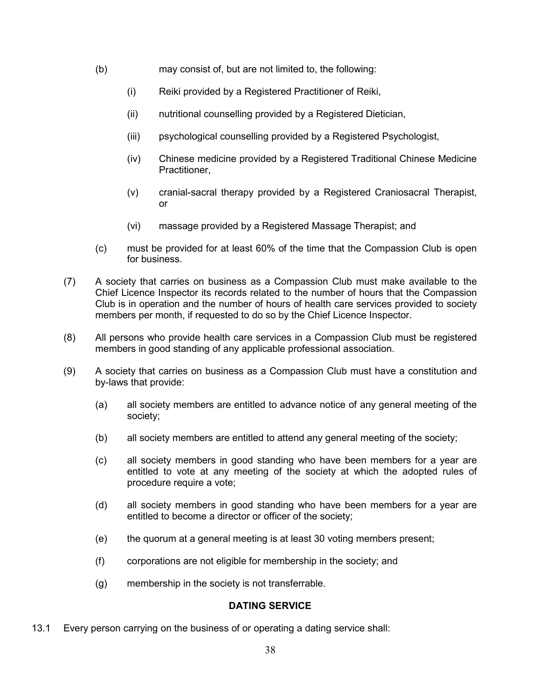- (b) may consist of, but are not limited to, the following:
	- (i) Reiki provided by a Registered Practitioner of Reiki,
	- (ii) nutritional counselling provided by a Registered Dietician,
	- (iii) psychological counselling provided by a Registered Psychologist,
	- (iv) Chinese medicine provided by a Registered Traditional Chinese Medicine Practitioner,
	- (v) cranial-sacral therapy provided by a Registered Craniosacral Therapist, or
	- (vi) massage provided by a Registered Massage Therapist; and
- (c) must be provided for at least 60% of the time that the Compassion Club is open for business.
- (7) A society that carries on business as a Compassion Club must make available to the Chief Licence Inspector its records related to the number of hours that the Compassion Club is in operation and the number of hours of health care services provided to society members per month, if requested to do so by the Chief Licence Inspector.
- (8) All persons who provide health care services in a Compassion Club must be registered members in good standing of any applicable professional association.
- (9) A society that carries on business as a Compassion Club must have a constitution and by-laws that provide:
	- (a) all society members are entitled to advance notice of any general meeting of the society;
	- (b) all society members are entitled to attend any general meeting of the society;
	- (c) all society members in good standing who have been members for a year are entitled to vote at any meeting of the society at which the adopted rules of procedure require a vote;
	- (d) all society members in good standing who have been members for a year are entitled to become a director or officer of the society;
	- (e) the quorum at a general meeting is at least 30 voting members present;
	- (f) corporations are not eligible for membership in the society; and
	- (g) membership in the society is not transferrable.

## **DATING SERVICE**

13.1 Every person carrying on the business of or operating a dating service shall: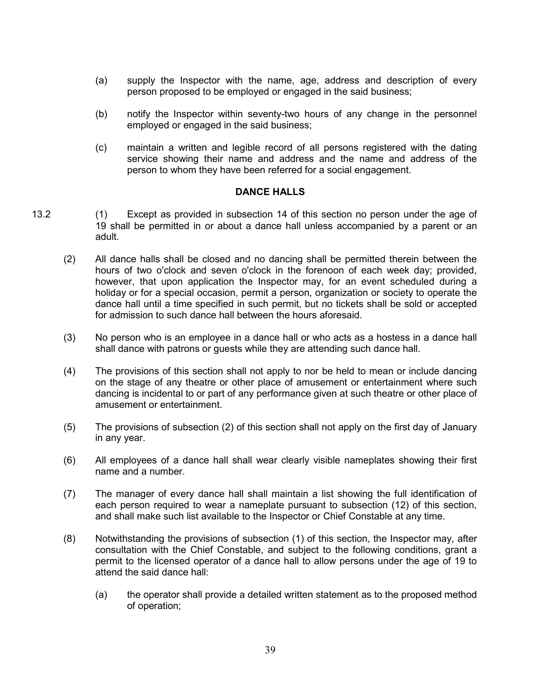- (a) supply the Inspector with the name, age, address and description of every person proposed to be employed or engaged in the said business;
- (b) notify the Inspector within seventy-two hours of any change in the personnel employed or engaged in the said business;
- (c) maintain a written and legible record of all persons registered with the dating service showing their name and address and the name and address of the person to whom they have been referred for a social engagement.

### **DANCE HALLS**

- 13.2 (1) Except as provided in subsection 14 of this section no person under the age of 19 shall be permitted in or about a dance hall unless accompanied by a parent or an adult.
	- (2) All dance halls shall be closed and no dancing shall be permitted therein between the hours of two o'clock and seven o'clock in the forenoon of each week day; provided, however, that upon application the Inspector may, for an event scheduled during a holiday or for a special occasion, permit a person, organization or society to operate the dance hall until a time specified in such permit, but no tickets shall be sold or accepted for admission to such dance hall between the hours aforesaid.
	- (3) No person who is an employee in a dance hall or who acts as a hostess in a dance hall shall dance with patrons or guests while they are attending such dance hall.
	- (4) The provisions of this section shall not apply to nor be held to mean or include dancing on the stage of any theatre or other place of amusement or entertainment where such dancing is incidental to or part of any performance given at such theatre or other place of amusement or entertainment.
	- (5) The provisions of subsection (2) of this section shall not apply on the first day of January in any year.
	- (6) All employees of a dance hall shall wear clearly visible nameplates showing their first name and a number.
	- (7) The manager of every dance hall shall maintain a list showing the full identification of each person required to wear a nameplate pursuant to subsection (12) of this section, and shall make such list available to the Inspector or Chief Constable at any time.
	- (8) Notwithstanding the provisions of subsection (1) of this section, the Inspector may, after consultation with the Chief Constable, and subject to the following conditions, grant a permit to the licensed operator of a dance hall to allow persons under the age of 19 to attend the said dance hall:
		- (a) the operator shall provide a detailed written statement as to the proposed method of operation;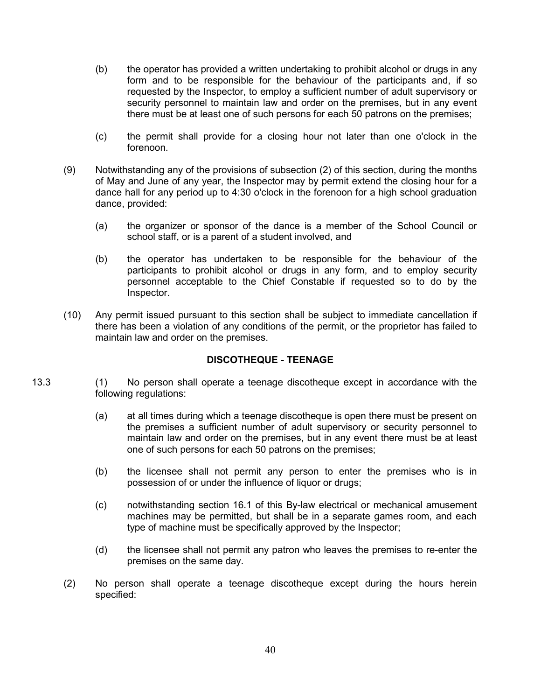- (b) the operator has provided a written undertaking to prohibit alcohol or drugs in any form and to be responsible for the behaviour of the participants and, if so requested by the Inspector, to employ a sufficient number of adult supervisory or security personnel to maintain law and order on the premises, but in any event there must be at least one of such persons for each 50 patrons on the premises;
- (c) the permit shall provide for a closing hour not later than one o'clock in the forenoon.
- (9) Notwithstanding any of the provisions of subsection (2) of this section, during the months of May and June of any year, the Inspector may by permit extend the closing hour for a dance hall for any period up to 4:30 o'clock in the forenoon for a high school graduation dance, provided:
	- (a) the organizer or sponsor of the dance is a member of the School Council or school staff, or is a parent of a student involved, and
	- (b) the operator has undertaken to be responsible for the behaviour of the participants to prohibit alcohol or drugs in any form, and to employ security personnel acceptable to the Chief Constable if requested so to do by the Inspector.
- (10) Any permit issued pursuant to this section shall be subject to immediate cancellation if there has been a violation of any conditions of the permit, or the proprietor has failed to maintain law and order on the premises.

# **DISCOTHEQUE - TEENAGE**

- 13.3 (1) No person shall operate a teenage discotheque except in accordance with the following regulations:
	- (a) at all times during which a teenage discotheque is open there must be present on the premises a sufficient number of adult supervisory or security personnel to maintain law and order on the premises, but in any event there must be at least one of such persons for each 50 patrons on the premises;
	- (b) the licensee shall not permit any person to enter the premises who is in possession of or under the influence of liquor or drugs;
	- (c) notwithstanding section 16.1 of this By-law electrical or mechanical amusement machines may be permitted, but shall be in a separate games room, and each type of machine must be specifically approved by the Inspector;
	- (d) the licensee shall not permit any patron who leaves the premises to re-enter the premises on the same day.
	- (2) No person shall operate a teenage discotheque except during the hours herein specified: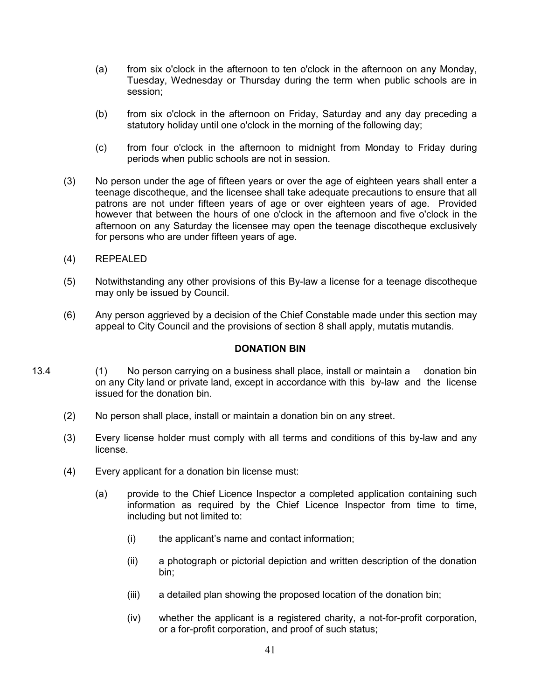- (a) from six o'clock in the afternoon to ten o'clock in the afternoon on any Monday, Tuesday, Wednesday or Thursday during the term when public schools are in session;
- (b) from six o'clock in the afternoon on Friday, Saturday and any day preceding a statutory holiday until one o'clock in the morning of the following day;
- (c) from four o'clock in the afternoon to midnight from Monday to Friday during periods when public schools are not in session.
- (3) No person under the age of fifteen years or over the age of eighteen years shall enter a teenage discotheque, and the licensee shall take adequate precautions to ensure that all patrons are not under fifteen years of age or over eighteen years of age. Provided however that between the hours of one o'clock in the afternoon and five o'clock in the afternoon on any Saturday the licensee may open the teenage discotheque exclusively for persons who are under fifteen years of age.
- (4) REPEALED
- (5) Notwithstanding any other provisions of this By-law a license for a teenage discotheque may only be issued by Council.
- (6) Any person aggrieved by a decision of the Chief Constable made under this section may appeal to City Council and the provisions of section 8 shall apply, mutatis mutandis.

#### **DONATION BIN**

- 13.4 (1) No person carrying on a business shall place, install or maintain a donation bin on any City land or private land, except in accordance with this by-law and the license issued for the donation bin.
	- (2) No person shall place, install or maintain a donation bin on any street.
	- (3) Every license holder must comply with all terms and conditions of this by-law and any license.
	- (4) Every applicant for a donation bin license must:
		- (a) provide to the Chief Licence Inspector a completed application containing such information as required by the Chief Licence Inspector from time to time, including but not limited to:
			- (i) the applicant's name and contact information;
			- (ii) a photograph or pictorial depiction and written description of the donation bin;
			- (iii) a detailed plan showing the proposed location of the donation bin;
			- (iv) whether the applicant is a registered charity, a not-for-profit corporation, or a for-profit corporation, and proof of such status;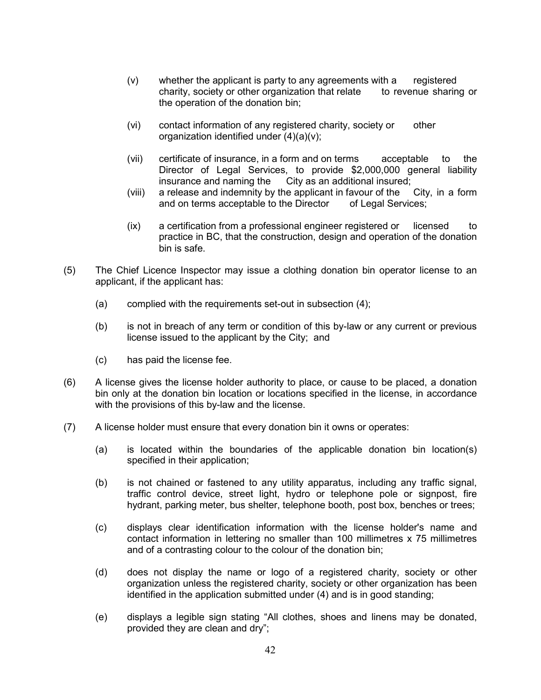- (v) whether the applicant is party to any agreements with a registered charity, society or other organization that relate to revenue sharing or the operation of the donation bin;
- (vi) contact information of any registered charity, society or other organization identified under (4)(a)(v);
- (vii) certificate of insurance, in a form and on terms acceptable to the Director of Legal Services, to provide \$2,000,000 general liability insurance and naming the City as an additional insured;
- (viii) a release and indemnity by the applicant in favour of the City, in a form and on terms acceptable to the Director of Legal Services;
- (ix) a certification from a professional engineer registered or licensed to practice in BC, that the construction, design and operation of the donation bin is safe.
- (5) The Chief Licence Inspector may issue a clothing donation bin operator license to an applicant, if the applicant has:
	- (a) complied with the requirements set-out in subsection (4);
	- (b) is not in breach of any term or condition of this by-law or any current or previous license issued to the applicant by the City; and
	- (c) has paid the license fee.
- (6) A license gives the license holder authority to place, or cause to be placed, a donation bin only at the donation bin location or locations specified in the license, in accordance with the provisions of this by-law and the license.
- (7) A license holder must ensure that every donation bin it owns or operates:
	- (a) is located within the boundaries of the applicable donation bin location(s) specified in their application;
	- (b) is not chained or fastened to any utility apparatus, including any traffic signal, traffic control device, street light, hydro or telephone pole or signpost, fire hydrant, parking meter, bus shelter, telephone booth, post box, benches or trees;
	- (c) displays clear identification information with the license holder's name and contact information in lettering no smaller than 100 millimetres x 75 millimetres and of a contrasting colour to the colour of the donation bin;
	- (d) does not display the name or logo of a registered charity, society or other organization unless the registered charity, society or other organization has been identified in the application submitted under (4) and is in good standing;
	- (e) displays a legible sign stating "All clothes, shoes and linens may be donated, provided they are clean and dry";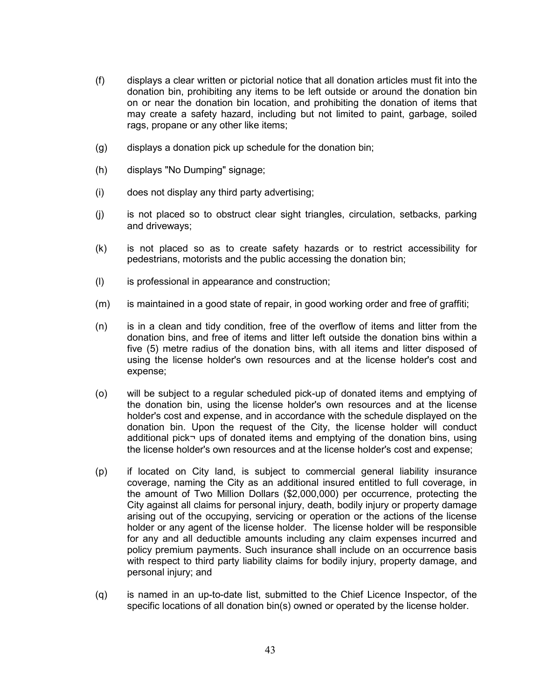- (f) displays a clear written or pictorial notice that all donation articles must fit into the donation bin, prohibiting any items to be left outside or around the donation bin on or near the donation bin location, and prohibiting the donation of items that may create a safety hazard, including but not limited to paint, garbage, soiled rags, propane or any other like items;
- (g) displays a donation pick up schedule for the donation bin;
- (h) displays "No Dumping" signage;
- (i) does not display any third party advertising;
- (j) is not placed so to obstruct clear sight triangles, circulation, setbacks, parking and driveways;
- (k) is not placed so as to create safety hazards or to restrict accessibility for pedestrians, motorists and the public accessing the donation bin;
- (l) is professional in appearance and construction;
- (m) is maintained in a good state of repair, in good working order and free of graffiti;
- (n) is in a clean and tidy condition, free of the overflow of items and litter from the donation bins, and free of items and litter left outside the donation bins within a five (5) metre radius of the donation bins, with all items and litter disposed of using the license holder's own resources and at the license holder's cost and expense;
- (o) will be subject to a regular scheduled pick-up of donated items and emptying of the donation bin, using the license holder's own resources and at the license holder's cost and expense, and in accordance with the schedule displayed on the donation bin. Upon the request of the City, the license holder will conduct additional pick¬ ups of donated items and emptying of the donation bins, using the license holder's own resources and at the license holder's cost and expense;
- (p) if located on City land, is subject to commercial general liability insurance coverage, naming the City as an additional insured entitled to full coverage, in the amount of Two Million Dollars (\$2,000,000) per occurrence, protecting the City against all claims for personal injury, death, bodily injury or property damage arising out of the occupying, servicing or operation or the actions of the license holder or any agent of the license holder. The license holder will be responsible for any and all deductible amounts including any claim expenses incurred and policy premium payments. Such insurance shall include on an occurrence basis with respect to third party liability claims for bodily injury, property damage, and personal injury; and
- (q) is named in an up-to-date list, submitted to the Chief Licence Inspector, of the specific locations of all donation bin(s) owned or operated by the license holder.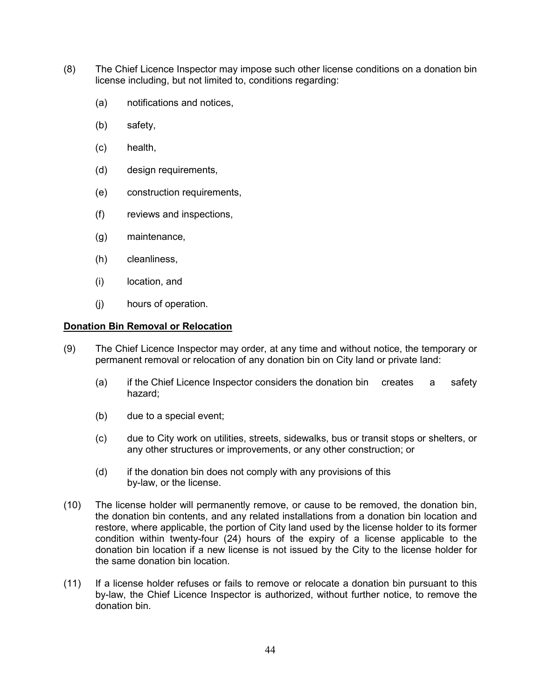- (8) The Chief Licence Inspector may impose such other license conditions on a donation bin license including, but not limited to, conditions regarding:
	- (a) notifications and notices,
	- (b) safety,
	- (c) health,
	- (d) design requirements,
	- (e) construction requirements,
	- (f) reviews and inspections,
	- (g) maintenance,
	- (h) cleanliness,
	- (i) location, and
	- (j) hours of operation.

### **Donation Bin Removal or Relocation**

- (9) The Chief Licence Inspector may order, at any time and without notice, the temporary or permanent removal or relocation of any donation bin on City land or private land:
	- (a) if the Chief Licence Inspector considers the donation bin creates a safety hazard;
	- (b) due to a special event;
	- (c) due to City work on utilities, streets, sidewalks, bus or transit stops or shelters, or any other structures or improvements, or any other construction; or
	- (d) if the donation bin does not comply with any provisions of this by-law, or the license.
- (10) The license holder will permanently remove, or cause to be removed, the donation bin, the donation bin contents, and any related installations from a donation bin location and restore, where applicable, the portion of City land used by the license holder to its former condition within twenty-four (24) hours of the expiry of a license applicable to the donation bin location if a new license is not issued by the City to the license holder for the same donation bin location.
- (11) If a license holder refuses or fails to remove or relocate a donation bin pursuant to this by-law, the Chief Licence Inspector is authorized, without further notice, to remove the donation bin.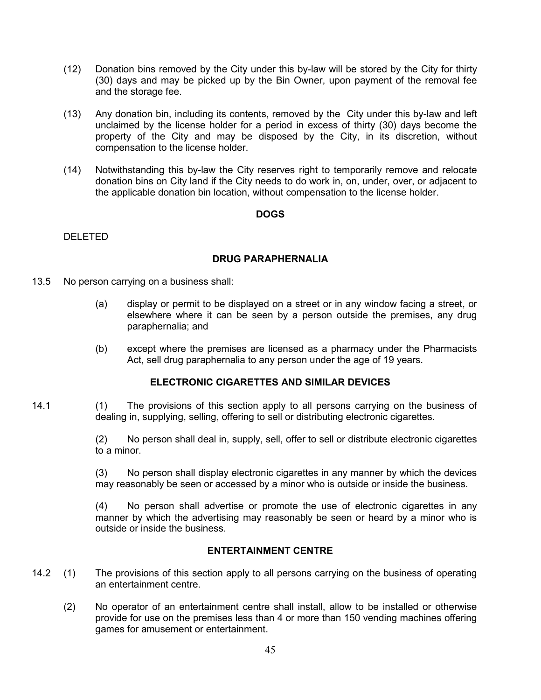- (12) Donation bins removed by the City under this by-law will be stored by the City for thirty (30) days and may be picked up by the Bin Owner, upon payment of the removal fee and the storage fee.
- (13) Any donation bin, including its contents, removed by the City under this by-law and left unclaimed by the license holder for a period in excess of thirty (30) days become the property of the City and may be disposed by the City, in its discretion, without compensation to the license holder.
- (14) Notwithstanding this by-law the City reserves right to temporarily remove and relocate donation bins on City land if the City needs to do work in, on, under, over, or adjacent to the applicable donation bin location, without compensation to the license holder.

### **DOGS**

DELETED

# **DRUG PARAPHERNALIA**

- 13.5 No person carrying on a business shall:
	- (a) display or permit to be displayed on a street or in any window facing a street, or elsewhere where it can be seen by a person outside the premises, any drug paraphernalia; and
	- (b) except where the premises are licensed as a pharmacy under the Pharmacists Act, sell drug paraphernalia to any person under the age of 19 years.

## **ELECTRONIC CIGARETTES AND SIMILAR DEVICES**

14.1 (1) The provisions of this section apply to all persons carrying on the business of dealing in, supplying, selling, offering to sell or distributing electronic cigarettes.

> (2) No person shall deal in, supply, sell, offer to sell or distribute electronic cigarettes to a minor.

> (3) No person shall display electronic cigarettes in any manner by which the devices may reasonably be seen or accessed by a minor who is outside or inside the business.

> (4) No person shall advertise or promote the use of electronic cigarettes in any manner by which the advertising may reasonably be seen or heard by a minor who is outside or inside the business.

## **ENTERTAINMENT CENTRE**

- 14.2 (1) The provisions of this section apply to all persons carrying on the business of operating an entertainment centre.
	- (2) No operator of an entertainment centre shall install, allow to be installed or otherwise provide for use on the premises less than 4 or more than 150 vending machines offering games for amusement or entertainment.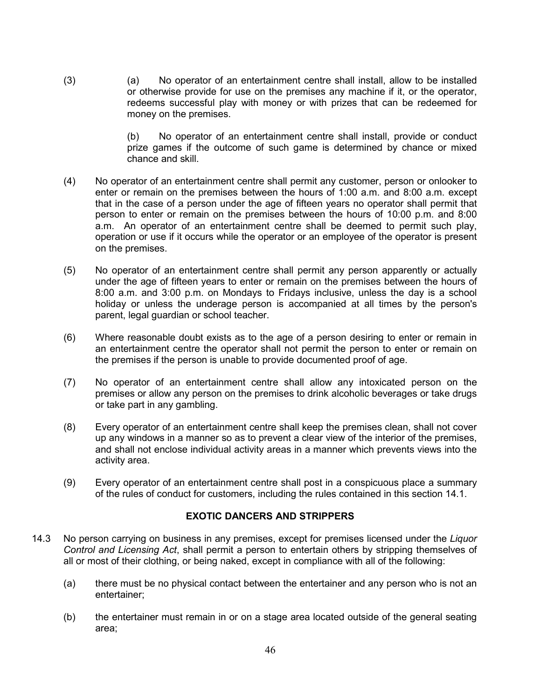(3) (a) No operator of an entertainment centre shall install, allow to be installed or otherwise provide for use on the premises any machine if it, or the operator, redeems successful play with money or with prizes that can be redeemed for money on the premises.

> (b) No operator of an entertainment centre shall install, provide or conduct prize games if the outcome of such game is determined by chance or mixed chance and skill.

- (4) No operator of an entertainment centre shall permit any customer, person or onlooker to enter or remain on the premises between the hours of 1:00 a.m. and 8:00 a.m. except that in the case of a person under the age of fifteen years no operator shall permit that person to enter or remain on the premises between the hours of 10:00 p.m. and 8:00 a.m. An operator of an entertainment centre shall be deemed to permit such play, operation or use if it occurs while the operator or an employee of the operator is present on the premises.
- (5) No operator of an entertainment centre shall permit any person apparently or actually under the age of fifteen years to enter or remain on the premises between the hours of 8:00 a.m. and 3:00 p.m. on Mondays to Fridays inclusive, unless the day is a school holiday or unless the underage person is accompanied at all times by the person's parent, legal guardian or school teacher.
- (6) Where reasonable doubt exists as to the age of a person desiring to enter or remain in an entertainment centre the operator shall not permit the person to enter or remain on the premises if the person is unable to provide documented proof of age.
- (7) No operator of an entertainment centre shall allow any intoxicated person on the premises or allow any person on the premises to drink alcoholic beverages or take drugs or take part in any gambling.
- (8) Every operator of an entertainment centre shall keep the premises clean, shall not cover up any windows in a manner so as to prevent a clear view of the interior of the premises, and shall not enclose individual activity areas in a manner which prevents views into the activity area.
- (9) Every operator of an entertainment centre shall post in a conspicuous place a summary of the rules of conduct for customers, including the rules contained in this section 14.1.

## **EXOTIC DANCERS AND STRIPPERS**

- 14.3 No person carrying on business in any premises, except for premises licensed under the *Liquor Control and Licensing Act*, shall permit a person to entertain others by stripping themselves of all or most of their clothing, or being naked, except in compliance with all of the following:
	- (a) there must be no physical contact between the entertainer and any person who is not an entertainer;
	- (b) the entertainer must remain in or on a stage area located outside of the general seating area;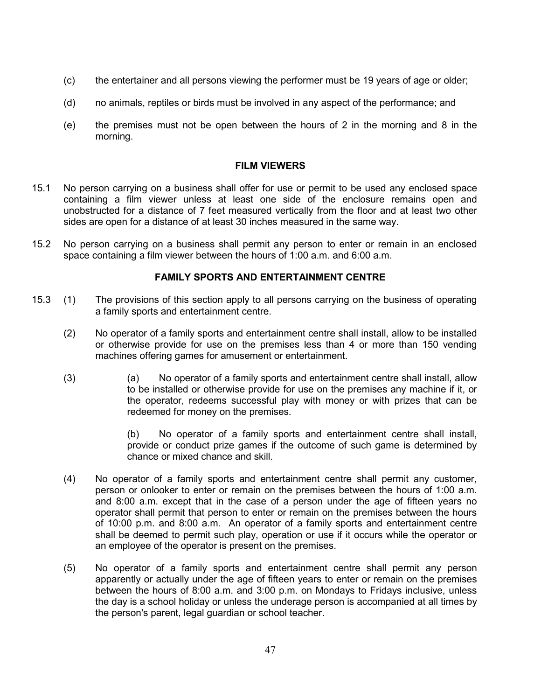- (c) the entertainer and all persons viewing the performer must be 19 years of age or older;
- (d) no animals, reptiles or birds must be involved in any aspect of the performance; and
- (e) the premises must not be open between the hours of 2 in the morning and 8 in the morning.

### **FILM VIEWERS**

- 15.1 No person carrying on a business shall offer for use or permit to be used any enclosed space containing a film viewer unless at least one side of the enclosure remains open and unobstructed for a distance of 7 feet measured vertically from the floor and at least two other sides are open for a distance of at least 30 inches measured in the same way.
- 15.2 No person carrying on a business shall permit any person to enter or remain in an enclosed space containing a film viewer between the hours of 1:00 a.m. and 6:00 a.m.

### **FAMILY SPORTS AND ENTERTAINMENT CENTRE**

- 15.3 (1) The provisions of this section apply to all persons carrying on the business of operating a family sports and entertainment centre.
	- (2) No operator of a family sports and entertainment centre shall install, allow to be installed or otherwise provide for use on the premises less than 4 or more than 150 vending machines offering games for amusement or entertainment.
	- (3) (a) No operator of a family sports and entertainment centre shall install, allow to be installed or otherwise provide for use on the premises any machine if it, or the operator, redeems successful play with money or with prizes that can be redeemed for money on the premises.

(b) No operator of a family sports and entertainment centre shall install, provide or conduct prize games if the outcome of such game is determined by chance or mixed chance and skill.

- (4) No operator of a family sports and entertainment centre shall permit any customer, person or onlooker to enter or remain on the premises between the hours of 1:00 a.m. and 8:00 a.m. except that in the case of a person under the age of fifteen years no operator shall permit that person to enter or remain on the premises between the hours of 10:00 p.m. and 8:00 a.m. An operator of a family sports and entertainment centre shall be deemed to permit such play, operation or use if it occurs while the operator or an employee of the operator is present on the premises.
- (5) No operator of a family sports and entertainment centre shall permit any person apparently or actually under the age of fifteen years to enter or remain on the premises between the hours of 8:00 a.m. and 3:00 p.m. on Mondays to Fridays inclusive, unless the day is a school holiday or unless the underage person is accompanied at all times by the person's parent, legal guardian or school teacher.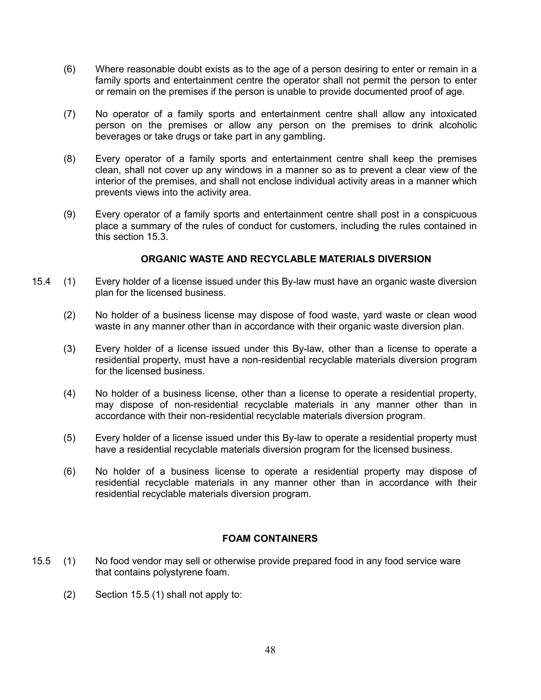- (6) Where reasonable doubt exists as to the age of a person desiring to enter or remain in a family sports and entertainment centre the operator shall not permit the person to enter or remain on the premises if the person is unable to provide documented proof of age.
- (7) No operator of a family sports and entertainment centre shall allow any intoxicated person on the premises or allow any person on the premises to drink alcoholic beverages or take drugs or take part in any gambling.
- (8) Every operator of a family sports and entertainment centre shall keep the premises clean, shall not cover up any windows in a manner so as to prevent a clear view of the interior of the premises, and shall not enclose individual activity areas in a manner which prevents views into the activity area.
- (9) Every operator of a family sports and entertainment centre shall post in a conspicuous place a summary of the rules of conduct for customers, including the rules contained in this section 15.3.

# **ORGANIC WASTE AND RECYCLABLE MATERIALS DIVERSION**

- 15.4 (1) Every holder of a license issued under this By-law must have an organic waste diversion plan for the licensed business.
	- (2) No holder of a business license may dispose of food waste, yard waste or clean wood waste in any manner other than in accordance with their organic waste diversion plan.
	- (3) Every holder of a license issued under this By-law, other than a license to operate a residential property, must have a non-residential recyclable materials diversion program for the licensed business.
	- (4) No holder of a business license, other than a license to operate a residential property, may dispose of non-residential recyclable materials in any manner other than in accordance with their non-residential recyclable materials diversion program.
	- (5) Every holder of a license issued under this By-law to operate a residential property must have a residential recyclable materials diversion program for the licensed business.
	- (6) No holder of a business license to operate a residential property may dispose of residential recyclable materials in any manner other than in accordance with their residential recyclable materials diversion program.

## **FOAM CONTAINERS**

- 15.5 (1) No food vendor may sell or otherwise provide prepared food in any food service ware that contains polystyrene foam.
	- (2) Section 15.5 (1) shall not apply to: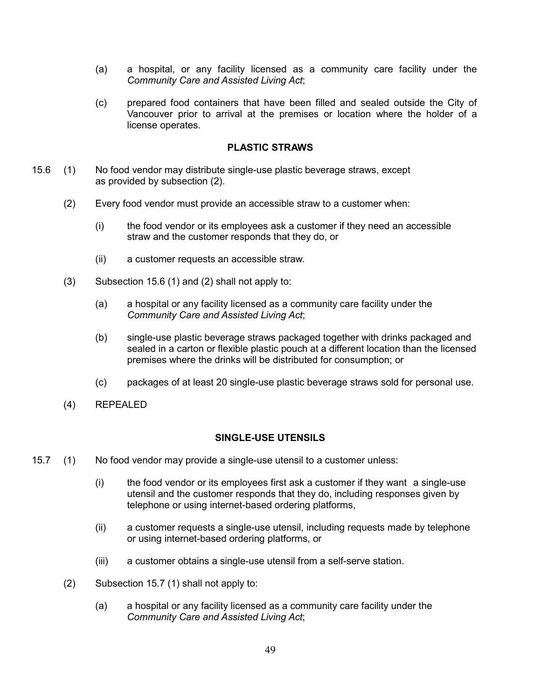- (a) a hospital, or any facility licensed as a community care facility under the *Community Care and Assisted Living Act*;
- (c) prepared food containers that have been filled and sealed outside the City of Vancouver prior to arrival at the premises or location where the holder of a license operates.

### **PLASTIC STRAWS**

- 15.6 (1) No food vendor may distribute single-use plastic beverage straws, except as provided by subsection (2).
	- (2) Every food vendor must provide an accessible straw to a customer when:
		- (i) the food vendor or its employees ask a customer if they need an accessible straw and the customer responds that they do, or
		- (ii) a customer requests an accessible straw.
	- (3) Subsection 15.6 (1) and (2) shall not apply to:
		- (a) a hospital or any facility licensed as a community care facility under the *Community Care and Assisted Living Act*;
		- (b) single-use plastic beverage straws packaged together with drinks packaged and sealed in a carton or flexible plastic pouch at a different location than the licensed premises where the drinks will be distributed for consumption; or
		- (c) packages of at least 20 single-use plastic beverage straws sold for personal use.
	- (4) REPEALED

### **SINGLE-USE UTENSILS**

- 15.7 (1) No food vendor may provide a single-use utensil to a customer unless:
	- (i) the food vendor or its employees first ask a customer if they want a single-use utensil and the customer responds that they do, including responses given by telephone or using internet-based ordering platforms,
	- (ii) a customer requests a single-use utensil, including requests made by telephone or using internet-based ordering platforms, or
	- (iii) a customer obtains a single-use utensil from a self-serve station.
	- (2) Subsection 15.7 (1) shall not apply to:
		- (a) a hospital or any facility licensed as a community care facility under the *Community Care and Assisted Living Act*;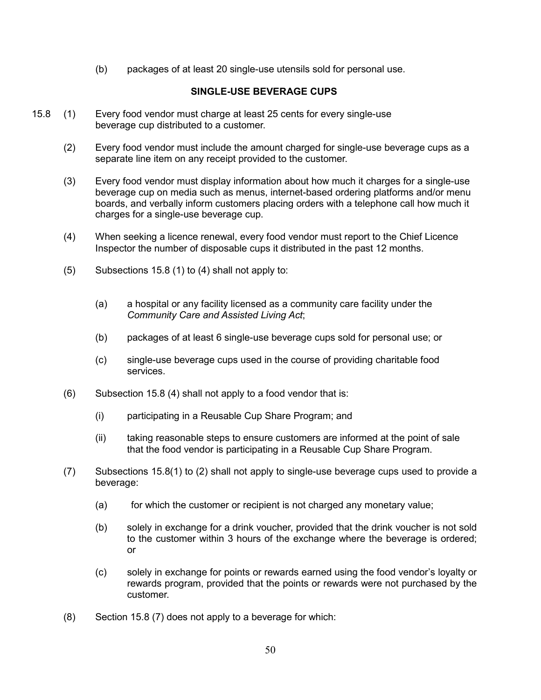(b) packages of at least 20 single-use utensils sold for personal use.

## **SINGLE-USE BEVERAGE CUPS**

- 15.8 (1) Every food vendor must charge at least 25 cents for every single-use beverage cup distributed to a customer.
	- (2) Every food vendor must include the amount charged for single-use beverage cups as a separate line item on any receipt provided to the customer.
	- (3) Every food vendor must display information about how much it charges for a single-use beverage cup on media such as menus, internet-based ordering platforms and/or menu boards, and verbally inform customers placing orders with a telephone call how much it charges for a single-use beverage cup.
	- (4) When seeking a licence renewal, every food vendor must report to the Chief Licence Inspector the number of disposable cups it distributed in the past 12 months.
	- (5) Subsections 15.8 (1) to (4) shall not apply to:
		- (a) a hospital or any facility licensed as a community care facility under the *Community Care and Assisted Living Act*;
		- (b) packages of at least 6 single-use beverage cups sold for personal use; or
		- (c) single-use beverage cups used in the course of providing charitable food services.
	- (6) Subsection 15.8 (4) shall not apply to a food vendor that is:
		- (i) participating in a Reusable Cup Share Program; and
		- (ii) taking reasonable steps to ensure customers are informed at the point of sale that the food vendor is participating in a Reusable Cup Share Program.
	- (7) Subsections 15.8(1) to (2) shall not apply to single-use beverage cups used to provide a beverage:
		- (a) for which the customer or recipient is not charged any monetary value;
		- (b) solely in exchange for a drink voucher, provided that the drink voucher is not sold to the customer within 3 hours of the exchange where the beverage is ordered; or
		- (c) solely in exchange for points or rewards earned using the food vendor's loyalty or rewards program, provided that the points or rewards were not purchased by the customer.
	- (8) Section 15.8 (7) does not apply to a beverage for which: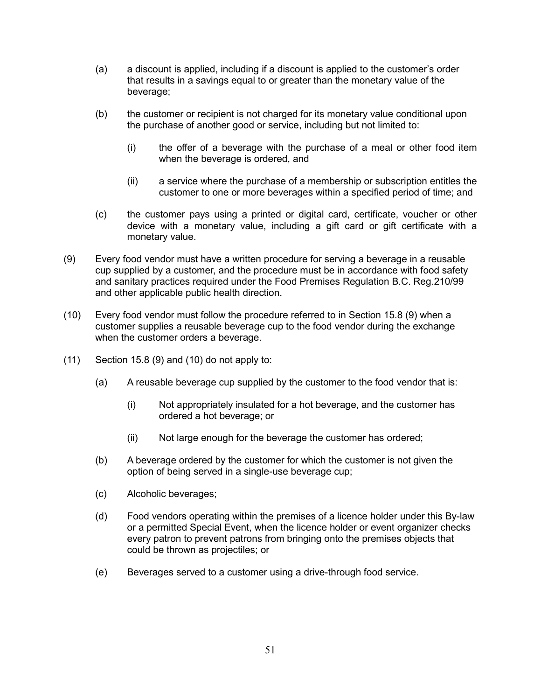- (a) a discount is applied, including if a discount is applied to the customer's order that results in a savings equal to or greater than the monetary value of the beverage;
- (b) the customer or recipient is not charged for its monetary value conditional upon the purchase of another good or service, including but not limited to:
	- (i) the offer of a beverage with the purchase of a meal or other food item when the beverage is ordered, and
	- (ii) a service where the purchase of a membership or subscription entitles the customer to one or more beverages within a specified period of time; and
- (c) the customer pays using a printed or digital card, certificate, voucher or other device with a monetary value, including a gift card or gift certificate with a monetary value.
- (9) Every food vendor must have a written procedure for serving a beverage in a reusable cup supplied by a customer, and the procedure must be in accordance with food safety and sanitary practices required under the Food Premises Regulation B.C. Reg.210/99 and other applicable public health direction.
- (10) Every food vendor must follow the procedure referred to in Section 15.8 (9) when a customer supplies a reusable beverage cup to the food vendor during the exchange when the customer orders a beverage.
- (11) Section 15.8 (9) and (10) do not apply to:
	- (a) A reusable beverage cup supplied by the customer to the food vendor that is:
		- (i) Not appropriately insulated for a hot beverage, and the customer has ordered a hot beverage; or
		- (ii) Not large enough for the beverage the customer has ordered;
	- (b) A beverage ordered by the customer for which the customer is not given the option of being served in a single-use beverage cup;
	- (c) Alcoholic beverages;
	- (d) Food vendors operating within the premises of a licence holder under this By-law or a permitted Special Event, when the licence holder or event organizer checks every patron to prevent patrons from bringing onto the premises objects that could be thrown as projectiles; or
	- (e) Beverages served to a customer using a drive-through food service.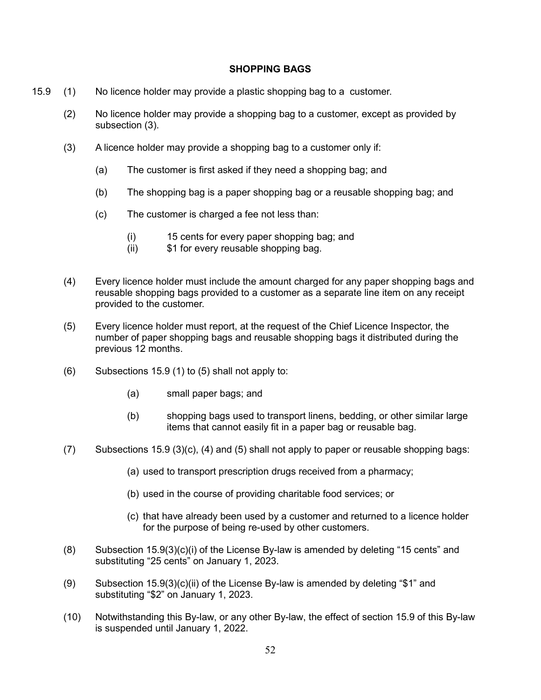### **SHOPPING BAGS**

- 15.9 (1) No licence holder may provide a plastic shopping bag to a customer.
	- (2) No licence holder may provide a shopping bag to a customer, except as provided by subsection (3).
	- (3) A licence holder may provide a shopping bag to a customer only if:
		- (a) The customer is first asked if they need a shopping bag; and
		- (b) The shopping bag is a paper shopping bag or a reusable shopping bag; and
		- (c) The customer is charged a fee not less than:
			- (i) 15 cents for every paper shopping bag; and<br>(ii) \$1 for every reusable shopping bag.
			- \$1 for every reusable shopping bag.
	- (4) Every licence holder must include the amount charged for any paper shopping bags and reusable shopping bags provided to a customer as a separate line item on any receipt provided to the customer.
	- (5) Every licence holder must report, at the request of the Chief Licence Inspector, the number of paper shopping bags and reusable shopping bags it distributed during the previous 12 months.
	- (6) Subsections 15.9 (1) to (5) shall not apply to:
		- (a) small paper bags; and
		- (b) shopping bags used to transport linens, bedding, or other similar large items that cannot easily fit in a paper bag or reusable bag.
	- (7) Subsections 15.9 (3)(c), (4) and (5) shall not apply to paper or reusable shopping bags:
		- (a) used to transport prescription drugs received from a pharmacy;
		- (b) used in the course of providing charitable food services; or
		- (c) that have already been used by a customer and returned to a licence holder for the purpose of being re-used by other customers.
	- (8) Subsection 15.9(3)(c)(i) of the License By-law is amended by deleting "15 cents" and substituting "25 cents" on January 1, 2023.
	- (9) Subsection 15.9(3)(c)(ii) of the License By-law is amended by deleting "\$1" and substituting "\$2" on January 1, 2023.
	- (10) Notwithstanding this By-law, or any other By-law, the effect of section 15.9 of this By-law is suspended until January 1, 2022.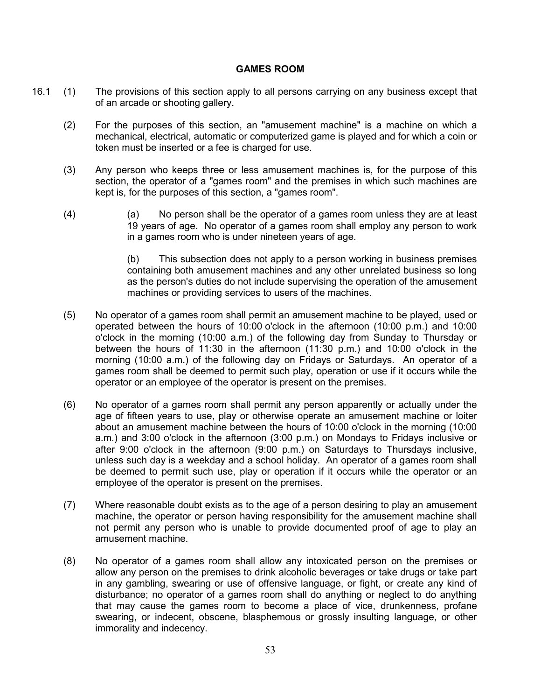### **GAMES ROOM**

- 16.1 (1) The provisions of this section apply to all persons carrying on any business except that of an arcade or shooting gallery.
	- (2) For the purposes of this section, an "amusement machine" is a machine on which a mechanical, electrical, automatic or computerized game is played and for which a coin or token must be inserted or a fee is charged for use.
	- (3) Any person who keeps three or less amusement machines is, for the purpose of this section, the operator of a "games room" and the premises in which such machines are kept is, for the purposes of this section, a "games room".
	- (4) (a) No person shall be the operator of a games room unless they are at least 19 years of age. No operator of a games room shall employ any person to work in a games room who is under nineteen years of age.

(b) This subsection does not apply to a person working in business premises containing both amusement machines and any other unrelated business so long as the person's duties do not include supervising the operation of the amusement machines or providing services to users of the machines.

- (5) No operator of a games room shall permit an amusement machine to be played, used or operated between the hours of 10:00 o'clock in the afternoon (10:00 p.m.) and 10:00 o'clock in the morning (10:00 a.m.) of the following day from Sunday to Thursday or between the hours of 11:30 in the afternoon (11:30 p.m.) and 10:00 o'clock in the morning (10:00 a.m.) of the following day on Fridays or Saturdays. An operator of a games room shall be deemed to permit such play, operation or use if it occurs while the operator or an employee of the operator is present on the premises.
- (6) No operator of a games room shall permit any person apparently or actually under the age of fifteen years to use, play or otherwise operate an amusement machine or loiter about an amusement machine between the hours of 10:00 o'clock in the morning (10:00 a.m.) and 3:00 o'clock in the afternoon (3:00 p.m.) on Mondays to Fridays inclusive or after 9:00 o'clock in the afternoon (9:00 p.m.) on Saturdays to Thursdays inclusive, unless such day is a weekday and a school holiday. An operator of a games room shall be deemed to permit such use, play or operation if it occurs while the operator or an employee of the operator is present on the premises.
- (7) Where reasonable doubt exists as to the age of a person desiring to play an amusement machine, the operator or person having responsibility for the amusement machine shall not permit any person who is unable to provide documented proof of age to play an amusement machine.
- (8) No operator of a games room shall allow any intoxicated person on the premises or allow any person on the premises to drink alcoholic beverages or take drugs or take part in any gambling, swearing or use of offensive language, or fight, or create any kind of disturbance; no operator of a games room shall do anything or neglect to do anything that may cause the games room to become a place of vice, drunkenness, profane swearing, or indecent, obscene, blasphemous or grossly insulting language, or other immorality and indecency.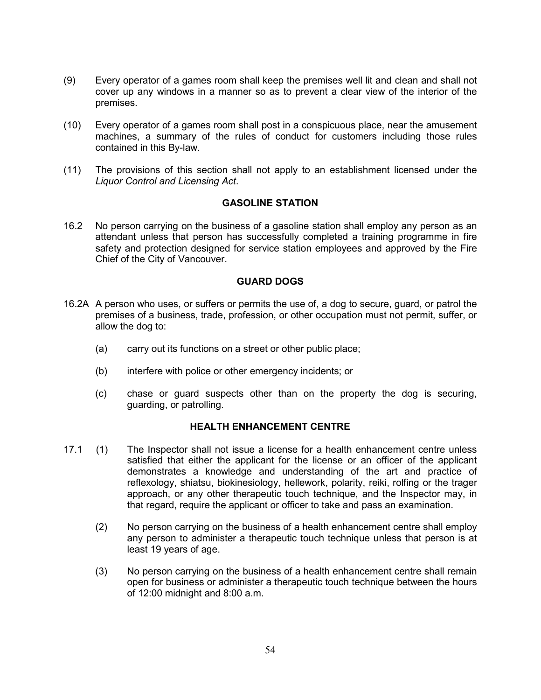- (9) Every operator of a games room shall keep the premises well lit and clean and shall not cover up any windows in a manner so as to prevent a clear view of the interior of the premises.
- (10) Every operator of a games room shall post in a conspicuous place, near the amusement machines, a summary of the rules of conduct for customers including those rules contained in this By-law.
- (11) The provisions of this section shall not apply to an establishment licensed under the *Liquor Control and Licensing Act*.

### **GASOLINE STATION**

16.2 No person carrying on the business of a gasoline station shall employ any person as an attendant unless that person has successfully completed a training programme in fire safety and protection designed for service station employees and approved by the Fire Chief of the City of Vancouver.

### **GUARD DOGS**

- 16.2A A person who uses, or suffers or permits the use of, a dog to secure, guard, or patrol the premises of a business, trade, profession, or other occupation must not permit, suffer, or allow the dog to:
	- (a) carry out its functions on a street or other public place;
	- (b) interfere with police or other emergency incidents; or
	- (c) chase or guard suspects other than on the property the dog is securing, guarding, or patrolling.

### **HEALTH ENHANCEMENT CENTRE**

- 17.1 (1) The Inspector shall not issue a license for a health enhancement centre unless satisfied that either the applicant for the license or an officer of the applicant demonstrates a knowledge and understanding of the art and practice of reflexology, shiatsu, biokinesiology, hellework, polarity, reiki, rolfing or the trager approach, or any other therapeutic touch technique, and the Inspector may, in that regard, require the applicant or officer to take and pass an examination.
	- (2) No person carrying on the business of a health enhancement centre shall employ any person to administer a therapeutic touch technique unless that person is at least 19 years of age.
	- (3) No person carrying on the business of a health enhancement centre shall remain open for business or administer a therapeutic touch technique between the hours of 12:00 midnight and 8:00 a.m.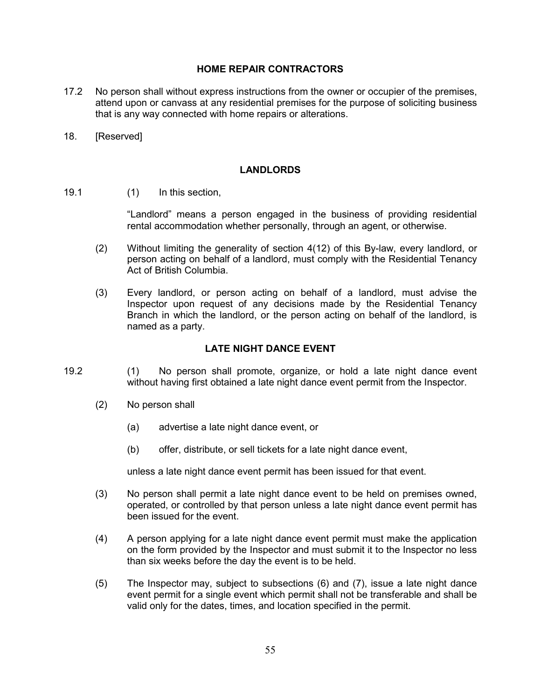## **HOME REPAIR CONTRACTORS**

- 17.2 No person shall without express instructions from the owner or occupier of the premises, attend upon or canvass at any residential premises for the purpose of soliciting business that is any way connected with home repairs or alterations.
- 18. [Reserved]

## **LANDLORDS**

19.1 (1) In this section,

"Landlord" means a person engaged in the business of providing residential rental accommodation whether personally, through an agent, or otherwise.

- (2) Without limiting the generality of section 4(12) of this By-law, every landlord, or person acting on behalf of a landlord, must comply with the Residential Tenancy Act of British Columbia.
- (3) Every landlord, or person acting on behalf of a landlord, must advise the Inspector upon request of any decisions made by the Residential Tenancy Branch in which the landlord, or the person acting on behalf of the landlord, is named as a party.

## **LATE NIGHT DANCE EVENT**

- 19.2 (1) No person shall promote, organize, or hold a late night dance event without having first obtained a late night dance event permit from the Inspector.
	- (2) No person shall
		- (a) advertise a late night dance event, or
		- (b) offer, distribute, or sell tickets for a late night dance event,

unless a late night dance event permit has been issued for that event.

- (3) No person shall permit a late night dance event to be held on premises owned, operated, or controlled by that person unless a late night dance event permit has been issued for the event.
- (4) A person applying for a late night dance event permit must make the application on the form provided by the Inspector and must submit it to the Inspector no less than six weeks before the day the event is to be held.
- (5) The Inspector may, subject to subsections (6) and (7), issue a late night dance event permit for a single event which permit shall not be transferable and shall be valid only for the dates, times, and location specified in the permit.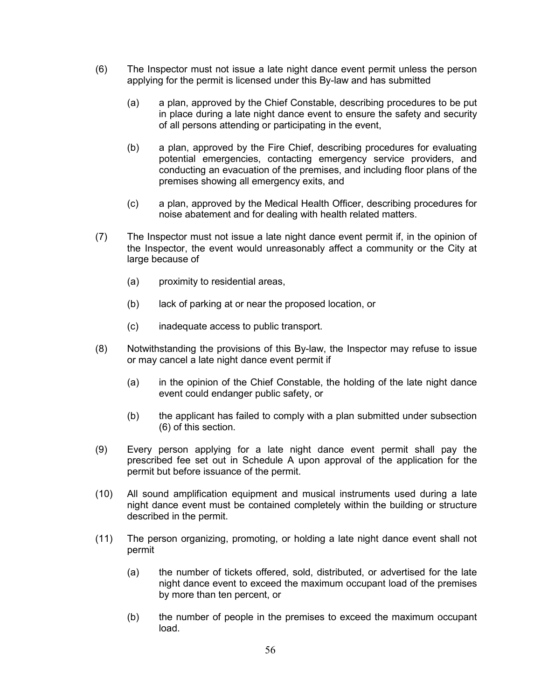- (6) The Inspector must not issue a late night dance event permit unless the person applying for the permit is licensed under this By-law and has submitted
	- (a) a plan, approved by the Chief Constable, describing procedures to be put in place during a late night dance event to ensure the safety and security of all persons attending or participating in the event,
	- (b) a plan, approved by the Fire Chief, describing procedures for evaluating potential emergencies, contacting emergency service providers, and conducting an evacuation of the premises, and including floor plans of the premises showing all emergency exits, and
	- (c) a plan, approved by the Medical Health Officer, describing procedures for noise abatement and for dealing with health related matters.
- (7) The Inspector must not issue a late night dance event permit if, in the opinion of the Inspector, the event would unreasonably affect a community or the City at large because of
	- (a) proximity to residential areas,
	- (b) lack of parking at or near the proposed location, or
	- (c) inadequate access to public transport.
- (8) Notwithstanding the provisions of this By-law, the Inspector may refuse to issue or may cancel a late night dance event permit if
	- (a) in the opinion of the Chief Constable, the holding of the late night dance event could endanger public safety, or
	- (b) the applicant has failed to comply with a plan submitted under subsection (6) of this section.
- (9) Every person applying for a late night dance event permit shall pay the prescribed fee set out in Schedule A upon approval of the application for the permit but before issuance of the permit.
- (10) All sound amplification equipment and musical instruments used during a late night dance event must be contained completely within the building or structure described in the permit.
- (11) The person organizing, promoting, or holding a late night dance event shall not permit
	- (a) the number of tickets offered, sold, distributed, or advertised for the late night dance event to exceed the maximum occupant load of the premises by more than ten percent, or
	- (b) the number of people in the premises to exceed the maximum occupant load.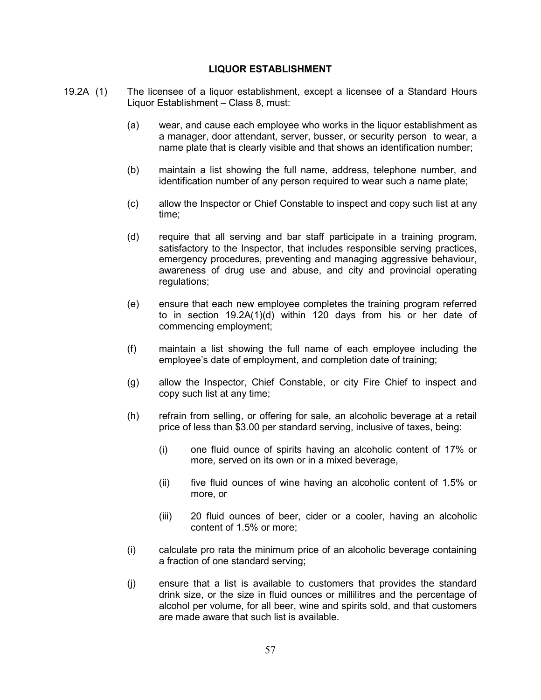### **LIQUOR ESTABLISHMENT**

- 19.2A (1) The licensee of a liquor establishment, except a licensee of a Standard Hours Liquor Establishment – Class 8, must:
	- (a) wear, and cause each employee who works in the liquor establishment as a manager, door attendant, server, busser, or security person to wear, a name plate that is clearly visible and that shows an identification number;
	- (b) maintain a list showing the full name, address, telephone number, and identification number of any person required to wear such a name plate;
	- (c) allow the Inspector or Chief Constable to inspect and copy such list at any time;
	- (d) require that all serving and bar staff participate in a training program, satisfactory to the Inspector, that includes responsible serving practices, emergency procedures, preventing and managing aggressive behaviour, awareness of drug use and abuse, and city and provincial operating regulations;
	- (e) ensure that each new employee completes the training program referred to in section 19.2A(1)(d) within 120 days from his or her date of commencing employment;
	- (f) maintain a list showing the full name of each employee including the employee's date of employment, and completion date of training;
	- (g) allow the Inspector, Chief Constable, or city Fire Chief to inspect and copy such list at any time;
	- (h) refrain from selling, or offering for sale, an alcoholic beverage at a retail price of less than \$3.00 per standard serving, inclusive of taxes, being:
		- (i) one fluid ounce of spirits having an alcoholic content of 17% or more, served on its own or in a mixed beverage,
		- (ii) five fluid ounces of wine having an alcoholic content of 1.5% or more, or
		- (iii) 20 fluid ounces of beer, cider or a cooler, having an alcoholic content of 1.5% or more;
	- (i) calculate pro rata the minimum price of an alcoholic beverage containing a fraction of one standard serving;
	- (j) ensure that a list is available to customers that provides the standard drink size, or the size in fluid ounces or millilitres and the percentage of alcohol per volume, for all beer, wine and spirits sold, and that customers are made aware that such list is available.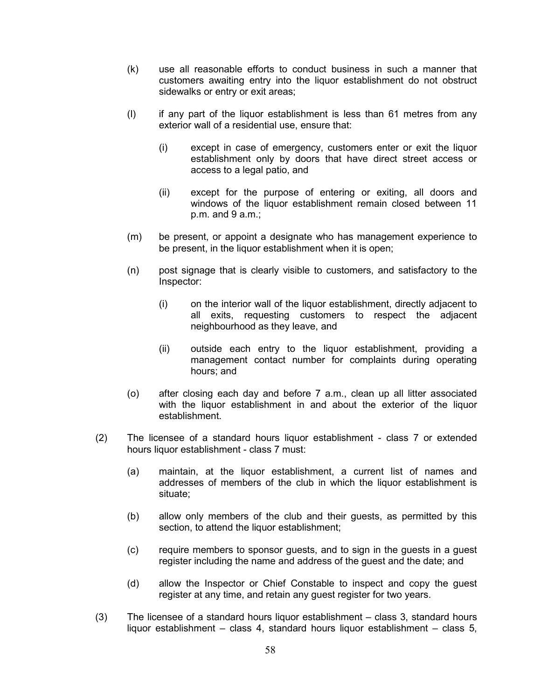- (k) use all reasonable efforts to conduct business in such a manner that customers awaiting entry into the liquor establishment do not obstruct sidewalks or entry or exit areas;
- (l) if any part of the liquor establishment is less than 61 metres from any exterior wall of a residential use, ensure that:
	- (i) except in case of emergency, customers enter or exit the liquor establishment only by doors that have direct street access or access to a legal patio, and
	- (ii) except for the purpose of entering or exiting, all doors and windows of the liquor establishment remain closed between 11 p.m. and 9 a.m.;
- (m) be present, or appoint a designate who has management experience to be present, in the liquor establishment when it is open;
- (n) post signage that is clearly visible to customers, and satisfactory to the Inspector:
	- (i) on the interior wall of the liquor establishment, directly adjacent to all exits, requesting customers to respect the adjacent neighbourhood as they leave, and
	- (ii) outside each entry to the liquor establishment, providing a management contact number for complaints during operating hours; and
- (o) after closing each day and before 7 a.m., clean up all litter associated with the liquor establishment in and about the exterior of the liquor establishment.
- (2) The licensee of a standard hours liquor establishment class 7 or extended hours liquor establishment - class 7 must:
	- (a) maintain, at the liquor establishment, a current list of names and addresses of members of the club in which the liquor establishment is situate;
	- (b) allow only members of the club and their guests, as permitted by this section, to attend the liquor establishment;
	- (c) require members to sponsor guests, and to sign in the guests in a guest register including the name and address of the guest and the date; and
	- (d) allow the Inspector or Chief Constable to inspect and copy the guest register at any time, and retain any guest register for two years.
- (3) The licensee of a standard hours liquor establishment class 3, standard hours liquor establishment – class 4, standard hours liquor establishment – class 5,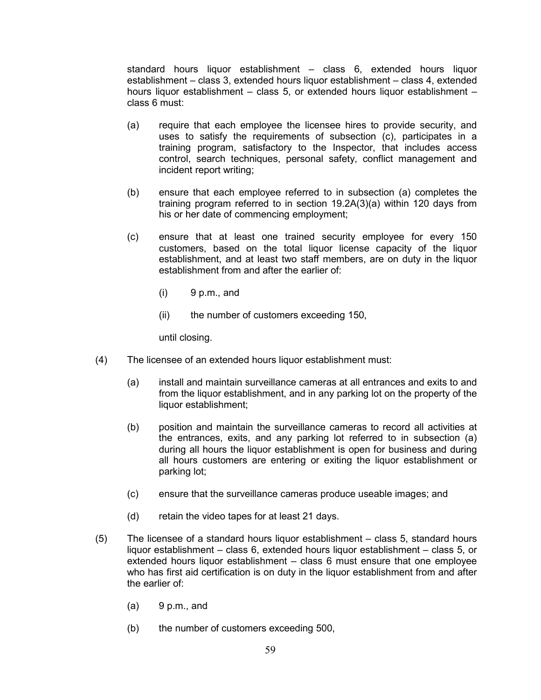standard hours liquor establishment – class 6, extended hours liquor establishment – class 3, extended hours liquor establishment – class 4, extended hours liquor establishment – class 5, or extended hours liquor establishment – class 6 must:

- (a) require that each employee the licensee hires to provide security, and uses to satisfy the requirements of subsection (c), participates in a training program, satisfactory to the Inspector, that includes access control, search techniques, personal safety, conflict management and incident report writing;
- (b) ensure that each employee referred to in subsection (a) completes the training program referred to in section 19.2A(3)(a) within 120 days from his or her date of commencing employment;
- (c) ensure that at least one trained security employee for every 150 customers, based on the total liquor license capacity of the liquor establishment, and at least two staff members, are on duty in the liquor establishment from and after the earlier of:
	- $(i)$  9 p.m., and
	- (ii) the number of customers exceeding 150,

until closing.

- (4) The licensee of an extended hours liquor establishment must:
	- (a) install and maintain surveillance cameras at all entrances and exits to and from the liquor establishment, and in any parking lot on the property of the liquor establishment;
	- (b) position and maintain the surveillance cameras to record all activities at the entrances, exits, and any parking lot referred to in subsection (a) during all hours the liquor establishment is open for business and during all hours customers are entering or exiting the liquor establishment or parking lot;
	- (c) ensure that the surveillance cameras produce useable images; and
	- (d) retain the video tapes for at least 21 days.
- (5) The licensee of a standard hours liquor establishment class 5, standard hours liquor establishment – class 6, extended hours liquor establishment – class 5, or extended hours liquor establishment – class 6 must ensure that one employee who has first aid certification is on duty in the liquor establishment from and after the earlier of:
	- $(a)$  9 p.m., and
	- (b) the number of customers exceeding 500,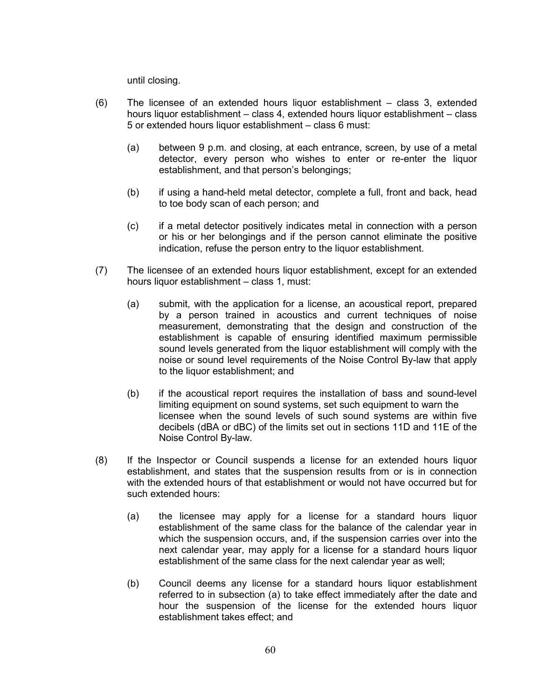until closing.

- (6) The licensee of an extended hours liquor establishment class 3, extended hours liquor establishment – class 4, extended hours liquor establishment – class 5 or extended hours liquor establishment – class 6 must:
	- (a) between 9 p.m. and closing, at each entrance, screen, by use of a metal detector, every person who wishes to enter or re-enter the liquor establishment, and that person's belongings;
	- (b) if using a hand-held metal detector, complete a full, front and back, head to toe body scan of each person; and
	- (c) if a metal detector positively indicates metal in connection with a person or his or her belongings and if the person cannot eliminate the positive indication, refuse the person entry to the liquor establishment.
- (7) The licensee of an extended hours liquor establishment, except for an extended hours liquor establishment – class 1, must:
	- (a) submit, with the application for a license, an acoustical report, prepared by a person trained in acoustics and current techniques of noise measurement, demonstrating that the design and construction of the establishment is capable of ensuring identified maximum permissible sound levels generated from the liquor establishment will comply with the noise or sound level requirements of the Noise Control By-law that apply to the liquor establishment; and
	- (b) if the acoustical report requires the installation of bass and sound-level limiting equipment on sound systems, set such equipment to warn the licensee when the sound levels of such sound systems are within five decibels (dBA or dBC) of the limits set out in sections 11D and 11E of the Noise Control By-law.
- (8) If the Inspector or Council suspends a license for an extended hours liquor establishment, and states that the suspension results from or is in connection with the extended hours of that establishment or would not have occurred but for such extended hours:
	- (a) the licensee may apply for a license for a standard hours liquor establishment of the same class for the balance of the calendar year in which the suspension occurs, and, if the suspension carries over into the next calendar year, may apply for a license for a standard hours liquor establishment of the same class for the next calendar year as well;
	- (b) Council deems any license for a standard hours liquor establishment referred to in subsection (a) to take effect immediately after the date and hour the suspension of the license for the extended hours liquor establishment takes effect; and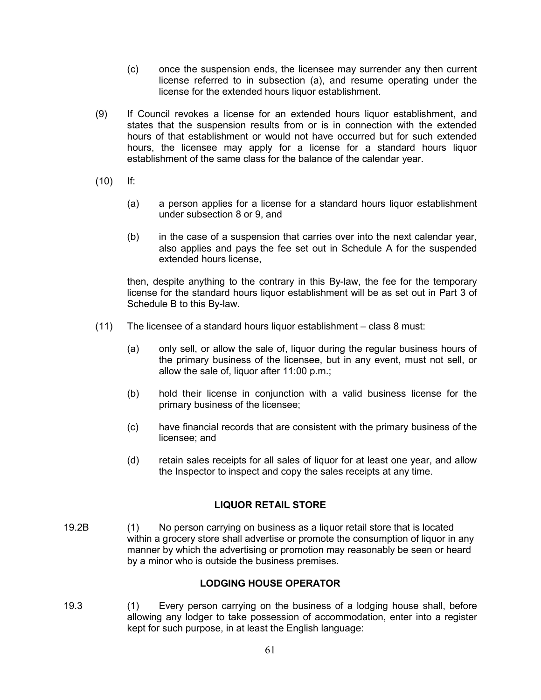- (c) once the suspension ends, the licensee may surrender any then current license referred to in subsection (a), and resume operating under the license for the extended hours liquor establishment.
- (9) If Council revokes a license for an extended hours liquor establishment, and states that the suspension results from or is in connection with the extended hours of that establishment or would not have occurred but for such extended hours, the licensee may apply for a license for a standard hours liquor establishment of the same class for the balance of the calendar year.
- (10) If:
	- (a) a person applies for a license for a standard hours liquor establishment under subsection 8 or 9, and
	- (b) in the case of a suspension that carries over into the next calendar year, also applies and pays the fee set out in Schedule A for the suspended extended hours license,

then, despite anything to the contrary in this By-law, the fee for the temporary license for the standard hours liquor establishment will be as set out in Part 3 of Schedule B to this By-law.

- (11) The licensee of a standard hours liquor establishment class 8 must:
	- (a) only sell, or allow the sale of, liquor during the regular business hours of the primary business of the licensee, but in any event, must not sell, or allow the sale of, liquor after 11:00 p.m.;
	- (b) hold their license in conjunction with a valid business license for the primary business of the licensee;
	- (c) have financial records that are consistent with the primary business of the licensee; and
	- (d) retain sales receipts for all sales of liquor for at least one year, and allow the Inspector to inspect and copy the sales receipts at any time.

## **LIQUOR RETAIL STORE**

19.2B (1) No person carrying on business as a liquor retail store that is located within a grocery store shall advertise or promote the consumption of liquor in any manner by which the advertising or promotion may reasonably be seen or heard by a minor who is outside the business premises.

## **LODGING HOUSE OPERATOR**

19.3 (1) Every person carrying on the business of a lodging house shall, before allowing any lodger to take possession of accommodation, enter into a register kept for such purpose, in at least the English language: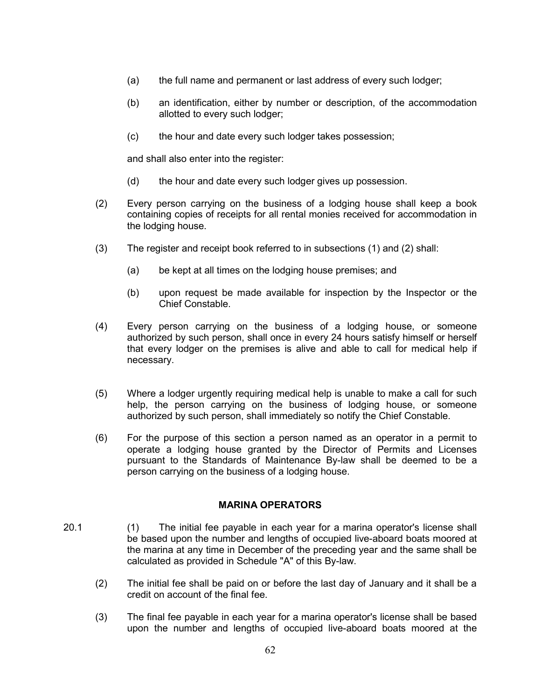- (a) the full name and permanent or last address of every such lodger;
- (b) an identification, either by number or description, of the accommodation allotted to every such lodger;
- (c) the hour and date every such lodger takes possession;

and shall also enter into the register:

- (d) the hour and date every such lodger gives up possession.
- (2) Every person carrying on the business of a lodging house shall keep a book containing copies of receipts for all rental monies received for accommodation in the lodging house.
- (3) The register and receipt book referred to in subsections (1) and (2) shall:
	- (a) be kept at all times on the lodging house premises; and
	- (b) upon request be made available for inspection by the Inspector or the Chief Constable.
- (4) Every person carrying on the business of a lodging house, or someone authorized by such person, shall once in every 24 hours satisfy himself or herself that every lodger on the premises is alive and able to call for medical help if necessary.
- (5) Where a lodger urgently requiring medical help is unable to make a call for such help, the person carrying on the business of lodging house, or someone authorized by such person, shall immediately so notify the Chief Constable.
- (6) For the purpose of this section a person named as an operator in a permit to operate a lodging house granted by the Director of Permits and Licenses pursuant to the Standards of Maintenance By-law shall be deemed to be a person carrying on the business of a lodging house.

### **MARINA OPERATORS**

- 20.1 (1) The initial fee payable in each year for a marina operator's license shall be based upon the number and lengths of occupied live-aboard boats moored at the marina at any time in December of the preceding year and the same shall be calculated as provided in Schedule "A" of this By-law.
	- (2) The initial fee shall be paid on or before the last day of January and it shall be a credit on account of the final fee.
	- (3) The final fee payable in each year for a marina operator's license shall be based upon the number and lengths of occupied live-aboard boats moored at the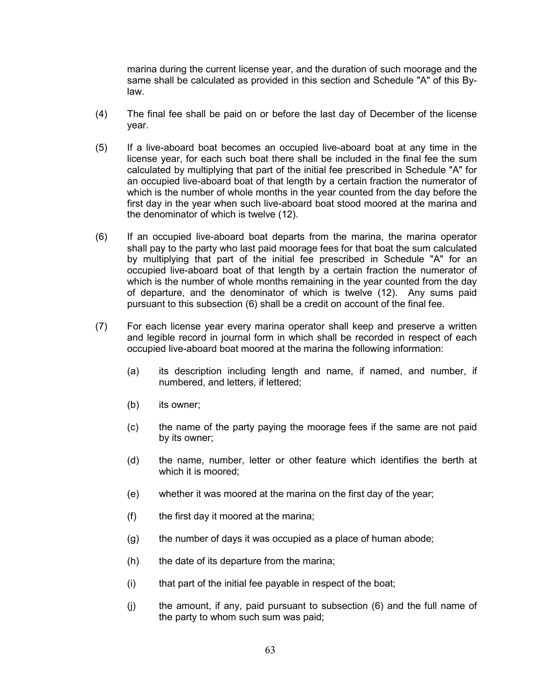marina during the current license year, and the duration of such moorage and the same shall be calculated as provided in this section and Schedule "A" of this Bylaw.

- (4) The final fee shall be paid on or before the last day of December of the license year.
- (5) If a live-aboard boat becomes an occupied live-aboard boat at any time in the license year, for each such boat there shall be included in the final fee the sum calculated by multiplying that part of the initial fee prescribed in Schedule "A" for an occupied live-aboard boat of that length by a certain fraction the numerator of which is the number of whole months in the year counted from the day before the first day in the year when such live-aboard boat stood moored at the marina and the denominator of which is twelve (12).
- (6) If an occupied live-aboard boat departs from the marina, the marina operator shall pay to the party who last paid moorage fees for that boat the sum calculated by multiplying that part of the initial fee prescribed in Schedule "A" for an occupied live-aboard boat of that length by a certain fraction the numerator of which is the number of whole months remaining in the year counted from the day of departure, and the denominator of which is twelve (12). Any sums paid pursuant to this subsection (6) shall be a credit on account of the final fee.
- (7) For each license year every marina operator shall keep and preserve a written and legible record in journal form in which shall be recorded in respect of each occupied live-aboard boat moored at the marina the following information:
	- (a) its description including length and name, if named, and number, if numbered, and letters, if lettered;
	- (b) its owner;
	- (c) the name of the party paying the moorage fees if the same are not paid by its owner;
	- (d) the name, number, letter or other feature which identifies the berth at which it is moored;
	- (e) whether it was moored at the marina on the first day of the year;
	- $(f)$  the first day it moored at the marina;
	- (g) the number of days it was occupied as a place of human abode;
	- (h) the date of its departure from the marina;
	- (i) that part of the initial fee payable in respect of the boat;
	- (j) the amount, if any, paid pursuant to subsection (6) and the full name of the party to whom such sum was paid;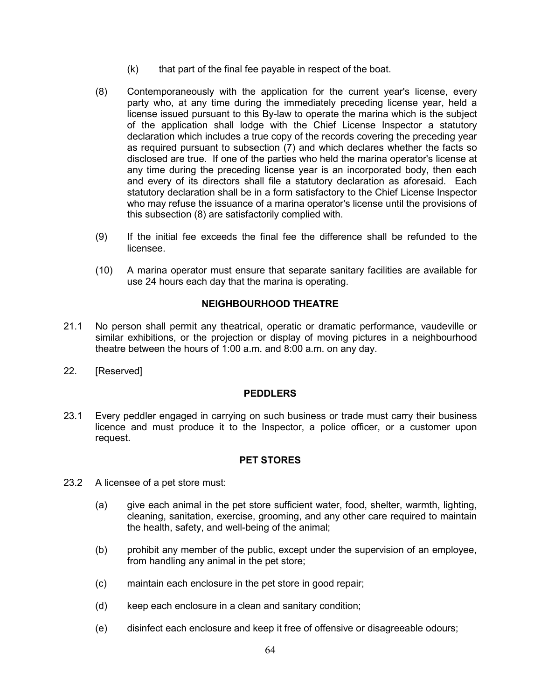- $(k)$  that part of the final fee payable in respect of the boat.
- (8) Contemporaneously with the application for the current year's license, every party who, at any time during the immediately preceding license year, held a license issued pursuant to this By-law to operate the marina which is the subject of the application shall lodge with the Chief License Inspector a statutory declaration which includes a true copy of the records covering the preceding year as required pursuant to subsection (7) and which declares whether the facts so disclosed are true. If one of the parties who held the marina operator's license at any time during the preceding license year is an incorporated body, then each and every of its directors shall file a statutory declaration as aforesaid. Each statutory declaration shall be in a form satisfactory to the Chief License Inspector who may refuse the issuance of a marina operator's license until the provisions of this subsection (8) are satisfactorily complied with.
- (9) If the initial fee exceeds the final fee the difference shall be refunded to the licensee.
- (10) A marina operator must ensure that separate sanitary facilities are available for use 24 hours each day that the marina is operating.

# **NEIGHBOURHOOD THEATRE**

- 21.1 No person shall permit any theatrical, operatic or dramatic performance, vaudeville or similar exhibitions, or the projection or display of moving pictures in a neighbourhood theatre between the hours of 1:00 a.m. and 8:00 a.m. on any day.
- 22. [Reserved]

### **PEDDLERS**

23.1 Every peddler engaged in carrying on such business or trade must carry their business licence and must produce it to the Inspector, a police officer, or a customer upon request.

## **PET STORES**

- 23.2 A licensee of a pet store must:
	- (a) give each animal in the pet store sufficient water, food, shelter, warmth, lighting, cleaning, sanitation, exercise, grooming, and any other care required to maintain the health, safety, and well-being of the animal;
	- (b) prohibit any member of the public, except under the supervision of an employee, from handling any animal in the pet store;
	- (c) maintain each enclosure in the pet store in good repair;
	- (d) keep each enclosure in a clean and sanitary condition;
	- (e) disinfect each enclosure and keep it free of offensive or disagreeable odours;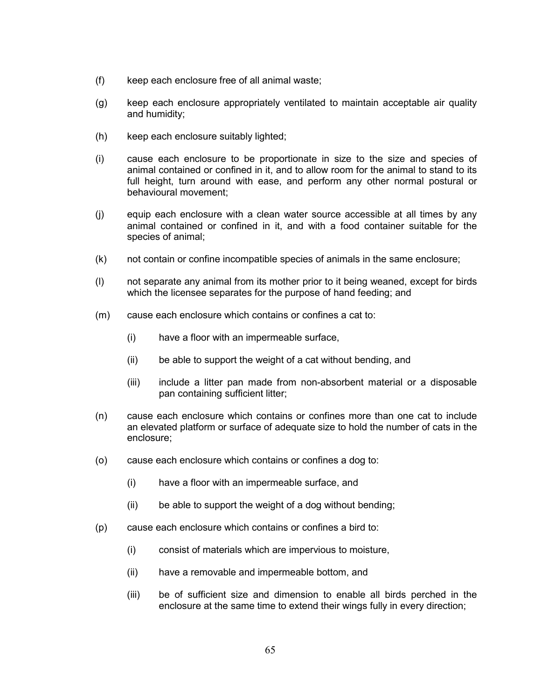- (f) keep each enclosure free of all animal waste;
- (g) keep each enclosure appropriately ventilated to maintain acceptable air quality and humidity;
- (h) keep each enclosure suitably lighted;
- (i) cause each enclosure to be proportionate in size to the size and species of animal contained or confined in it, and to allow room for the animal to stand to its full height, turn around with ease, and perform any other normal postural or behavioural movement;
- (j) equip each enclosure with a clean water source accessible at all times by any animal contained or confined in it, and with a food container suitable for the species of animal;
- (k) not contain or confine incompatible species of animals in the same enclosure;
- (l) not separate any animal from its mother prior to it being weaned, except for birds which the licensee separates for the purpose of hand feeding; and
- (m) cause each enclosure which contains or confines a cat to:
	- (i) have a floor with an impermeable surface,
	- (ii) be able to support the weight of a cat without bending, and
	- (iii) include a litter pan made from non-absorbent material or a disposable pan containing sufficient litter;
- (n) cause each enclosure which contains or confines more than one cat to include an elevated platform or surface of adequate size to hold the number of cats in the enclosure;
- (o) cause each enclosure which contains or confines a dog to:
	- (i) have a floor with an impermeable surface, and
	- (ii) be able to support the weight of a dog without bending;
- (p) cause each enclosure which contains or confines a bird to:
	- (i) consist of materials which are impervious to moisture,
	- (ii) have a removable and impermeable bottom, and
	- (iii) be of sufficient size and dimension to enable all birds perched in the enclosure at the same time to extend their wings fully in every direction;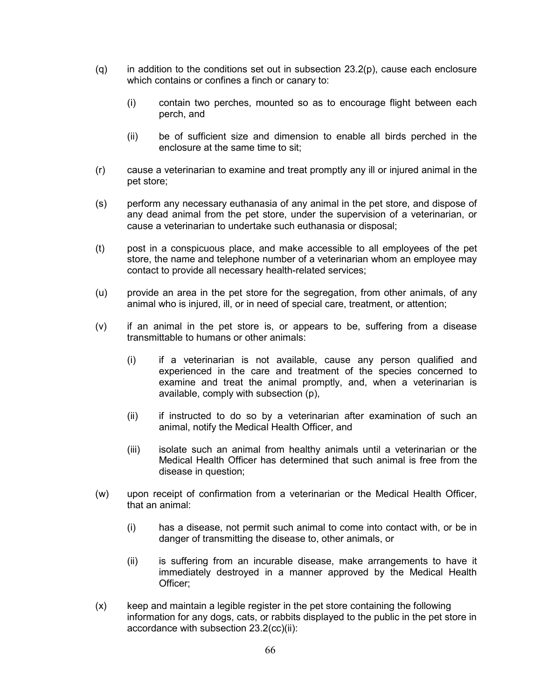- $(q)$  in addition to the conditions set out in subsection 23.2(p), cause each enclosure which contains or confines a finch or canary to:
	- (i) contain two perches, mounted so as to encourage flight between each perch, and
	- (ii) be of sufficient size and dimension to enable all birds perched in the enclosure at the same time to sit;
- (r) cause a veterinarian to examine and treat promptly any ill or injured animal in the pet store;
- (s) perform any necessary euthanasia of any animal in the pet store, and dispose of any dead animal from the pet store, under the supervision of a veterinarian, or cause a veterinarian to undertake such euthanasia or disposal;
- (t) post in a conspicuous place, and make accessible to all employees of the pet store, the name and telephone number of a veterinarian whom an employee may contact to provide all necessary health-related services;
- (u) provide an area in the pet store for the segregation, from other animals, of any animal who is injured, ill, or in need of special care, treatment, or attention;
- (v) if an animal in the pet store is, or appears to be, suffering from a disease transmittable to humans or other animals:
	- (i) if a veterinarian is not available, cause any person qualified and experienced in the care and treatment of the species concerned to examine and treat the animal promptly, and, when a veterinarian is available, comply with subsection (p),
	- (ii) if instructed to do so by a veterinarian after examination of such an animal, notify the Medical Health Officer, and
	- (iii) isolate such an animal from healthy animals until a veterinarian or the Medical Health Officer has determined that such animal is free from the disease in question;
- (w) upon receipt of confirmation from a veterinarian or the Medical Health Officer, that an animal:
	- (i) has a disease, not permit such animal to come into contact with, or be in danger of transmitting the disease to, other animals, or
	- (ii) is suffering from an incurable disease, make arrangements to have it immediately destroyed in a manner approved by the Medical Health Officer;
- (x) keep and maintain a legible register in the pet store containing the following information for any dogs, cats, or rabbits displayed to the public in the pet store in accordance with subsection 23.2(cc)(ii):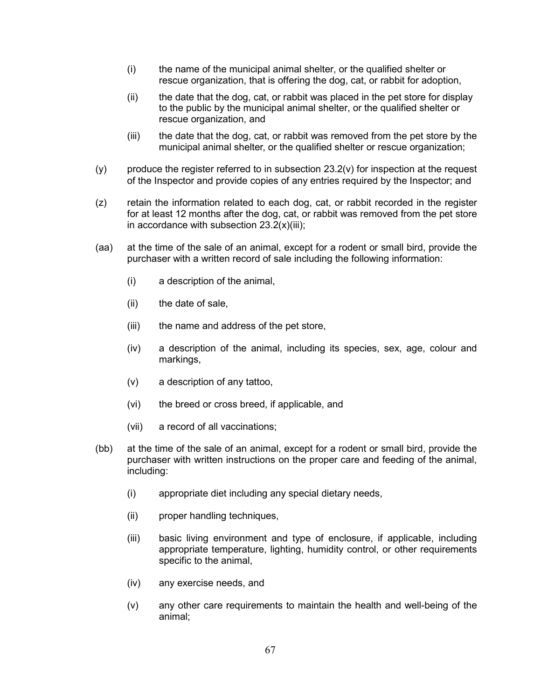- (i) the name of the municipal animal shelter, or the qualified shelter or rescue organization, that is offering the dog, cat, or rabbit for adoption,
- (ii) the date that the dog, cat, or rabbit was placed in the pet store for display to the public by the municipal animal shelter, or the qualified shelter or rescue organization, and
- (iii) the date that the dog, cat, or rabbit was removed from the pet store by the municipal animal shelter, or the qualified shelter or rescue organization;
- $(y)$  produce the register referred to in subsection 23.2(v) for inspection at the request of the Inspector and provide copies of any entries required by the Inspector; and
- (z) retain the information related to each dog, cat, or rabbit recorded in the register for at least 12 months after the dog, cat, or rabbit was removed from the pet store in accordance with subsection  $23.2(x)(iii)$ ;
- (aa) at the time of the sale of an animal, except for a rodent or small bird, provide the purchaser with a written record of sale including the following information:
	- (i) a description of the animal,
	- (ii) the date of sale,
	- (iii) the name and address of the pet store,
	- (iv) a description of the animal, including its species, sex, age, colour and markings,
	- (v) a description of any tattoo,
	- (vi) the breed or cross breed, if applicable, and
	- (vii) a record of all vaccinations;
- (bb) at the time of the sale of an animal, except for a rodent or small bird, provide the purchaser with written instructions on the proper care and feeding of the animal, including:
	- (i) appropriate diet including any special dietary needs,
	- (ii) proper handling techniques,
	- (iii) basic living environment and type of enclosure, if applicable, including appropriate temperature, lighting, humidity control, or other requirements specific to the animal,
	- (iv) any exercise needs, and
	- (v) any other care requirements to maintain the health and well-being of the animal;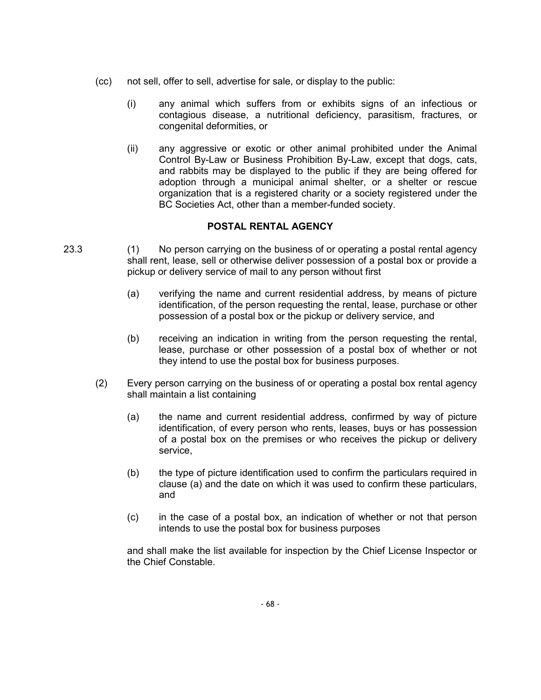- (cc) not sell, offer to sell, advertise for sale, or display to the public:
	- (i) any animal which suffers from or exhibits signs of an infectious or contagious disease, a nutritional deficiency, parasitism, fractures, or congenital deformities, or
	- (ii) any aggressive or exotic or other animal prohibited under the Animal Control By-Law or Business Prohibition By-Law, except that dogs, cats, and rabbits may be displayed to the public if they are being offered for adoption through a municipal animal shelter, or a shelter or rescue organization that is a registered charity or a society registered under the BC Societies Act, other than a member-funded society.

## **POSTAL RENTAL AGENCY**

- 23.3 (1) No person carrying on the business of or operating a postal rental agency shall rent, lease, sell or otherwise deliver possession of a postal box or provide a pickup or delivery service of mail to any person without first
	- (a) verifying the name and current residential address, by means of picture identification, of the person requesting the rental, lease, purchase or other possession of a postal box or the pickup or delivery service, and
	- (b) receiving an indication in writing from the person requesting the rental, lease, purchase or other possession of a postal box of whether or not they intend to use the postal box for business purposes.
	- (2) Every person carrying on the business of or operating a postal box rental agency shall maintain a list containing
		- (a) the name and current residential address, confirmed by way of picture identification, of every person who rents, leases, buys or has possession of a postal box on the premises or who receives the pickup or delivery service,
		- (b) the type of picture identification used to confirm the particulars required in clause (a) and the date on which it was used to confirm these particulars, and
		- (c) in the case of a postal box, an indication of whether or not that person intends to use the postal box for business purposes

and shall make the list available for inspection by the Chief License Inspector or the Chief Constable.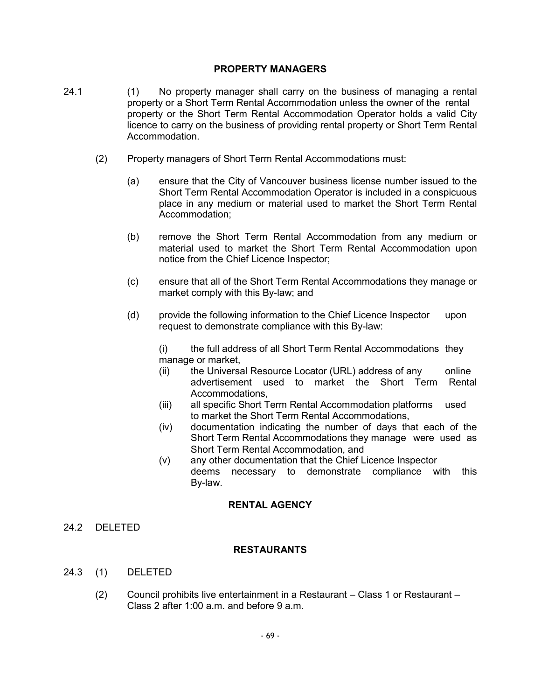### **PROPERTY MANAGERS**

- 24.1 (1) No property manager shall carry on the business of managing a rental property or a Short Term Rental Accommodation unless the owner of the rental property or the Short Term Rental Accommodation Operator holds a valid City licence to carry on the business of providing rental property or Short Term Rental Accommodation.
	- (2) Property managers of Short Term Rental Accommodations must:
		- (a) ensure that the City of Vancouver business license number issued to the Short Term Rental Accommodation Operator is included in a conspicuous place in any medium or material used to market the Short Term Rental Accommodation;
		- (b) remove the Short Term Rental Accommodation from any medium or material used to market the Short Term Rental Accommodation upon notice from the Chief Licence Inspector;
		- (c) ensure that all of the Short Term Rental Accommodations they manage or market comply with this By-law; and
		- (d) provide the following information to the Chief Licence Inspector upon request to demonstrate compliance with this By-law:

(i) the full address of all Short Term Rental Accommodations they manage or market,

- (ii) the Universal Resource Locator (URL) address of any online advertisement used to market the Short Term Rental Accommodations,
- (iii) all specific Short Term Rental Accommodation platforms used to market the Short Term Rental Accommodations,
- (iv) documentation indicating the number of days that each of the Short Term Rental Accommodations they manage were used as Short Term Rental Accommodation, and
- (v) any other documentation that the Chief Licence Inspector deems necessary to demonstrate compliance with this By-law.

## **RENTAL AGENCY**

24.2 DELETED

### **RESTAURANTS**

- 24.3 (1) DELETED
	- (2) Council prohibits live entertainment in a Restaurant Class 1 or Restaurant Class 2 after 1:00 a.m. and before 9 a.m.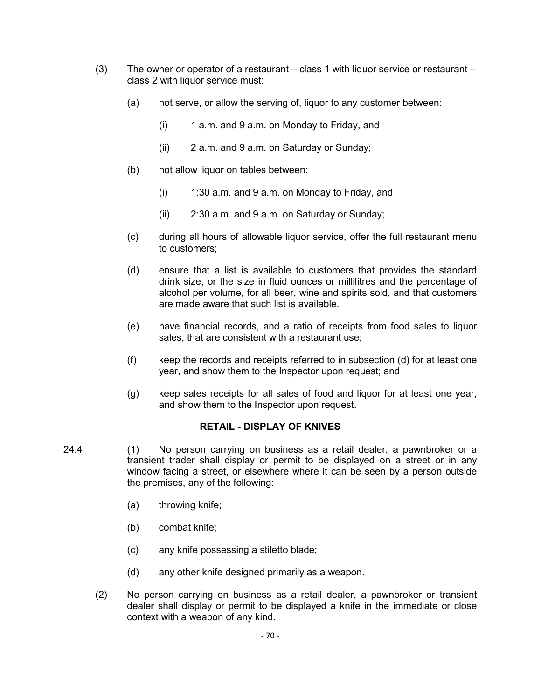- $(3)$  The owner or operator of a restaurant class 1 with liquor service or restaurant class 2 with liquor service must:
	- (a) not serve, or allow the serving of, liquor to any customer between:
		- $(i)$  1 a.m. and 9 a.m. on Monday to Friday, and
		- (ii) 2 a.m. and 9 a.m. on Saturday or Sunday;
	- (b) not allow liquor on tables between:
		- $(i)$  1:30 a.m. and 9 a.m. on Monday to Friday, and
		- (ii) 2:30 a.m. and 9 a.m. on Saturday or Sunday;
	- (c) during all hours of allowable liquor service, offer the full restaurant menu to customers;
	- (d) ensure that a list is available to customers that provides the standard drink size, or the size in fluid ounces or millilitres and the percentage of alcohol per volume, for all beer, wine and spirits sold, and that customers are made aware that such list is available.
	- (e) have financial records, and a ratio of receipts from food sales to liquor sales, that are consistent with a restaurant use;
	- (f) keep the records and receipts referred to in subsection (d) for at least one year, and show them to the Inspector upon request; and
	- (g) keep sales receipts for all sales of food and liquor for at least one year, and show them to the Inspector upon request.

### **RETAIL - DISPLAY OF KNIVES**

- 24.4 (1) No person carrying on business as a retail dealer, a pawnbroker or a transient trader shall display or permit to be displayed on a street or in any window facing a street, or elsewhere where it can be seen by a person outside the premises, any of the following:
	- (a) throwing knife;
	- (b) combat knife;
	- (c) any knife possessing a stiletto blade;
	- (d) any other knife designed primarily as a weapon.
	- (2) No person carrying on business as a retail dealer, a pawnbroker or transient dealer shall display or permit to be displayed a knife in the immediate or close context with a weapon of any kind.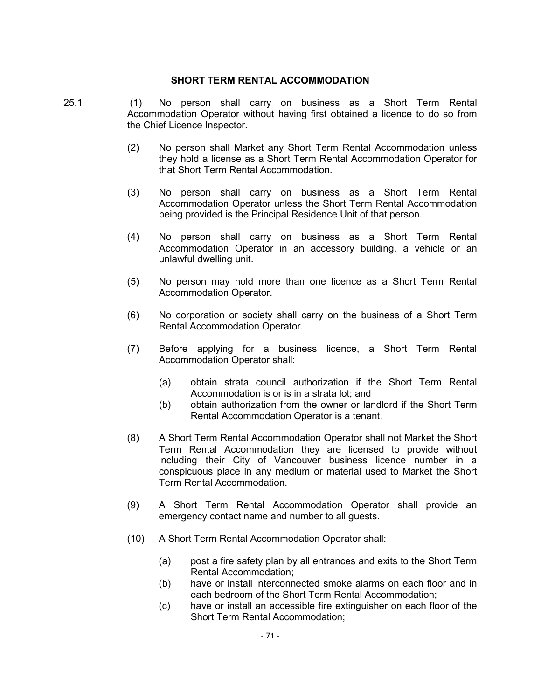### **SHORT TERM RENTAL ACCOMMODATION**

- 25.1 (1) No person shall carry on business as a Short Term Rental Accommodation Operator without having first obtained a licence to do so from the Chief Licence Inspector.
	- (2) No person shall Market any Short Term Rental Accommodation unless they hold a license as a Short Term Rental Accommodation Operator for that Short Term Rental Accommodation.
	- (3) No person shall carry on business as a Short Term Rental Accommodation Operator unless the Short Term Rental Accommodation being provided is the Principal Residence Unit of that person.
	- (4) No person shall carry on business as a Short Term Rental Accommodation Operator in an accessory building, a vehicle or an unlawful dwelling unit.
	- (5) No person may hold more than one licence as a Short Term Rental Accommodation Operator.
	- (6) No corporation or society shall carry on the business of a Short Term Rental Accommodation Operator.
	- (7) Before applying for a business licence, a Short Term Rental Accommodation Operator shall:
		- (a) obtain strata council authorization if the Short Term Rental Accommodation is or is in a strata lot; and
		- (b) obtain authorization from the owner or landlord if the Short Term Rental Accommodation Operator is a tenant.
	- (8) A Short Term Rental Accommodation Operator shall not Market the Short Term Rental Accommodation they are licensed to provide without including their City of Vancouver business licence number in a conspicuous place in any medium or material used to Market the Short Term Rental Accommodation.
	- (9) A Short Term Rental Accommodation Operator shall provide an emergency contact name and number to all guests.
	- (10) A Short Term Rental Accommodation Operator shall:
		- (a) post a fire safety plan by all entrances and exits to the Short Term Rental Accommodation;
		- (b) have or install interconnected smoke alarms on each floor and in each bedroom of the Short Term Rental Accommodation;
		- (c) have or install an accessible fire extinguisher on each floor of the Short Term Rental Accommodation;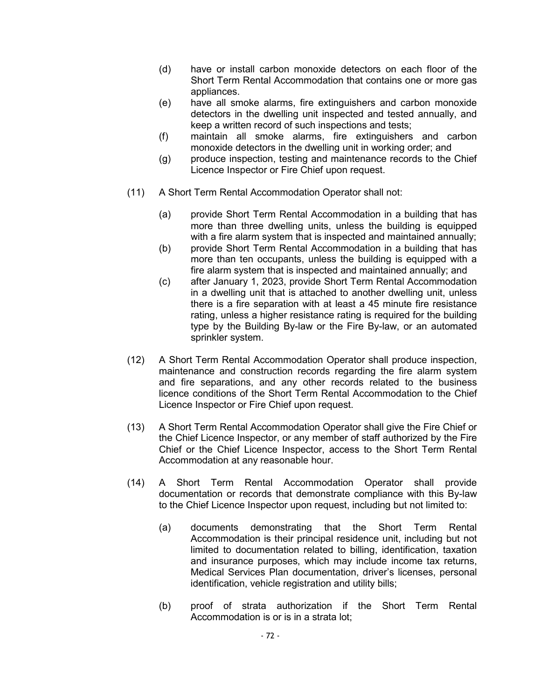- (d) have or install carbon monoxide detectors on each floor of the Short Term Rental Accommodation that contains one or more gas appliances.
- (e) have all smoke alarms, fire extinguishers and carbon monoxide detectors in the dwelling unit inspected and tested annually, and keep a written record of such inspections and tests;
- (f) maintain all smoke alarms, fire extinguishers and carbon monoxide detectors in the dwelling unit in working order; and
- (g) produce inspection, testing and maintenance records to the Chief Licence Inspector or Fire Chief upon request.
- (11) A Short Term Rental Accommodation Operator shall not:
	- (a) provide Short Term Rental Accommodation in a building that has more than three dwelling units, unless the building is equipped with a fire alarm system that is inspected and maintained annually;
	- (b) provide Short Term Rental Accommodation in a building that has more than ten occupants, unless the building is equipped with a fire alarm system that is inspected and maintained annually; and
	- (c) after January 1, 2023, provide Short Term Rental Accommodation in a dwelling unit that is attached to another dwelling unit, unless there is a fire separation with at least a 45 minute fire resistance rating, unless a higher resistance rating is required for the building type by the Building By-law or the Fire By-law, or an automated sprinkler system.
- (12) A Short Term Rental Accommodation Operator shall produce inspection, maintenance and construction records regarding the fire alarm system and fire separations, and any other records related to the business licence conditions of the Short Term Rental Accommodation to the Chief Licence Inspector or Fire Chief upon request.
- (13) A Short Term Rental Accommodation Operator shall give the Fire Chief or the Chief Licence Inspector, or any member of staff authorized by the Fire Chief or the Chief Licence Inspector, access to the Short Term Rental Accommodation at any reasonable hour.
- (14) A Short Term Rental Accommodation Operator shall provide documentation or records that demonstrate compliance with this By-law to the Chief Licence Inspector upon request, including but not limited to:
	- (a) documents demonstrating that the Short Term Rental Accommodation is their principal residence unit, including but not limited to documentation related to billing, identification, taxation and insurance purposes, which may include income tax returns, Medical Services Plan documentation, driver's licenses, personal identification, vehicle registration and utility bills;
	- (b) proof of strata authorization if the Short Term Rental Accommodation is or is in a strata lot;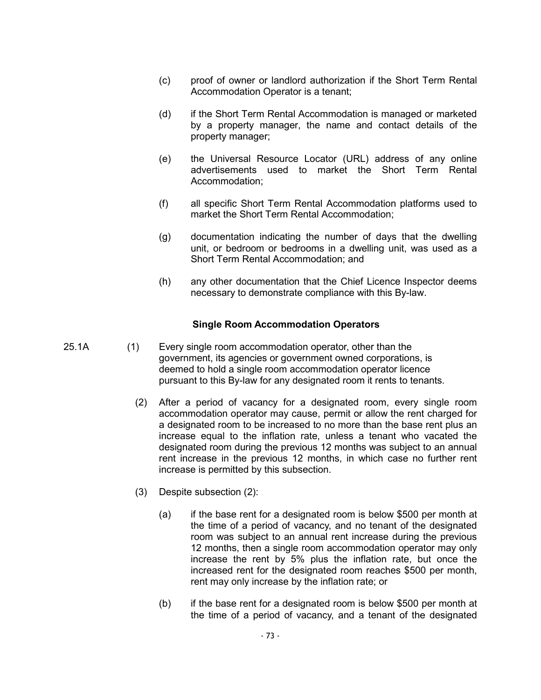- (c) proof of owner or landlord authorization if the Short Term Rental Accommodation Operator is a tenant;
- (d) if the Short Term Rental Accommodation is managed or marketed by a property manager, the name and contact details of the property manager;
- (e) the Universal Resource Locator (URL) address of any online advertisements used to market the Short Term Rental Accommodation;
- (f) all specific Short Term Rental Accommodation platforms used to market the Short Term Rental Accommodation;
- (g) documentation indicating the number of days that the dwelling unit, or bedroom or bedrooms in a dwelling unit, was used as a Short Term Rental Accommodation; and
- (h) any other documentation that the Chief Licence Inspector deems necessary to demonstrate compliance with this By-law.

### **Single Room Accommodation Operators**

- 25.1A (1) Every single room accommodation operator, other than the government, its agencies or government owned corporations, is deemed to hold a single room accommodation operator licence pursuant to this By-law for any designated room it rents to tenants.
	- (2) After a period of vacancy for a designated room, every single room accommodation operator may cause, permit or allow the rent charged for a designated room to be increased to no more than the base rent plus an increase equal to the inflation rate, unless a tenant who vacated the designated room during the previous 12 months was subject to an annual rent increase in the previous 12 months, in which case no further rent increase is permitted by this subsection.
	- (3) Despite subsection (2):
		- (a) if the base rent for a designated room is below \$500 per month at the time of a period of vacancy, and no tenant of the designated room was subject to an annual rent increase during the previous 12 months, then a single room accommodation operator may only increase the rent by 5% plus the inflation rate, but once the increased rent for the designated room reaches \$500 per month, rent may only increase by the inflation rate; or
		- (b) if the base rent for a designated room is below \$500 per month at the time of a period of vacancy, and a tenant of the designated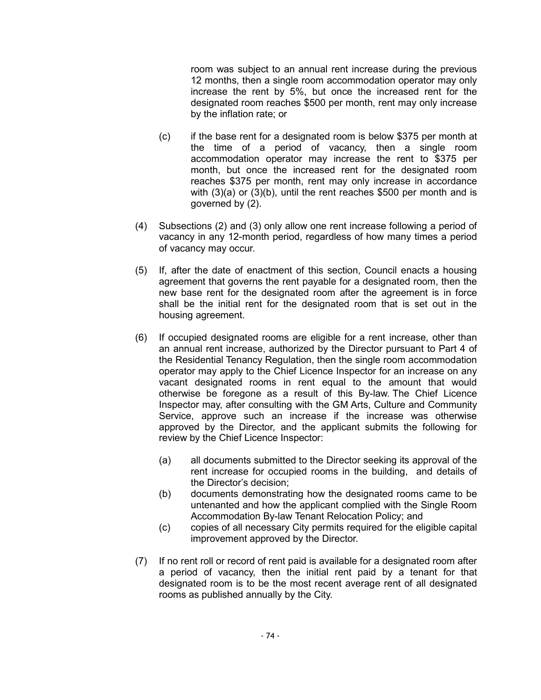room was subject to an annual rent increase during the previous 12 months, then a single room accommodation operator may only increase the rent by 5%, but once the increased rent for the designated room reaches \$500 per month, rent may only increase by the inflation rate; or

- (c) if the base rent for a designated room is below \$375 per month at the time of a period of vacancy, then a single room accommodation operator may increase the rent to \$375 per month, but once the increased rent for the designated room reaches \$375 per month, rent may only increase in accordance with (3)(a) or (3)(b), until the rent reaches \$500 per month and is governed by (2).
- (4) Subsections (2) and (3) only allow one rent increase following a period of vacancy in any 12-month period, regardless of how many times a period of vacancy may occur.
- (5) If, after the date of enactment of this section, Council enacts a housing agreement that governs the rent payable for a designated room, then the new base rent for the designated room after the agreement is in force shall be the initial rent for the designated room that is set out in the housing agreement.
- (6) If occupied designated rooms are eligible for a rent increase, other than an annual rent increase, authorized by the Director pursuant to Part 4 of the Residential Tenancy Regulation, then the single room accommodation operator may apply to the Chief Licence Inspector for an increase on any vacant designated rooms in rent equal to the amount that would otherwise be foregone as a result of this By-law. The Chief Licence Inspector may, after consulting with the GM Arts, Culture and Community Service, approve such an increase if the increase was otherwise approved by the Director, and the applicant submits the following for review by the Chief Licence Inspector:
	- (a) all documents submitted to the Director seeking its approval of the rent increase for occupied rooms in the building, and details of the Director's decision;
	- (b) documents demonstrating how the designated rooms came to be untenanted and how the applicant complied with the Single Room Accommodation By-law Tenant Relocation Policy; and
	- (c) copies of all necessary City permits required for the eligible capital improvement approved by the Director.
- (7) If no rent roll or record of rent paid is available for a designated room after a period of vacancy, then the initial rent paid by a tenant for that designated room is to be the most recent average rent of all designated rooms as published annually by the City.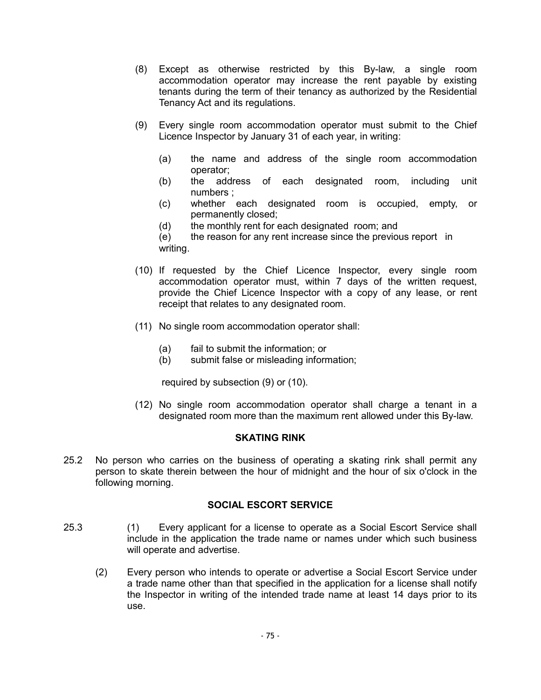- (8) Except as otherwise restricted by this By-law, a single room accommodation operator may increase the rent payable by existing tenants during the term of their tenancy as authorized by the Residential Tenancy Act and its regulations.
- (9) Every single room accommodation operator must submit to the Chief Licence Inspector by January 31 of each year, in writing:
	- (a) the name and address of the single room accommodation operator;
	- (b) the address of each designated room, including unit numbers ;
	- (c) whether each designated room is occupied, empty, or permanently closed;
	- (d) the monthly rent for each designated room; and
	- (e) the reason for any rent increase since the previous report in writing.
- (10) If requested by the Chief Licence Inspector, every single room accommodation operator must, within 7 days of the written request, provide the Chief Licence Inspector with a copy of any lease, or rent receipt that relates to any designated room.
- (11) No single room accommodation operator shall:
	- (a) fail to submit the information; or
	- (b) submit false or misleading information;

required by subsection (9) or (10).

(12) No single room accommodation operator shall charge a tenant in a designated room more than the maximum rent allowed under this By-law.

#### **SKATING RINK**

25.2 No person who carries on the business of operating a skating rink shall permit any person to skate therein between the hour of midnight and the hour of six o'clock in the following morning.

### **SOCIAL ESCORT SERVICE**

- 25.3 (1) Every applicant for a license to operate as a Social Escort Service shall include in the application the trade name or names under which such business will operate and advertise.
	- (2) Every person who intends to operate or advertise a Social Escort Service under a trade name other than that specified in the application for a license shall notify the Inspector in writing of the intended trade name at least 14 days prior to its use.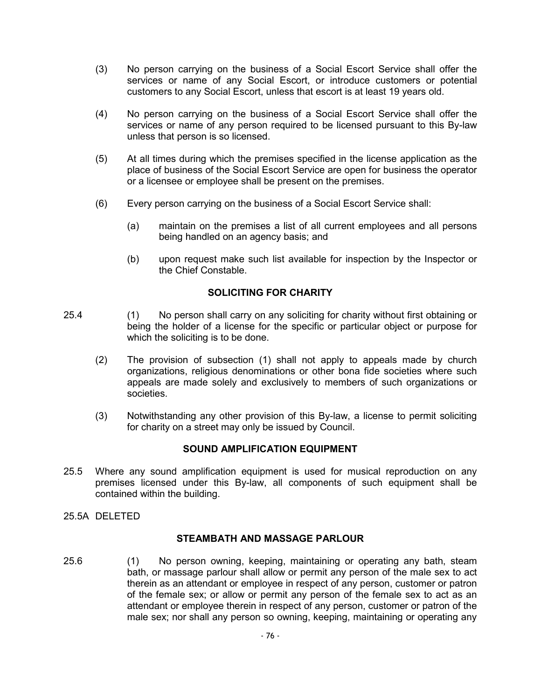- (3) No person carrying on the business of a Social Escort Service shall offer the services or name of any Social Escort, or introduce customers or potential customers to any Social Escort, unless that escort is at least 19 years old.
- (4) No person carrying on the business of a Social Escort Service shall offer the services or name of any person required to be licensed pursuant to this By-law unless that person is so licensed.
- (5) At all times during which the premises specified in the license application as the place of business of the Social Escort Service are open for business the operator or a licensee or employee shall be present on the premises.
- (6) Every person carrying on the business of a Social Escort Service shall:
	- (a) maintain on the premises a list of all current employees and all persons being handled on an agency basis; and
	- (b) upon request make such list available for inspection by the Inspector or the Chief Constable.

### **SOLICITING FOR CHARITY**

- 25.4 (1) No person shall carry on any soliciting for charity without first obtaining or being the holder of a license for the specific or particular object or purpose for which the soliciting is to be done.
	- (2) The provision of subsection (1) shall not apply to appeals made by church organizations, religious denominations or other bona fide societies where such appeals are made solely and exclusively to members of such organizations or societies.
	- (3) Notwithstanding any other provision of this By-law, a license to permit soliciting for charity on a street may only be issued by Council.

### **SOUND AMPLIFICATION EQUIPMENT**

- 25.5 Where any sound amplification equipment is used for musical reproduction on any premises licensed under this By-law, all components of such equipment shall be contained within the building.
- 25.5A DELETED

#### **STEAMBATH AND MASSAGE PARLOUR**

25.6 (1) No person owning, keeping, maintaining or operating any bath, steam bath, or massage parlour shall allow or permit any person of the male sex to act therein as an attendant or employee in respect of any person, customer or patron of the female sex; or allow or permit any person of the female sex to act as an attendant or employee therein in respect of any person, customer or patron of the male sex; nor shall any person so owning, keeping, maintaining or operating any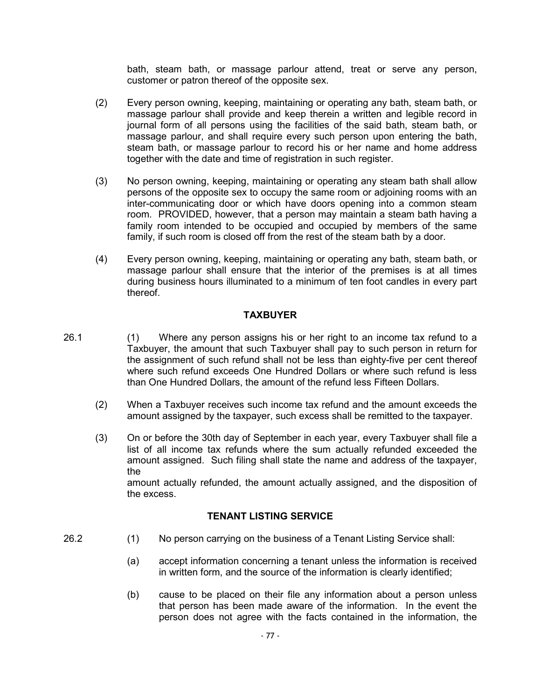bath, steam bath, or massage parlour attend, treat or serve any person, customer or patron thereof of the opposite sex.

- (2) Every person owning, keeping, maintaining or operating any bath, steam bath, or massage parlour shall provide and keep therein a written and legible record in journal form of all persons using the facilities of the said bath, steam bath, or massage parlour, and shall require every such person upon entering the bath, steam bath, or massage parlour to record his or her name and home address together with the date and time of registration in such register.
- (3) No person owning, keeping, maintaining or operating any steam bath shall allow persons of the opposite sex to occupy the same room or adjoining rooms with an inter-communicating door or which have doors opening into a common steam room. PROVIDED, however, that a person may maintain a steam bath having a family room intended to be occupied and occupied by members of the same family, if such room is closed off from the rest of the steam bath by a door.
- (4) Every person owning, keeping, maintaining or operating any bath, steam bath, or massage parlour shall ensure that the interior of the premises is at all times during business hours illuminated to a minimum of ten foot candles in every part thereof.

### **TAXBUYER**

- 26.1 (1) Where any person assigns his or her right to an income tax refund to a Taxbuyer, the amount that such Taxbuyer shall pay to such person in return for the assignment of such refund shall not be less than eighty-five per cent thereof where such refund exceeds One Hundred Dollars or where such refund is less than One Hundred Dollars, the amount of the refund less Fifteen Dollars.
	- (2) When a Taxbuyer receives such income tax refund and the amount exceeds the amount assigned by the taxpayer, such excess shall be remitted to the taxpayer.
	- (3) On or before the 30th day of September in each year, every Taxbuyer shall file a list of all income tax refunds where the sum actually refunded exceeded the amount assigned. Such filing shall state the name and address of the taxpayer, the amount actually refunded, the amount actually assigned, and the disposition of the excess.

### **TENANT LISTING SERVICE**

- 26.2 (1) No person carrying on the business of a Tenant Listing Service shall:
	- (a) accept information concerning a tenant unless the information is received in written form, and the source of the information is clearly identified;
	- (b) cause to be placed on their file any information about a person unless that person has been made aware of the information. In the event the person does not agree with the facts contained in the information, the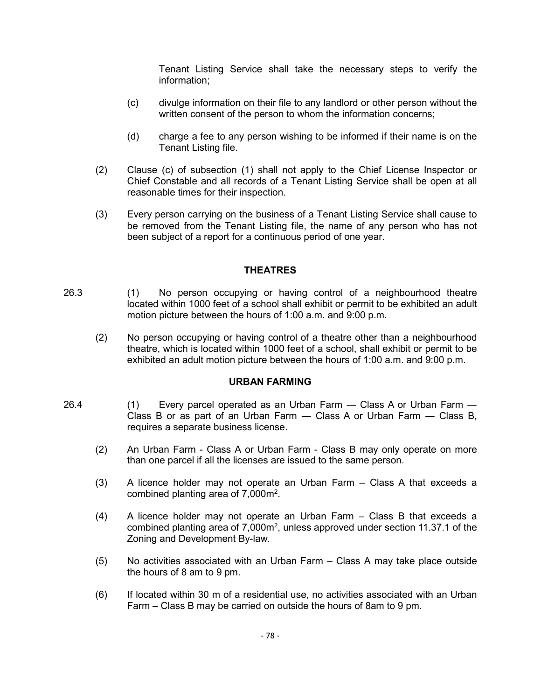Tenant Listing Service shall take the necessary steps to verify the information;

- (c) divulge information on their file to any landlord or other person without the written consent of the person to whom the information concerns;
- (d) charge a fee to any person wishing to be informed if their name is on the Tenant Listing file.
- (2) Clause (c) of subsection (1) shall not apply to the Chief License Inspector or Chief Constable and all records of a Tenant Listing Service shall be open at all reasonable times for their inspection.
- (3) Every person carrying on the business of a Tenant Listing Service shall cause to be removed from the Tenant Listing file, the name of any person who has not been subject of a report for a continuous period of one year.

#### **THEATRES**

- 26.3 (1) No person occupying or having control of a neighbourhood theatre located within 1000 feet of a school shall exhibit or permit to be exhibited an adult motion picture between the hours of 1:00 a.m. and 9:00 p.m.
	- (2) No person occupying or having control of a theatre other than a neighbourhood theatre, which is located within 1000 feet of a school, shall exhibit or permit to be exhibited an adult motion picture between the hours of 1:00 a.m. and 9:00 p.m.

#### **URBAN FARMING**

- 26.4 (1) Every parcel operated as an Urban Farm ― Class A or Urban Farm ― Class B or as part of an Urban Farm  $-$  Class A or Urban Farm  $-$  Class B, requires a separate business license.
	- (2) An Urban Farm Class A or Urban Farm Class B may only operate on more than one parcel if all the licenses are issued to the same person.
	- (3) A licence holder may not operate an Urban Farm Class A that exceeds a combined planting area of  $7,000$ m<sup>2</sup>.
	- (4) A licence holder may not operate an Urban Farm Class B that exceeds a combined planting area of  $7,000m^2$ , unless approved under section 11.37.1 of the Zoning and Development By-law.
	- (5) No activities associated with an Urban Farm Class A may take place outside the hours of 8 am to 9 pm.
	- (6) If located within 30 m of a residential use, no activities associated with an Urban Farm – Class B may be carried on outside the hours of 8am to 9 pm.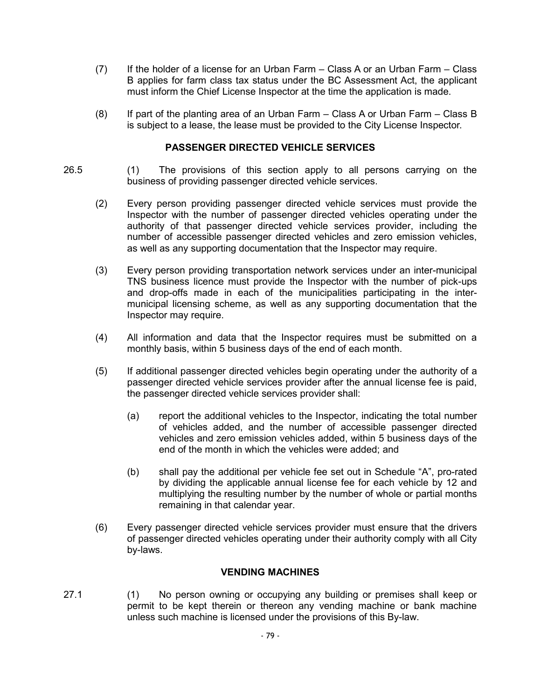- (7) If the holder of a license for an Urban Farm Class A or an Urban Farm Class B applies for farm class tax status under the BC Assessment Act, the applicant must inform the Chief License Inspector at the time the application is made.
- (8) If part of the planting area of an Urban Farm Class A or Urban Farm Class B is subject to a lease, the lease must be provided to the City License Inspector.

### **PASSENGER DIRECTED VEHICLE SERVICES**

- 26.5 (1) The provisions of this section apply to all persons carrying on the business of providing passenger directed vehicle services.
	- (2) Every person providing passenger directed vehicle services must provide the Inspector with the number of passenger directed vehicles operating under the authority of that passenger directed vehicle services provider, including the number of accessible passenger directed vehicles and zero emission vehicles, as well as any supporting documentation that the Inspector may require.
	- (3) Every person providing transportation network services under an inter-municipal TNS business licence must provide the Inspector with the number of pick-ups and drop-offs made in each of the municipalities participating in the intermunicipal licensing scheme, as well as any supporting documentation that the Inspector may require.
	- (4) All information and data that the Inspector requires must be submitted on a monthly basis, within 5 business days of the end of each month.
	- (5) If additional passenger directed vehicles begin operating under the authority of a passenger directed vehicle services provider after the annual license fee is paid, the passenger directed vehicle services provider shall:
		- (a) report the additional vehicles to the Inspector, indicating the total number of vehicles added, and the number of accessible passenger directed vehicles and zero emission vehicles added, within 5 business days of the end of the month in which the vehicles were added; and
		- (b) shall pay the additional per vehicle fee set out in Schedule "A", pro-rated by dividing the applicable annual license fee for each vehicle by 12 and multiplying the resulting number by the number of whole or partial months remaining in that calendar year.
	- (6) Every passenger directed vehicle services provider must ensure that the drivers of passenger directed vehicles operating under their authority comply with all City by-laws.

### **VENDING MACHINES**

27.1 (1) No person owning or occupying any building or premises shall keep or permit to be kept therein or thereon any vending machine or bank machine unless such machine is licensed under the provisions of this By-law.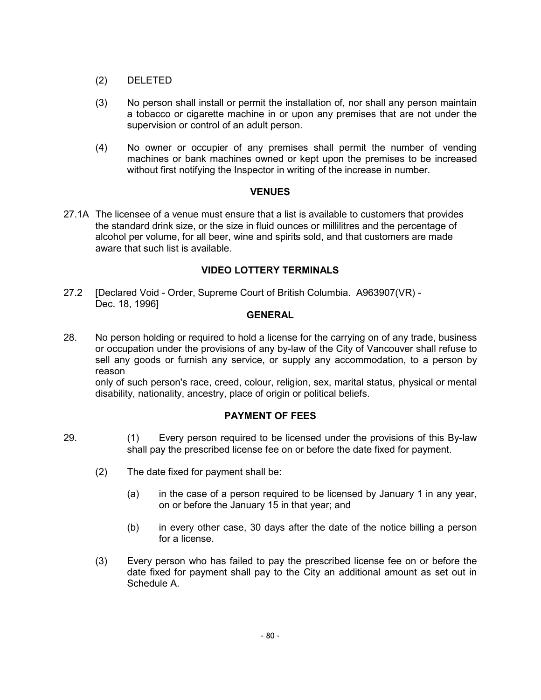- (2) DELETED
- (3) No person shall install or permit the installation of, nor shall any person maintain a tobacco or cigarette machine in or upon any premises that are not under the supervision or control of an adult person.
- (4) No owner or occupier of any premises shall permit the number of vending machines or bank machines owned or kept upon the premises to be increased without first notifying the Inspector in writing of the increase in number.

### **VENUES**

27.1A The licensee of a venue must ensure that a list is available to customers that provides the standard drink size, or the size in fluid ounces or millilitres and the percentage of alcohol per volume, for all beer, wine and spirits sold, and that customers are made aware that such list is available.

### **VIDEO LOTTERY TERMINALS**

27.2 [Declared Void - Order, Supreme Court of British Columbia. A963907(VR) - Dec. 18, 1996]

### **GENERAL**

28. No person holding or required to hold a license for the carrying on of any trade, business or occupation under the provisions of any by-law of the City of Vancouver shall refuse to sell any goods or furnish any service, or supply any accommodation, to a person by reason

only of such person's race, creed, colour, religion, sex, marital status, physical or mental disability, nationality, ancestry, place of origin or political beliefs.

### **PAYMENT OF FEES**

- 29. (1) Every person required to be licensed under the provisions of this By-law shall pay the prescribed license fee on or before the date fixed for payment.
	- (2) The date fixed for payment shall be:
		- (a) in the case of a person required to be licensed by January 1 in any year, on or before the January 15 in that year; and
		- (b) in every other case, 30 days after the date of the notice billing a person for a license.
	- (3) Every person who has failed to pay the prescribed license fee on or before the date fixed for payment shall pay to the City an additional amount as set out in Schedule A.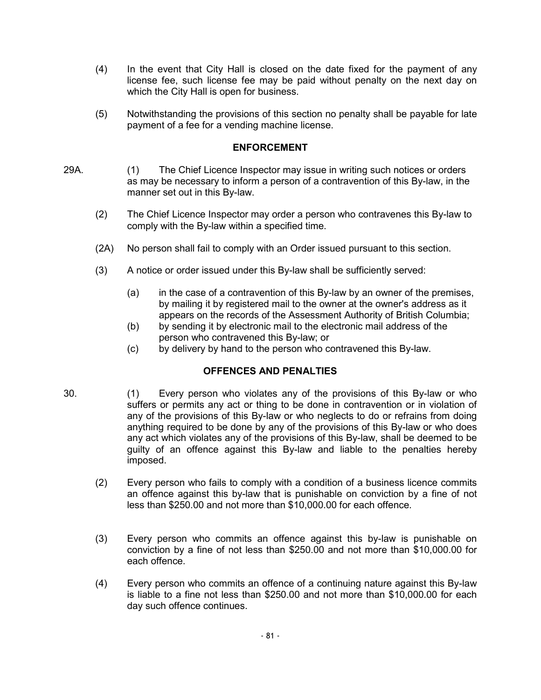- (4) In the event that City Hall is closed on the date fixed for the payment of any license fee, such license fee may be paid without penalty on the next day on which the City Hall is open for business.
- (5) Notwithstanding the provisions of this section no penalty shall be payable for late payment of a fee for a vending machine license.

#### **ENFORCEMENT**

- 29A. (1) The Chief Licence Inspector may issue in writing such notices or orders as may be necessary to inform a person of a contravention of this By-law, in the manner set out in this By-law.
	- (2) The Chief Licence Inspector may order a person who contravenes this By-law to comply with the By-law within a specified time.
	- (2A) No person shall fail to comply with an Order issued pursuant to this section.
	- (3) A notice or order issued under this By-law shall be sufficiently served:
		- (a) in the case of a contravention of this By-law by an owner of the premises, by mailing it by registered mail to the owner at the owner's address as it appears on the records of the Assessment Authority of British Columbia;
		- (b) by sending it by electronic mail to the electronic mail address of the person who contravened this By-law; or
		- (c) by delivery by hand to the person who contravened this By-law.

## **OFFENCES AND PENALTIES**

- 30. (1) Every person who violates any of the provisions of this By-law or who suffers or permits any act or thing to be done in contravention or in violation of any of the provisions of this By-law or who neglects to do or refrains from doing anything required to be done by any of the provisions of this By-law or who does any act which violates any of the provisions of this By-law, shall be deemed to be guilty of an offence against this By-law and liable to the penalties hereby imposed.
	- (2) Every person who fails to comply with a condition of a business licence commits an offence against this by-law that is punishable on conviction by a fine of not less than \$250.00 and not more than \$10,000.00 for each offence.
	- (3) Every person who commits an offence against this by-law is punishable on conviction by a fine of not less than \$250.00 and not more than \$10,000.00 for each offence.
	- (4) Every person who commits an offence of a continuing nature against this By-law is liable to a fine not less than \$250.00 and not more than \$10,000.00 for each day such offence continues.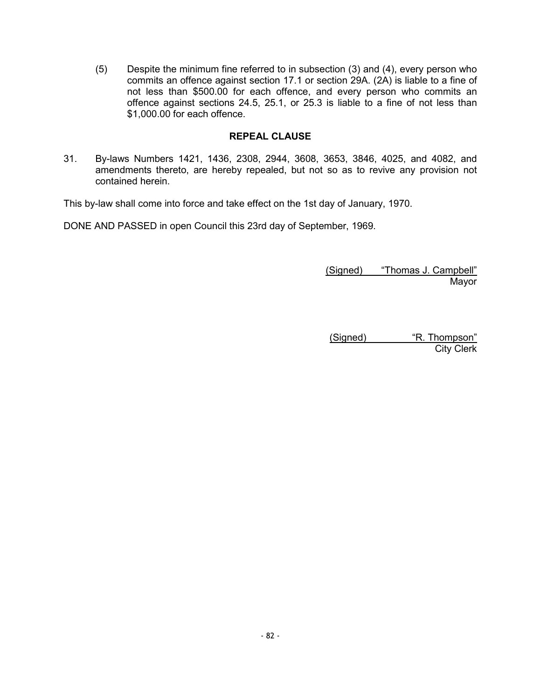(5) Despite the minimum fine referred to in subsection (3) and (4), every person who commits an offence against section 17.1 or section 29A. (2A) is liable to a fine of not less than \$500.00 for each offence, and every person who commits an offence against sections 24.5, 25.1, or 25.3 is liable to a fine of not less than \$1,000.00 for each offence.

### **REPEAL CLAUSE**

31. By-laws Numbers 1421, 1436, 2308, 2944, 3608, 3653, 3846, 4025, and 4082, and amendments thereto, are hereby repealed, but not so as to revive any provision not contained herein.

This by-law shall come into force and take effect on the 1st day of January, 1970.

DONE AND PASSED in open Council this 23rd day of September, 1969.

(Signed) "Thomas J. Campbell" Mayor

(Signed) "R. Thompson" City Clerk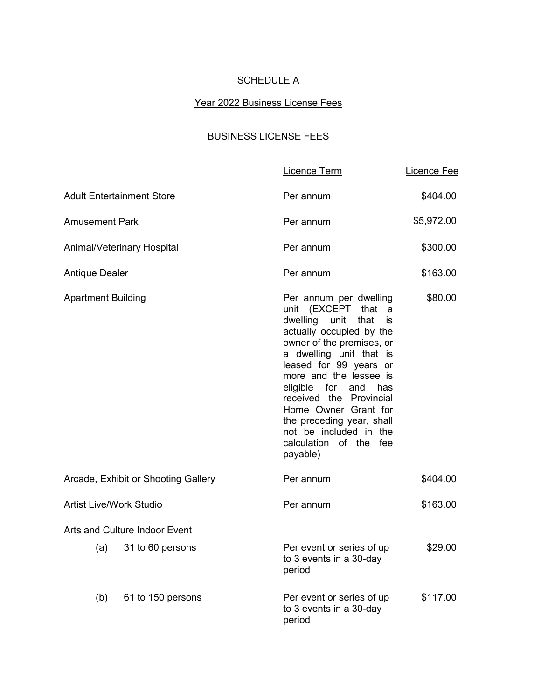# SCHEDULE A

#### Year 2022 Business License Fees

# BUSINESS LICENSE FEES

|                                |                                      | Licence Term                                                                                                                                                                                                                                                                                                                                                                                       | Licence Fee |
|--------------------------------|--------------------------------------|----------------------------------------------------------------------------------------------------------------------------------------------------------------------------------------------------------------------------------------------------------------------------------------------------------------------------------------------------------------------------------------------------|-------------|
|                                | <b>Adult Entertainment Store</b>     | Per annum                                                                                                                                                                                                                                                                                                                                                                                          | \$404.00    |
| Amusement Park                 |                                      | Per annum                                                                                                                                                                                                                                                                                                                                                                                          | \$5,972.00  |
|                                | Animal/Veterinary Hospital           | Per annum                                                                                                                                                                                                                                                                                                                                                                                          | \$300.00    |
| <b>Antique Dealer</b>          |                                      | Per annum                                                                                                                                                                                                                                                                                                                                                                                          | \$163.00    |
| <b>Apartment Building</b>      |                                      | Per annum per dwelling<br>unit (EXCEPT that<br>a<br>dwelling unit<br>that<br>is<br>actually occupied by the<br>owner of the premises, or<br>a dwelling unit that is<br>leased for 99 years or<br>more and the lessee is<br>eligible for<br>and has<br>received the Provincial<br>Home Owner Grant for<br>the preceding year, shall<br>not be included in the<br>calculation of the fee<br>payable) | \$80.00     |
|                                | Arcade, Exhibit or Shooting Gallery  | Per annum                                                                                                                                                                                                                                                                                                                                                                                          | \$404.00    |
| <b>Artist Live/Work Studio</b> |                                      | Per annum                                                                                                                                                                                                                                                                                                                                                                                          | \$163.00    |
|                                | <b>Arts and Culture Indoor Event</b> |                                                                                                                                                                                                                                                                                                                                                                                                    |             |
| (a)                            | 31 to 60 persons                     | Per event or series of up<br>to 3 events in a 30-day<br>period                                                                                                                                                                                                                                                                                                                                     | \$29.00     |
| (b)                            | 61 to 150 persons                    | Per event or series of up<br>to 3 events in a 30-day<br>period                                                                                                                                                                                                                                                                                                                                     | \$117.00    |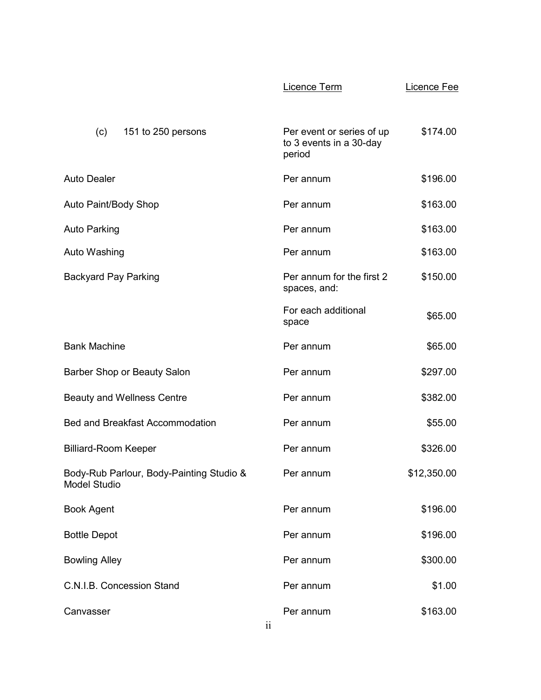|                                                                 | Licence Term                                                   | Licence Fee |
|-----------------------------------------------------------------|----------------------------------------------------------------|-------------|
| (c)<br>151 to 250 persons                                       | Per event or series of up<br>to 3 events in a 30-day<br>period | \$174.00    |
| <b>Auto Dealer</b>                                              | Per annum                                                      | \$196.00    |
| Auto Paint/Body Shop                                            | Per annum                                                      | \$163.00    |
| <b>Auto Parking</b>                                             | Per annum                                                      | \$163.00    |
| Auto Washing                                                    | Per annum                                                      | \$163.00    |
| <b>Backyard Pay Parking</b>                                     | Per annum for the first 2<br>spaces, and:                      | \$150.00    |
|                                                                 | For each additional<br>space                                   | \$65.00     |
| <b>Bank Machine</b>                                             | Per annum                                                      | \$65.00     |
| Barber Shop or Beauty Salon                                     | Per annum                                                      | \$297.00    |
| <b>Beauty and Wellness Centre</b>                               | Per annum                                                      | \$382.00    |
| <b>Bed and Breakfast Accommodation</b>                          | Per annum                                                      | \$55.00     |
| <b>Billiard-Room Keeper</b>                                     | Per annum                                                      | \$326.00    |
| Body-Rub Parlour, Body-Painting Studio &<br><b>Model Studio</b> | Per annum                                                      | \$12,350.00 |
| <b>Book Agent</b>                                               | Per annum                                                      | \$196.00    |
| <b>Bottle Depot</b>                                             | Per annum                                                      | \$196.00    |
| <b>Bowling Alley</b>                                            | Per annum                                                      | \$300.00    |
| C.N.I.B. Concession Stand                                       | Per annum                                                      | \$1.00      |
| Canvasser                                                       | Per annum                                                      | \$163.00    |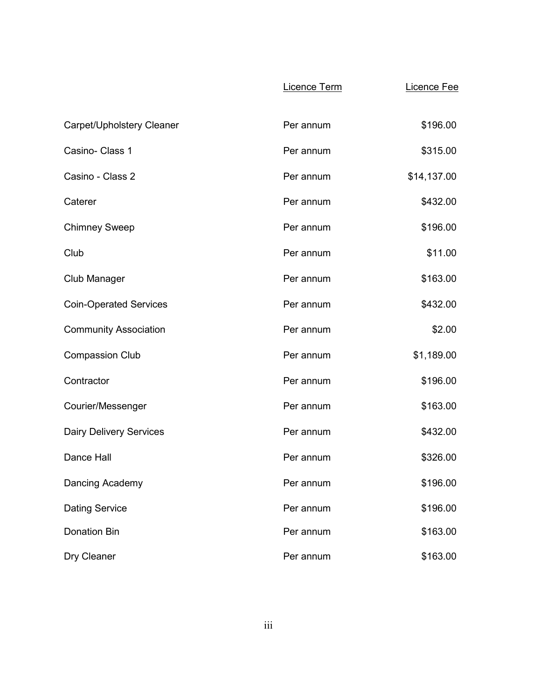|                                | Licence Term | Licence Fee |
|--------------------------------|--------------|-------------|
| Carpet/Upholstery Cleaner      | Per annum    | \$196.00    |
| Casino- Class 1                | Per annum    | \$315.00    |
| Casino - Class 2               | Per annum    | \$14,137.00 |
| Caterer                        | Per annum    | \$432.00    |
| <b>Chimney Sweep</b>           | Per annum    | \$196.00    |
| Club                           | Per annum    | \$11.00     |
| Club Manager                   | Per annum    | \$163.00    |
| <b>Coin-Operated Services</b>  | Per annum    | \$432.00    |
| <b>Community Association</b>   | Per annum    | \$2.00      |
| <b>Compassion Club</b>         | Per annum    | \$1,189.00  |
| Contractor                     | Per annum    | \$196.00    |
| Courier/Messenger              | Per annum    | \$163.00    |
| <b>Dairy Delivery Services</b> | Per annum    | \$432.00    |
| <b>Dance Hall</b>              | Per annum    | \$326.00    |
| Dancing Academy                | Per annum    | \$196.00    |
| <b>Dating Service</b>          | Per annum    | \$196.00    |
| <b>Donation Bin</b>            | Per annum    | \$163.00    |
| Dry Cleaner                    | Per annum    | \$163.00    |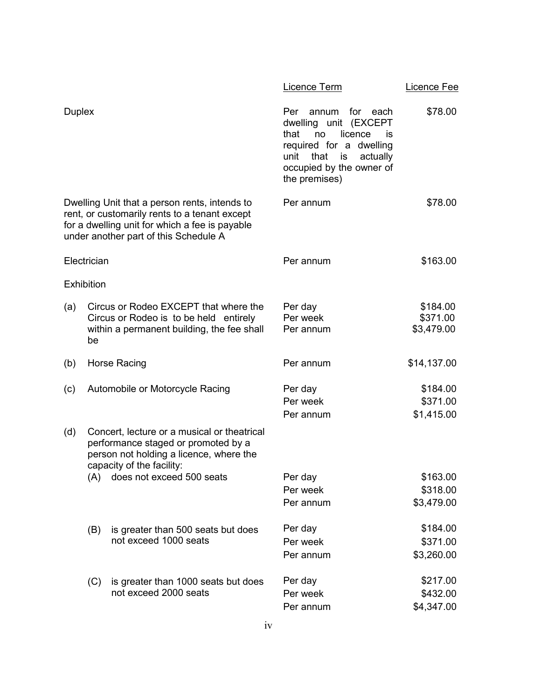|        |                   |                                                                                                                                                                                           | Licence Term                                                                                                                                                                                  | <u>Licence Fee</u>                 |
|--------|-------------------|-------------------------------------------------------------------------------------------------------------------------------------------------------------------------------------------|-----------------------------------------------------------------------------------------------------------------------------------------------------------------------------------------------|------------------------------------|
| Duplex |                   |                                                                                                                                                                                           | Per<br>annum<br>for<br>each<br>dwelling unit (EXCEPT<br>that<br>licence<br>no<br>İS<br>required for a dwelling<br>that<br>actually<br>unit<br>is<br>occupied by the owner of<br>the premises) | \$78.00                            |
|        |                   | Dwelling Unit that a person rents, intends to<br>rent, or customarily rents to a tenant except<br>for a dwelling unit for which a fee is payable<br>under another part of this Schedule A | Per annum                                                                                                                                                                                     | \$78.00                            |
|        | Electrician       |                                                                                                                                                                                           | Per annum                                                                                                                                                                                     | \$163.00                           |
|        | <b>Exhibition</b> |                                                                                                                                                                                           |                                                                                                                                                                                               |                                    |
| (a)    | be                | Circus or Rodeo EXCEPT that where the<br>Circus or Rodeo is to be held entirely<br>within a permanent building, the fee shall                                                             | Per day<br>Per week<br>Per annum                                                                                                                                                              | \$184.00<br>\$371.00<br>\$3,479.00 |
| (b)    |                   | Horse Racing                                                                                                                                                                              | Per annum                                                                                                                                                                                     | \$14,137.00                        |
| (c)    |                   | Automobile or Motorcycle Racing                                                                                                                                                           | Per day<br>Per week<br>Per annum                                                                                                                                                              | \$184.00<br>\$371.00<br>\$1,415.00 |
| (d)    |                   | Concert, lecture or a musical or theatrical<br>performance staged or promoted by a<br>person not holding a licence, where the<br>capacity of the facility:                                |                                                                                                                                                                                               |                                    |
|        |                   | (A) does not exceed 500 seats                                                                                                                                                             | Per day<br>Per week<br>Per annum                                                                                                                                                              | \$163.00<br>\$318.00<br>\$3,479.00 |
|        | (B)               | is greater than 500 seats but does<br>not exceed 1000 seats                                                                                                                               | Per day<br>Per week<br>Per annum                                                                                                                                                              | \$184.00<br>\$371.00<br>\$3,260.00 |
|        | (C)               | is greater than 1000 seats but does<br>not exceed 2000 seats                                                                                                                              | Per day<br>Per week<br>Per annum                                                                                                                                                              | \$217.00<br>\$432.00<br>\$4,347.00 |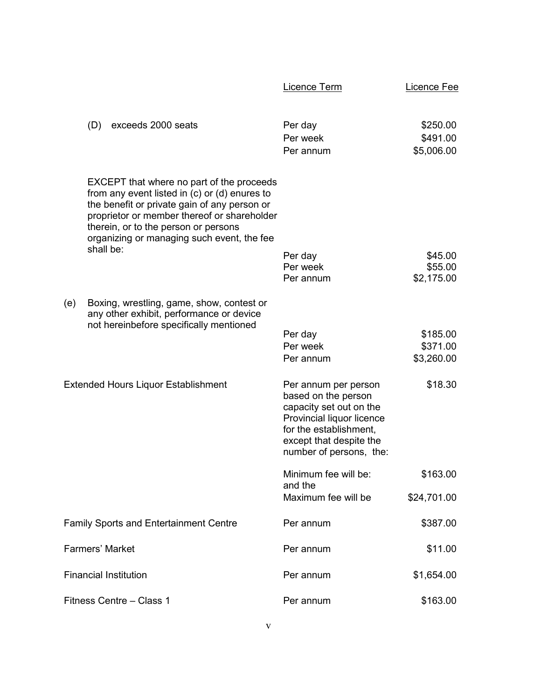|     |                                                                                                                                                                                                                                                                                                  | Licence Term                                                                                                                                                                        | <b>Licence Fee</b>                 |
|-----|--------------------------------------------------------------------------------------------------------------------------------------------------------------------------------------------------------------------------------------------------------------------------------------------------|-------------------------------------------------------------------------------------------------------------------------------------------------------------------------------------|------------------------------------|
|     | (D)<br>exceeds 2000 seats                                                                                                                                                                                                                                                                        | Per day<br>Per week<br>Per annum                                                                                                                                                    | \$250.00<br>\$491.00<br>\$5,006.00 |
|     | EXCEPT that where no part of the proceeds<br>from any event listed in $(c)$ or $(d)$ enures to<br>the benefit or private gain of any person or<br>proprietor or member thereof or shareholder<br>therein, or to the person or persons<br>organizing or managing such event, the fee<br>shall be: | Per day<br>Per week<br>Per annum                                                                                                                                                    | \$45.00<br>\$55.00<br>\$2,175.00   |
| (e) | Boxing, wrestling, game, show, contest or<br>any other exhibit, performance or device<br>not hereinbefore specifically mentioned                                                                                                                                                                 | Per day<br>Per week<br>Per annum                                                                                                                                                    | \$185.00<br>\$371.00<br>\$3,260.00 |
|     | Extended Hours Liquor Establishment                                                                                                                                                                                                                                                              | Per annum per person<br>based on the person<br>capacity set out on the<br>Provincial liquor licence<br>for the establishment,<br>except that despite the<br>number of persons, the: | \$18.30                            |
|     |                                                                                                                                                                                                                                                                                                  | Minimum fee will be:<br>and the                                                                                                                                                     | \$163.00                           |
|     | <b>Family Sports and Entertainment Centre</b>                                                                                                                                                                                                                                                    | Maximum fee will be<br>Per annum                                                                                                                                                    | \$24,701.00<br>\$387.00            |
|     | <b>Farmers' Market</b>                                                                                                                                                                                                                                                                           | Per annum                                                                                                                                                                           | \$11.00                            |
|     | <b>Financial Institution</b>                                                                                                                                                                                                                                                                     | Per annum                                                                                                                                                                           | \$1,654.00                         |
|     | Fitness Centre - Class 1                                                                                                                                                                                                                                                                         | Per annum                                                                                                                                                                           | \$163.00                           |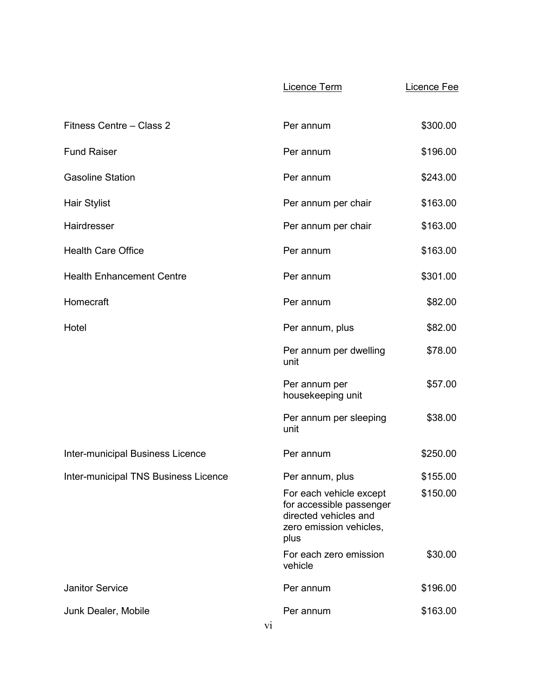|                                      | Licence Term                                                                                                    | <b>Licence Fee</b> |
|--------------------------------------|-----------------------------------------------------------------------------------------------------------------|--------------------|
| Fitness Centre - Class 2             | Per annum                                                                                                       | \$300.00           |
| <b>Fund Raiser</b>                   | Per annum                                                                                                       | \$196.00           |
| <b>Gasoline Station</b>              | Per annum                                                                                                       | \$243.00           |
| <b>Hair Stylist</b>                  | Per annum per chair                                                                                             | \$163.00           |
| Hairdresser                          | Per annum per chair                                                                                             | \$163.00           |
| <b>Health Care Office</b>            | Per annum                                                                                                       | \$163.00           |
| <b>Health Enhancement Centre</b>     | Per annum                                                                                                       | \$301.00           |
| Homecraft                            | Per annum                                                                                                       | \$82.00            |
| Hotel                                | Per annum, plus                                                                                                 | \$82.00            |
|                                      | Per annum per dwelling<br>unit                                                                                  | \$78.00            |
|                                      | Per annum per<br>housekeeping unit                                                                              | \$57.00            |
|                                      | Per annum per sleeping<br>unit                                                                                  | \$38.00            |
| Inter-municipal Business Licence     | Per annum                                                                                                       | \$250.00           |
| Inter-municipal TNS Business Licence | Per annum, plus                                                                                                 | \$155.00           |
|                                      | For each vehicle except<br>for accessible passenger<br>directed vehicles and<br>zero emission vehicles,<br>plus | \$150.00           |
|                                      | For each zero emission<br>vehicle                                                                               | \$30.00            |
| <b>Janitor Service</b>               | Per annum                                                                                                       | \$196.00           |
| Junk Dealer, Mobile                  | Per annum                                                                                                       | \$163.00           |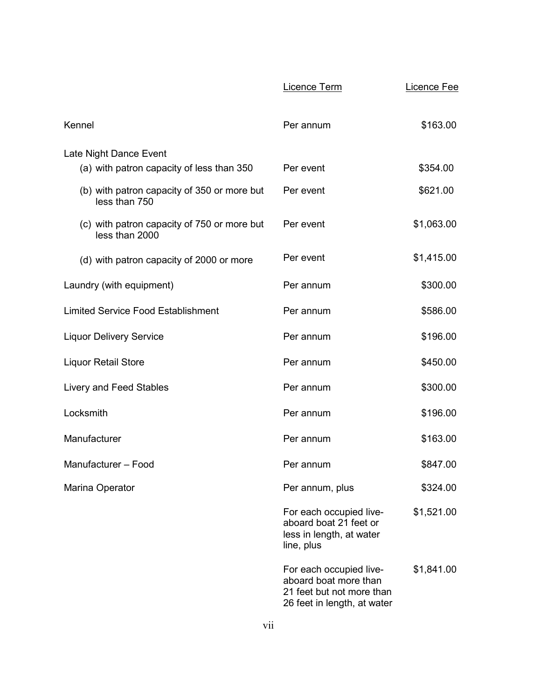|                                                               | Licence Term                                                                                                 | Licence Fee |
|---------------------------------------------------------------|--------------------------------------------------------------------------------------------------------------|-------------|
| Kennel                                                        | Per annum                                                                                                    | \$163.00    |
| Late Night Dance Event                                        |                                                                                                              |             |
| (a) with patron capacity of less than 350                     | Per event                                                                                                    | \$354.00    |
| (b) with patron capacity of 350 or more but<br>less than 750  | Per event                                                                                                    | \$621.00    |
| (c) with patron capacity of 750 or more but<br>less than 2000 | Per event                                                                                                    | \$1,063.00  |
| (d) with patron capacity of 2000 or more                      | Per event                                                                                                    | \$1,415.00  |
| Laundry (with equipment)                                      | Per annum                                                                                                    | \$300.00    |
| <b>Limited Service Food Establishment</b>                     | Per annum                                                                                                    | \$586.00    |
| <b>Liquor Delivery Service</b>                                | Per annum                                                                                                    | \$196.00    |
| <b>Liquor Retail Store</b>                                    | Per annum                                                                                                    | \$450.00    |
| <b>Livery and Feed Stables</b>                                | Per annum                                                                                                    | \$300.00    |
| Locksmith                                                     | Per annum                                                                                                    | \$196.00    |
| Manufacturer                                                  | Per annum                                                                                                    | \$163.00    |
| Manufacturer - Food                                           | Per annum                                                                                                    | \$847.00    |
| Marina Operator                                               | Per annum, plus                                                                                              | \$324.00    |
|                                                               | For each occupied live-<br>aboard boat 21 feet or<br>less in length, at water<br>line, plus                  | \$1,521.00  |
|                                                               | For each occupied live-<br>aboard boat more than<br>21 feet but not more than<br>26 feet in length, at water | \$1,841.00  |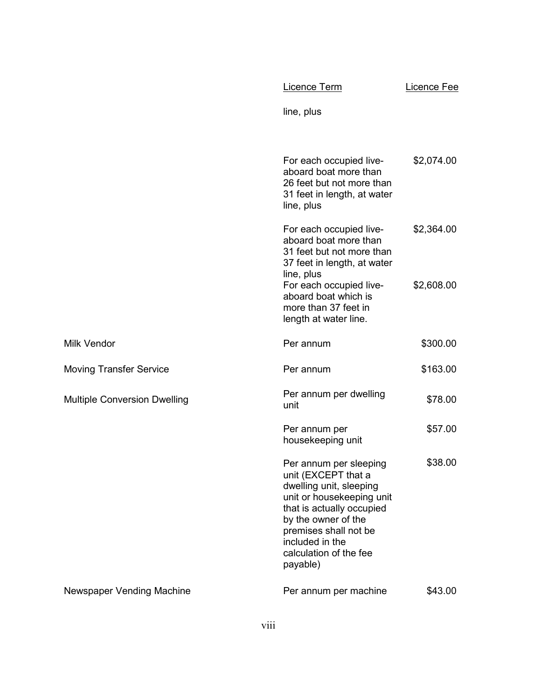|                                     | Licence Term                                                                                                                                                                                                                                | Licence Fee              |
|-------------------------------------|---------------------------------------------------------------------------------------------------------------------------------------------------------------------------------------------------------------------------------------------|--------------------------|
|                                     | line, plus                                                                                                                                                                                                                                  |                          |
|                                     | For each occupied live-<br>aboard boat more than<br>26 feet but not more than<br>31 feet in length, at water<br>line, plus                                                                                                                  | \$2,074.00               |
|                                     | For each occupied live-<br>aboard boat more than<br>31 feet but not more than<br>37 feet in length, at water<br>line, plus<br>For each occupied live-<br>aboard boat which is<br>more than 37 feet in                                       | \$2,364.00<br>\$2,608.00 |
|                                     | length at water line.                                                                                                                                                                                                                       |                          |
| <b>Milk Vendor</b>                  | Per annum                                                                                                                                                                                                                                   | \$300.00                 |
| <b>Moving Transfer Service</b>      | Per annum                                                                                                                                                                                                                                   | \$163.00                 |
| <b>Multiple Conversion Dwelling</b> | Per annum per dwelling<br>unit                                                                                                                                                                                                              | \$78.00                  |
|                                     | Per annum per<br>housekeeping unit                                                                                                                                                                                                          | \$57.00                  |
|                                     | Per annum per sleeping<br>unit (EXCEPT that a<br>dwelling unit, sleeping<br>unit or housekeeping unit<br>that is actually occupied<br>by the owner of the<br>premises shall not be<br>included in the<br>calculation of the fee<br>payable) | \$38.00                  |
| <b>Newspaper Vending Machine</b>    | Per annum per machine                                                                                                                                                                                                                       | \$43.00                  |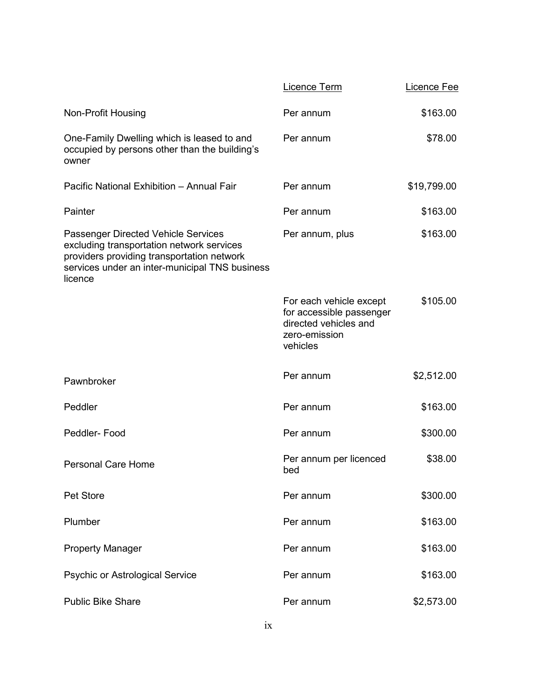|                                                                                                                                                                                                    | Licence Term                                                                                              | Licence Fee |
|----------------------------------------------------------------------------------------------------------------------------------------------------------------------------------------------------|-----------------------------------------------------------------------------------------------------------|-------------|
| Non-Profit Housing                                                                                                                                                                                 | Per annum                                                                                                 | \$163.00    |
| One-Family Dwelling which is leased to and<br>occupied by persons other than the building's<br>owner                                                                                               | Per annum                                                                                                 | \$78.00     |
| Pacific National Exhibition - Annual Fair                                                                                                                                                          | Per annum                                                                                                 | \$19,799.00 |
| Painter                                                                                                                                                                                            | Per annum                                                                                                 | \$163.00    |
| <b>Passenger Directed Vehicle Services</b><br>excluding transportation network services<br>providers providing transportation network<br>services under an inter-municipal TNS business<br>licence | Per annum, plus                                                                                           | \$163.00    |
|                                                                                                                                                                                                    | For each vehicle except<br>for accessible passenger<br>directed vehicles and<br>zero-emission<br>vehicles | \$105.00    |
| Pawnbroker                                                                                                                                                                                         | Per annum                                                                                                 | \$2,512.00  |
| Peddler                                                                                                                                                                                            | Per annum                                                                                                 | \$163.00    |
| Peddler-Food                                                                                                                                                                                       | Per annum                                                                                                 | \$300.00    |
| <b>Personal Care Home</b>                                                                                                                                                                          | Per annum per licenced<br>bed                                                                             | \$38.00     |
| Pet Store                                                                                                                                                                                          | Per annum                                                                                                 | \$300.00    |
| Plumber                                                                                                                                                                                            | Per annum                                                                                                 | \$163.00    |
| <b>Property Manager</b>                                                                                                                                                                            | Per annum                                                                                                 | \$163.00    |
| <b>Psychic or Astrological Service</b>                                                                                                                                                             | Per annum                                                                                                 | \$163.00    |
| <b>Public Bike Share</b>                                                                                                                                                                           | Per annum                                                                                                 | \$2,573.00  |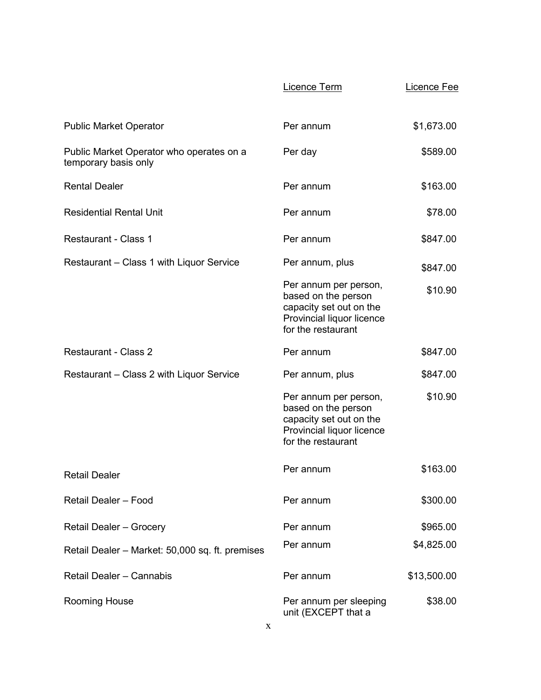|                                                                  | Licence Term                                                                                                               | Licence Fee |
|------------------------------------------------------------------|----------------------------------------------------------------------------------------------------------------------------|-------------|
|                                                                  |                                                                                                                            |             |
| <b>Public Market Operator</b>                                    | Per annum                                                                                                                  | \$1,673.00  |
| Public Market Operator who operates on a<br>temporary basis only | Per day                                                                                                                    | \$589.00    |
| <b>Rental Dealer</b>                                             | Per annum                                                                                                                  | \$163.00    |
| <b>Residential Rental Unit</b>                                   | Per annum                                                                                                                  | \$78.00     |
| <b>Restaurant - Class 1</b>                                      | Per annum                                                                                                                  | \$847.00    |
| Restaurant - Class 1 with Liquor Service                         | Per annum, plus                                                                                                            | \$847.00    |
|                                                                  | Per annum per person,<br>based on the person<br>capacity set out on the<br>Provincial liquor licence<br>for the restaurant | \$10.90     |
| <b>Restaurant - Class 2</b>                                      | Per annum                                                                                                                  | \$847.00    |
| Restaurant - Class 2 with Liquor Service                         | Per annum, plus                                                                                                            | \$847.00    |
|                                                                  | Per annum per person,<br>based on the person<br>capacity set out on the<br>Provincial liquor licence<br>for the restaurant | \$10.90     |
| <b>Retail Dealer</b>                                             | Per annum                                                                                                                  | \$163.00    |
| Retail Dealer - Food                                             | Per annum                                                                                                                  | \$300.00    |
| <b>Retail Dealer - Grocery</b>                                   | Per annum                                                                                                                  | \$965.00    |
| Retail Dealer - Market: 50,000 sq. ft. premises                  | Per annum                                                                                                                  | \$4,825.00  |
| Retail Dealer - Cannabis                                         | Per annum                                                                                                                  | \$13,500.00 |
| <b>Rooming House</b>                                             | Per annum per sleeping<br>unit (EXCEPT that a                                                                              | \$38.00     |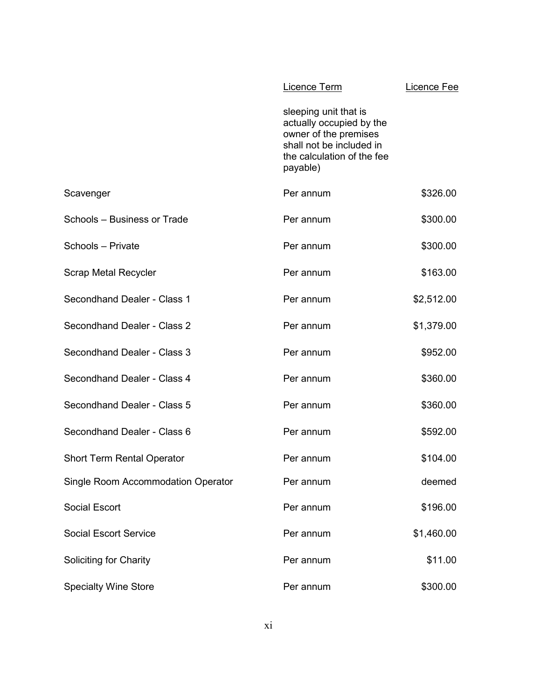|                                    | Licence Term                                                                                                                                     | Licence Fee |
|------------------------------------|--------------------------------------------------------------------------------------------------------------------------------------------------|-------------|
|                                    | sleeping unit that is<br>actually occupied by the<br>owner of the premises<br>shall not be included in<br>the calculation of the fee<br>payable) |             |
| Scavenger                          | Per annum                                                                                                                                        | \$326.00    |
| Schools - Business or Trade        | Per annum                                                                                                                                        | \$300.00    |
| Schools - Private                  | Per annum                                                                                                                                        | \$300.00    |
| <b>Scrap Metal Recycler</b>        | Per annum                                                                                                                                        | \$163.00    |
| Secondhand Dealer - Class 1        | Per annum                                                                                                                                        | \$2,512.00  |
| Secondhand Dealer - Class 2        | Per annum                                                                                                                                        | \$1,379.00  |
| Secondhand Dealer - Class 3        | Per annum                                                                                                                                        | \$952.00    |
| Secondhand Dealer - Class 4        | Per annum                                                                                                                                        | \$360.00    |
| Secondhand Dealer - Class 5        | Per annum                                                                                                                                        | \$360.00    |
| Secondhand Dealer - Class 6        | Per annum                                                                                                                                        | \$592.00    |
| <b>Short Term Rental Operator</b>  | Per annum                                                                                                                                        | \$104.00    |
| Single Room Accommodation Operator | Per annum                                                                                                                                        | deemed      |
| <b>Social Escort</b>               | Per annum                                                                                                                                        | \$196.00    |
| <b>Social Escort Service</b>       | Per annum                                                                                                                                        | \$1,460.00  |
| <b>Soliciting for Charity</b>      | Per annum                                                                                                                                        | \$11.00     |
| <b>Specialty Wine Store</b>        | Per annum                                                                                                                                        | \$300.00    |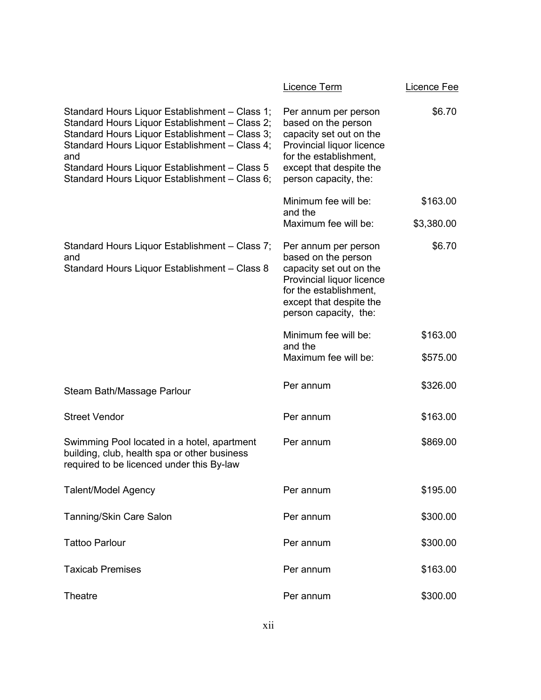|                                                                                                                                                                                                                                                                                                                | Licence Term                                                                                                                                                                      | Licence Fee |
|----------------------------------------------------------------------------------------------------------------------------------------------------------------------------------------------------------------------------------------------------------------------------------------------------------------|-----------------------------------------------------------------------------------------------------------------------------------------------------------------------------------|-------------|
| Standard Hours Liquor Establishment - Class 1;<br>Standard Hours Liquor Establishment - Class 2;<br>Standard Hours Liquor Establishment - Class 3;<br>Standard Hours Liquor Establishment - Class 4;<br>and<br>Standard Hours Liquor Establishment - Class 5<br>Standard Hours Liquor Establishment - Class 6; | Per annum per person<br>based on the person<br>capacity set out on the<br>Provincial liquor licence<br>for the establishment,<br>except that despite the<br>person capacity, the: | \$6.70      |
|                                                                                                                                                                                                                                                                                                                | Minimum fee will be:<br>and the                                                                                                                                                   | \$163.00    |
|                                                                                                                                                                                                                                                                                                                | Maximum fee will be:                                                                                                                                                              | \$3,380.00  |
| Standard Hours Liquor Establishment - Class 7;<br>and<br>Standard Hours Liquor Establishment - Class 8                                                                                                                                                                                                         | Per annum per person<br>based on the person<br>capacity set out on the<br>Provincial liquor licence<br>for the establishment,<br>except that despite the<br>person capacity, the: | \$6.70      |
|                                                                                                                                                                                                                                                                                                                | Minimum fee will be:<br>and the                                                                                                                                                   | \$163.00    |
|                                                                                                                                                                                                                                                                                                                | Maximum fee will be:                                                                                                                                                              | \$575.00    |
| Steam Bath/Massage Parlour                                                                                                                                                                                                                                                                                     | Per annum                                                                                                                                                                         | \$326.00    |
| <b>Street Vendor</b>                                                                                                                                                                                                                                                                                           | Per annum                                                                                                                                                                         | \$163.00    |
| Swimming Pool located in a hotel, apartment<br>building, club, health spa or other business<br>required to be licenced under this By-law                                                                                                                                                                       | Per annum                                                                                                                                                                         | \$869.00    |
| <b>Talent/Model Agency</b>                                                                                                                                                                                                                                                                                     | Per annum                                                                                                                                                                         | \$195.00    |
| Tanning/Skin Care Salon                                                                                                                                                                                                                                                                                        | Per annum                                                                                                                                                                         | \$300.00    |
| <b>Tattoo Parlour</b>                                                                                                                                                                                                                                                                                          | Per annum                                                                                                                                                                         | \$300.00    |
| <b>Taxicab Premises</b>                                                                                                                                                                                                                                                                                        | Per annum                                                                                                                                                                         | \$163.00    |
| <b>Theatre</b>                                                                                                                                                                                                                                                                                                 | Per annum                                                                                                                                                                         | \$300.00    |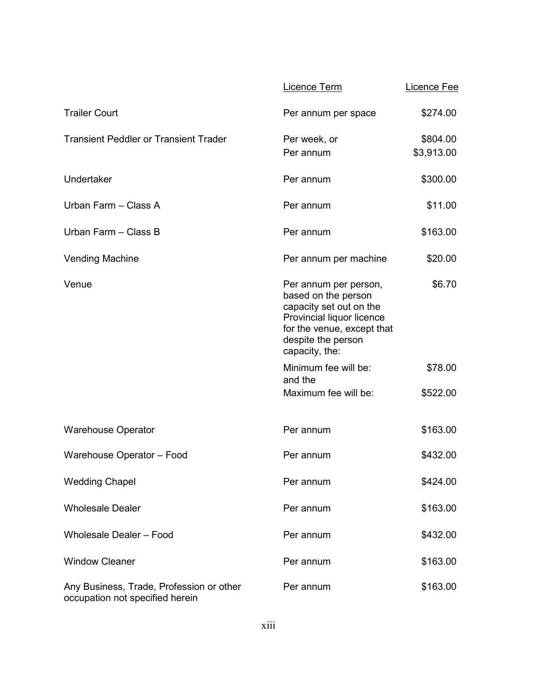|                                                                             | Licence Term                                                                                                                                                               | Licence Fee            |
|-----------------------------------------------------------------------------|----------------------------------------------------------------------------------------------------------------------------------------------------------------------------|------------------------|
| <b>Trailer Court</b>                                                        | Per annum per space                                                                                                                                                        | \$274.00               |
| <b>Transient Peddler or Transient Trader</b>                                | Per week, or<br>Per annum                                                                                                                                                  | \$804.00<br>\$3,913.00 |
| Undertaker                                                                  | Per annum                                                                                                                                                                  | \$300.00               |
| Urban Farm - Class A                                                        | Per annum                                                                                                                                                                  | \$11.00                |
| Urban Farm - Class B                                                        | Per annum                                                                                                                                                                  | \$163.00               |
| <b>Vending Machine</b>                                                      | Per annum per machine                                                                                                                                                      | \$20.00                |
| Venue                                                                       | Per annum per person,<br>based on the person<br>capacity set out on the<br>Provincial liquor licence<br>for the venue, except that<br>despite the person<br>capacity, the: | \$6.70                 |
|                                                                             | Minimum fee will be:<br>and the                                                                                                                                            | \$78.00                |
|                                                                             | Maximum fee will be:                                                                                                                                                       | \$522.00               |
| <b>Warehouse Operator</b>                                                   | Per annum                                                                                                                                                                  | \$163.00               |
| Warehouse Operator - Food                                                   | Per annum                                                                                                                                                                  | \$432.00               |
| <b>Wedding Chapel</b>                                                       | Per annum                                                                                                                                                                  | \$424.00               |
| <b>Wholesale Dealer</b>                                                     | Per annum                                                                                                                                                                  | \$163.00               |
| <b>Wholesale Dealer - Food</b>                                              | Per annum                                                                                                                                                                  | \$432.00               |
| <b>Window Cleaner</b>                                                       | Per annum                                                                                                                                                                  | \$163.00               |
| Any Business, Trade, Profession or other<br>occupation not specified herein | Per annum                                                                                                                                                                  | \$163.00               |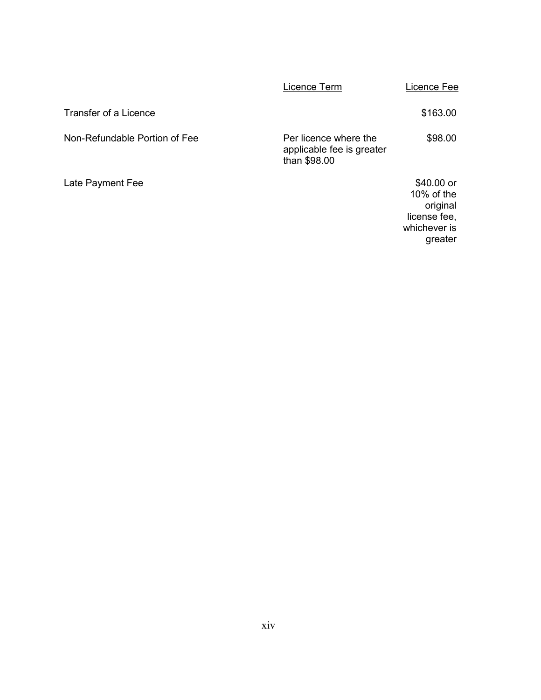|                               | Licence Term                                                       | Licence Fee                                                                        |
|-------------------------------|--------------------------------------------------------------------|------------------------------------------------------------------------------------|
| Transfer of a Licence         |                                                                    | \$163.00                                                                           |
| Non-Refundable Portion of Fee | Per licence where the<br>applicable fee is greater<br>than \$98.00 | \$98.00                                                                            |
| Late Payment Fee              |                                                                    | \$40.00 or<br>$10\%$ of the<br>original<br>license fee,<br>whichever is<br>greater |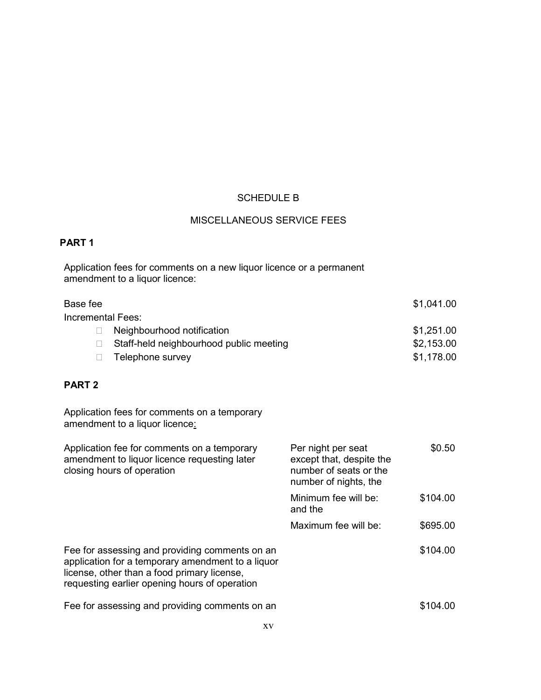# SCHEDULE B

# MISCELLANEOUS SERVICE FEES

## **PART 1**

Application fees for comments on a new liquor licence or a permanent amendment to a liquor licence:

|                                         | \$1,041.00 |
|-----------------------------------------|------------|
| Incremental Fees:                       |            |
| Neighbourhood notification              | \$1,251.00 |
| Staff-held neighbourhood public meeting | \$2,153.00 |
| Telephone survey                        | \$1,178.00 |
|                                         |            |

# **PART 2**

Application fees for comments on a temporary amendment to a liquor licence<u>:</u>

| Application fee for comments on a temporary<br>amendment to liquor licence requesting later<br>closing hours of operation                                                                           | Per night per seat<br>except that, despite the<br>number of seats or the<br>number of nights, the | \$0.50   |
|-----------------------------------------------------------------------------------------------------------------------------------------------------------------------------------------------------|---------------------------------------------------------------------------------------------------|----------|
|                                                                                                                                                                                                     | Minimum fee will be:<br>and the                                                                   | \$104.00 |
|                                                                                                                                                                                                     | Maximum fee will be:                                                                              | \$695.00 |
| Fee for assessing and providing comments on an<br>application for a temporary amendment to a liquor<br>license, other than a food primary license,<br>requesting earlier opening hours of operation |                                                                                                   | \$104.00 |
| Fee for assessing and providing comments on an                                                                                                                                                      |                                                                                                   | \$104.00 |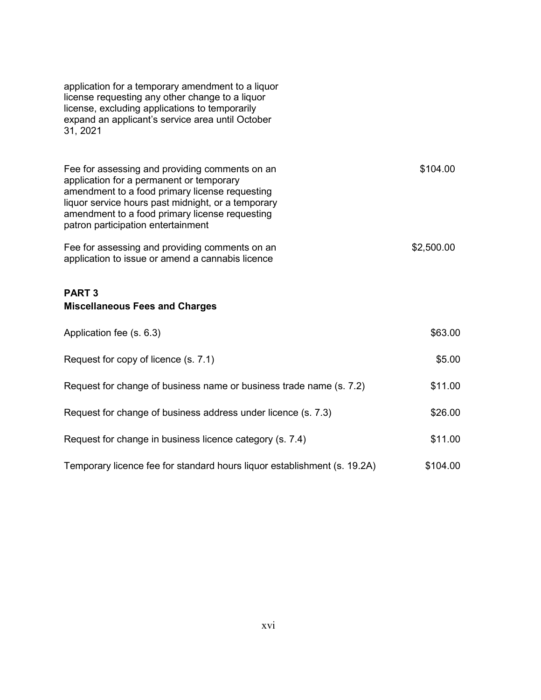| application for a temporary amendment to a liquor<br>license requesting any other change to a liquor<br>license, excluding applications to temporarily<br>expand an applicant's service area until October<br>31, 2021                                                                     |            |
|--------------------------------------------------------------------------------------------------------------------------------------------------------------------------------------------------------------------------------------------------------------------------------------------|------------|
| Fee for assessing and providing comments on an<br>application for a permanent or temporary<br>amendment to a food primary license requesting<br>liquor service hours past midnight, or a temporary<br>amendment to a food primary license requesting<br>patron participation entertainment | \$104.00   |
| Fee for assessing and providing comments on an<br>application to issue or amend a cannabis licence                                                                                                                                                                                         | \$2,500.00 |
| <b>PART3</b><br><b>Miscellaneous Fees and Charges</b>                                                                                                                                                                                                                                      |            |
| Application fee (s. 6.3)                                                                                                                                                                                                                                                                   | \$63.00    |
| Request for copy of licence (s. 7.1)                                                                                                                                                                                                                                                       | \$5.00     |
| Request for change of business name or business trade name (s. 7.2)                                                                                                                                                                                                                        | \$11.00    |
| Request for change of business address under licence (s. 7.3)                                                                                                                                                                                                                              | \$26.00    |
| Request for change in business licence category (s. 7.4)                                                                                                                                                                                                                                   | \$11.00    |
| Temporary licence fee for standard hours liquor establishment (s. 19.2A)                                                                                                                                                                                                                   | \$104.00   |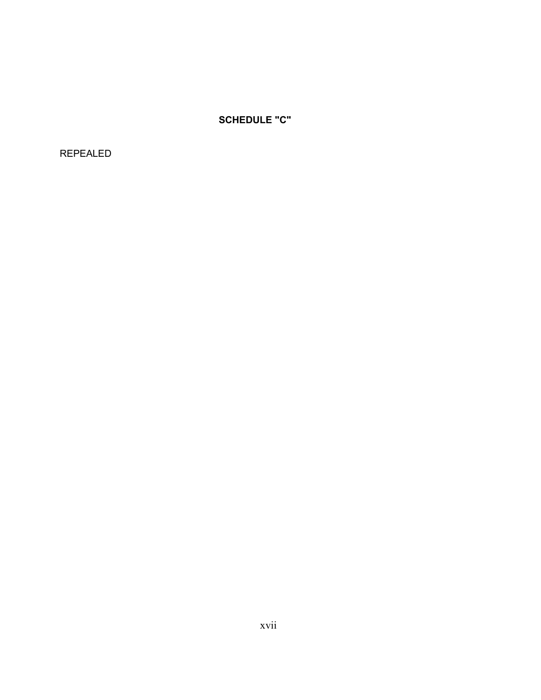**SCHEDULE "C"**

REPEALED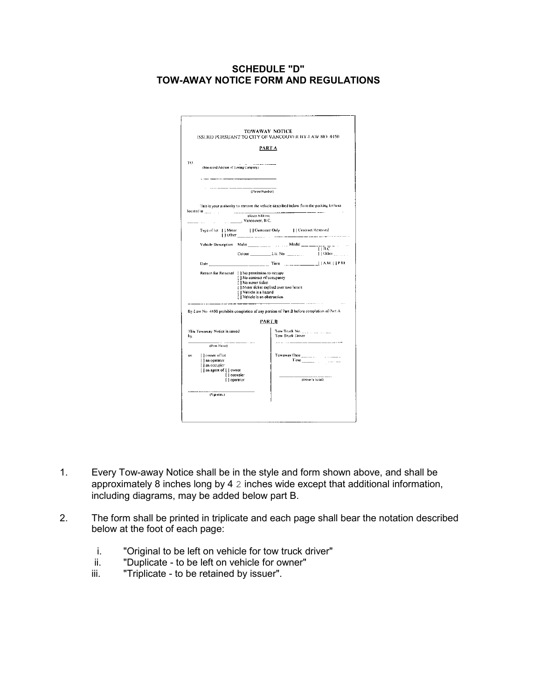### **SCHEDULE "D" TOW-AWAY NOTICE FORM AND REGULATIONS**

|                                                                                            |                                                                                                                 | <b>PARTA</b>                                                                                                           |                                   |
|--------------------------------------------------------------------------------------------|-----------------------------------------------------------------------------------------------------------------|------------------------------------------------------------------------------------------------------------------------|-----------------------------------|
| TO.<br>(Name and Address of Towing Company).<br>--------                                   |                                                                                                                 |                                                                                                                        |                                   |
|                                                                                            | (Plone Nendser)                                                                                                 |                                                                                                                        |                                   |
|                                                                                            |                                                                                                                 | This is your authority to remove the vehicle described below from the parking lot/area                                 |                                   |
| located at $\frac{1}{2}$ . The set of $\frac{1}{2}$                                        | $1000 - 1000$<br>(Street Address)                                                                               |                                                                                                                        |                                   |
| Vancouver, B.C.                                                                            |                                                                                                                 |                                                                                                                        |                                   |
|                                                                                            | $\frac{1}{2}$ Other ___ __ _ _ __ _ _ _ _ _ _ _                                                                 | Type of lot     Meter     Customer Only     Contract Reserved                                                          |                                   |
|                                                                                            |                                                                                                                 | Vehicle Description Make $\frac{1}{\sqrt{1-\frac{1}{2}}\sqrt{1-\frac{1}{2}}\sqrt{1-\frac{1}{2}}\sqrt{1-\frac{1}{2}}}}$ |                                   |
|                                                                                            |                                                                                                                 |                                                                                                                        | $\blacksquare$   Other $\ldots$ . |
|                                                                                            |                                                                                                                 | <b>EXAMPLE 2018</b> Time <b>CONSUMPTER 2019</b> Time <b>CONSUMPTER</b>                                                 |                                   |
|                                                                                            | [ ] No contract of occupancy<br>[ ] No meter ticket<br>[   Vehicle is a hazard<br>[ ] Vehicle is an obstruction | [ ] Meter ticket expired over two hours                                                                                |                                   |
|                                                                                            |                                                                                                                 | By-Law No. 4450 prohibits completion of any portion of Part B before completion of Part A.<br><b>PART B</b>            |                                   |
| This Towaway Notice is issued<br>by.                                                       |                                                                                                                 | Tow Truck Driver                                                                                                       |                                   |
| (Print Name)                                                                               |                                                                                                                 |                                                                                                                        |                                   |
| [ ] owner of lot<br>881<br>[ ] an operator<br>[ ] an occupier<br>[ ] an agent of [ ] owner |                                                                                                                 | Towaway Date ______<br>$Time$ <sub>1111</sub>                                                                          |                                   |
|                                                                                            |                                                                                                                 |                                                                                                                        | (Driver's Initial).               |
| [   occupier<br>[ ] operator                                                               |                                                                                                                 |                                                                                                                        |                                   |

- 1. Every Tow-away Notice shall be in the style and form shown above, and shall be approximately 8 inches long by 4 2 inches wide except that additional information, including diagrams, may be added below part B.
- 2. The form shall be printed in triplicate and each page shall bear the notation described below at the foot of each page:
	- i. "Original to be left on vehicle for tow truck driver"
	- ii. "Duplicate to be left on vehicle for owner"<br>iii. "Triplicate to be retained by issuer".
	- "Triplicate to be retained by issuer".